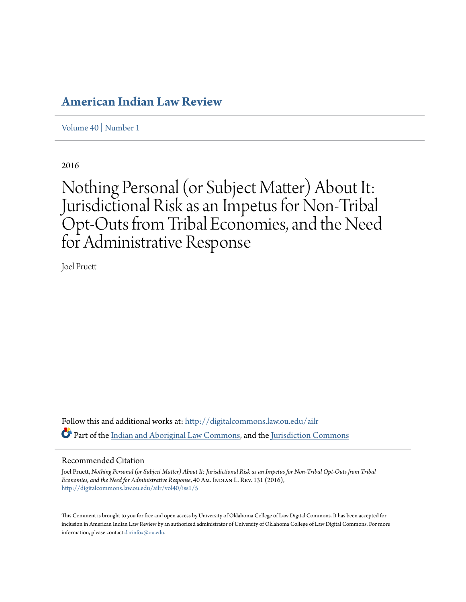## **[American Indian Law Review](http://digitalcommons.law.ou.edu/ailr?utm_source=digitalcommons.law.ou.edu%2Failr%2Fvol40%2Fiss1%2F5&utm_medium=PDF&utm_campaign=PDFCoverPages)**

[Volume 40](http://digitalcommons.law.ou.edu/ailr/vol40?utm_source=digitalcommons.law.ou.edu%2Failr%2Fvol40%2Fiss1%2F5&utm_medium=PDF&utm_campaign=PDFCoverPages) | [Number 1](http://digitalcommons.law.ou.edu/ailr/vol40/iss1?utm_source=digitalcommons.law.ou.edu%2Failr%2Fvol40%2Fiss1%2F5&utm_medium=PDF&utm_campaign=PDFCoverPages)

2016

# Nothing Personal (or Subject Matter) About It: Jurisdictional Risk as an Impetus for Non-Tribal Opt-Outs from Tribal Economies, and the Need for Administrative Response

Joel Pruett

Follow this and additional works at: [http://digitalcommons.law.ou.edu/ailr](http://digitalcommons.law.ou.edu/ailr?utm_source=digitalcommons.law.ou.edu%2Failr%2Fvol40%2Fiss1%2F5&utm_medium=PDF&utm_campaign=PDFCoverPages) Part of the [Indian and Aboriginal Law Commons](http://network.bepress.com/hgg/discipline/894?utm_source=digitalcommons.law.ou.edu%2Failr%2Fvol40%2Fiss1%2F5&utm_medium=PDF&utm_campaign=PDFCoverPages), and the [Jurisdiction Commons](http://network.bepress.com/hgg/discipline/850?utm_source=digitalcommons.law.ou.edu%2Failr%2Fvol40%2Fiss1%2F5&utm_medium=PDF&utm_campaign=PDFCoverPages)

#### Recommended Citation

Joel Pruett, *Nothing Personal (or Subject Matter) About It: Jurisdictional Risk as an Impetus for Non-Tribal Opt-Outs from Tribal Economies, and the Need for Administrative Response*, 40 Am. Indian L. Rev. 131 (2016), [http://digitalcommons.law.ou.edu/ailr/vol40/iss1/5](http://digitalcommons.law.ou.edu/ailr/vol40/iss1/5?utm_source=digitalcommons.law.ou.edu%2Failr%2Fvol40%2Fiss1%2F5&utm_medium=PDF&utm_campaign=PDFCoverPages)

This Comment is brought to you for free and open access by University of Oklahoma College of Law Digital Commons. It has been accepted for inclusion in American Indian Law Review by an authorized administrator of University of Oklahoma College of Law Digital Commons. For more information, please contact [darinfox@ou.edu.](mailto:darinfox@ou.edu)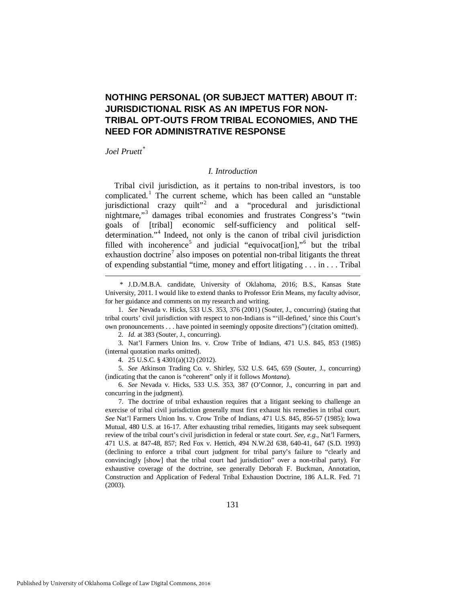## **NOTHING PERSONAL (OR SUBJECT MATTER) ABOUT IT: JURISDICTIONAL RISK AS AN IMPETUS FOR NON-TRIBAL OPT-OUTS FROM TRIBAL ECONOMIES, AND THE NEED FOR ADMINISTRATIVE RESPONSE**

## *Joel Pruett[\\*](#page-1-0)*

<u>.</u>

#### *I. Introduction*

Tribal civil jurisdiction, as it pertains to non-tribal investors, is too complicated.[1](#page-1-1) The current scheme, which has been called an "unstable jurisdictional crazy quilt"[2](#page-1-2) and a "procedural and jurisdictional nightmare,"[3](#page-1-3) damages tribal economies and frustrates Congress's "twin goals of [tribal] economic self-sufficiency and political self-determination."<sup>[4](#page-1-4)</sup> Indeed, not only is the canon of tribal civil jurisdiction filled with incoherence<sup>[5](#page-1-5)</sup> and judicial "equivocat[ion],"<sup>[6](#page-1-6)</sup> but the tribal exhaustion doctrine<sup>[7](#page-1-7)</sup> also imposes on potential non-tribal litigants the threat of expending substantial "time, money and effort litigating . . . in . . . Tribal

<span id="page-1-0"></span> \* J.D./M.B.A. candidate, University of Oklahoma, 2016; B.S., Kansas State University, 2011. I would like to extend thanks to Professor Erin Means, my faculty advisor, for her guidance and comments on my research and writing.

<span id="page-1-1"></span> 1. *See* Nevada v. Hicks, 533 U.S. 353, 376 (2001) (Souter, J., concurring) (stating that tribal courts' civil jurisdiction with respect to non-Indians is "'ill-defined,' since this Court's own pronouncements . . . have pointed in seemingly opposite directions") (citation omitted).

2. *Id.* at 383 (Souter, J., concurring).

<span id="page-1-3"></span><span id="page-1-2"></span> 3. Nat'l Farmers Union Ins. v. Crow Tribe of Indians, 471 U.S. 845, 853 (1985) (internal quotation marks omitted).

4. 25 U.S.C. § 4301(a)(12) (2012).

<span id="page-1-5"></span><span id="page-1-4"></span> 5. *See* Atkinson Trading Co. v. Shirley, 532 U.S. 645, 659 (Souter, J., concurring) (indicating that the canon is "coherent" only if it follows *Montana*).

<span id="page-1-6"></span> 6. *See* Nevada v. Hicks, 533 U.S. 353, 387 (O'Connor, J., concurring in part and concurring in the judgment).

<span id="page-1-7"></span> 7. The doctrine of tribal exhaustion requires that a litigant seeking to challenge an exercise of tribal civil jurisdiction generally must first exhaust his remedies in tribal court. *See* Nat'l Farmers Union Ins. v. Crow Tribe of Indians, 471 U.S. 845, 856-57 (1985); Iowa Mutual, 480 U.S. at 16-17. After exhausting tribal remedies, litigants may seek subsequent review of the tribal court's civil jurisdiction in federal or state court. *See, e.g.*, Nat'l Farmers, 471 U.S. at 847-48, 857; Red Fox v. Hettich, 494 N.W.2d 638, 640-41, 647 (S.D. 1993) (declining to enforce a tribal court judgment for tribal party's failure to "clearly and convincingly [show] that the tribal court had jurisdiction" over a non-tribal party). For exhaustive coverage of the doctrine, see generally Deborah F. Buckman, Annotation, Construction and Application of Federal Tribal Exhaustion Doctrine, 186 A.L.R. Fed. 71 (2003).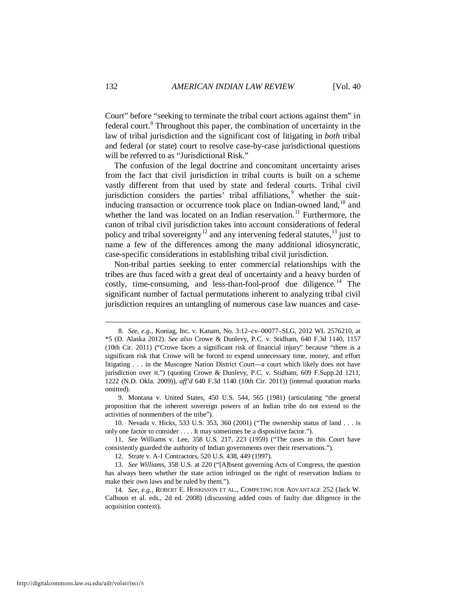Court" before "seeking to terminate the tribal court actions against them" in federal court.<sup>[8](#page-2-0)</sup> Throughout this paper, the combination of uncertainty in the law of tribal jurisdiction and the significant cost of litigating in *both* tribal and federal (or state) court to resolve case-by-case jurisdictional questions will be referred to as "Jurisdictional Risk."

The confusion of the legal doctrine and concomitant uncertainty arises from the fact that civil jurisdiction in tribal courts is built on a scheme vastly different from that used by state and federal courts. Tribal civil jurisdiction considers the parties' tribal affiliations,  $9$  whether the suitinducing transaction or occurrence took place on Indian-owned land, $10$  and whether the land was located on an Indian reservation.<sup>[11](#page-2-3)</sup> Furthermore, the canon of tribal civil jurisdiction takes into account considerations of federal policy and tribal sovereignty<sup>[12](#page-2-4)</sup> and any intervening federal statutes,  $^{13}$  $^{13}$  $^{13}$  just to name a few of the differences among the many additional idiosyncratic, case-specific considerations in establishing tribal civil jurisdiction.

Non-tribal parties seeking to enter commercial relationships with the tribes are thus faced with a great deal of uncertainty and a heavy burden of costly, time-consuming, and less-than-fool-proof due diligence.<sup>[14](#page-2-6)</sup> The significant number of factual permutations inherent to analyzing tribal civil jurisdiction requires an untangling of numerous case law nuances and case-

<span id="page-2-0"></span> <sup>8.</sup> *See, e.g.*, Koniag, Inc. v. Kanam, No. 3:12–cv–00077–SLG, 2012 WL 2576210, at \*5 (D. Alaska 2012). *See also* Crowe & Dunlevy, P.C. v. Stidham, 640 F.3d 1140, 1157 (10th Cir. 2011) ("Crowe faces a significant risk of financial injury" because "there is a significant risk that Crowe will be forced to expend unnecessary time, money, and effort litigating . . . in the Muscogee Nation District Court—a court which likely does not have jurisdiction over it.") (quoting Crowe & Dunlevy, P.C. v. Stidham, 609 F.Supp.2d 1211, 1222 (N.D. Okla. 2009)), *aff'd* 640 F.3d 1140 (10th Cir. 2011)) (internal quotation marks omitted).

<span id="page-2-1"></span> <sup>9.</sup> Montana v. United States, 450 U.S. 544, 565 (1981) (articulating "the general proposition that the inherent sovereign powers of an Indian tribe do not extend to the activities of nonmembers of the tribe").

<span id="page-2-2"></span> <sup>10.</sup> Nevada v. Hicks, 533 U.S. 353, 360 (2001) ("The ownership status of land . . . is only one factor to consider . . . . It may sometimes be a dispositive factor.").

<span id="page-2-3"></span> <sup>11.</sup> *See* Williams v. Lee, 358 U.S. 217, 223 (1959) ("The cases in this Court have consistently guarded the authority of Indian governments over their reservations.").

 <sup>12.</sup> Strate v. A-1 Contractors, 520 U.S. 438, 449 (1997).

<span id="page-2-5"></span><span id="page-2-4"></span> <sup>13.</sup> *See Williams*, 358 U.S. at 220 ("[A]bsent governing Acts of Congress, the question has always been whether the state action infringed on the right of reservation Indians to make their own laws and be ruled by them.").

<span id="page-2-6"></span> <sup>14.</sup> *See*, *e.g.*, ROBERT E. HOSKISSON ET AL., COMPETING FOR ADVANTAGE 252 (Jack W. Calhoun et al. eds., 2d ed. 2008) (discussing added costs of faulty due diligence in the acquisition context).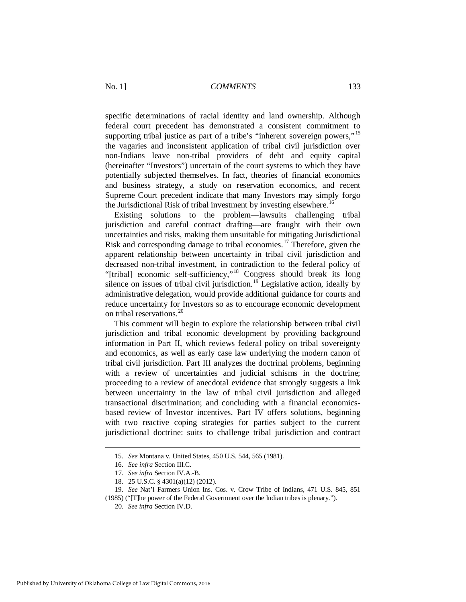specific determinations of racial identity and land ownership. Although federal court precedent has demonstrated a consistent commitment to supporting tribal justice as part of a tribe's "inherent sovereign powers,"<sup>[15](#page-3-0)</sup> the vagaries and inconsistent application of tribal civil jurisdiction over non-Indians leave non-tribal providers of debt and equity capital (hereinafter "Investors") uncertain of the court systems to which they have potentially subjected themselves. In fact, theories of financial economics and business strategy, a study on reservation economics, and recent Supreme Court precedent indicate that many Investors may simply forgo the Jurisdictional Risk of tribal investment by investing elsewhere.<sup>[16](#page-3-1)</sup>

Existing solutions to the problem—lawsuits challenging tribal jurisdiction and careful contract drafting—are fraught with their own uncertainties and risks, making them unsuitable for mitigating Jurisdictional Risk and corresponding damage to tribal economies.<sup>[17](#page-3-2)</sup> Therefore, given the apparent relationship between uncertainty in tribal civil jurisdiction and decreased non-tribal investment, in contradiction to the federal policy of "[tribal] economic self-sufficiency,"[18](#page-3-3) Congress should break its long silence on issues of tribal civil jurisdiction.<sup>[19](#page-3-4)</sup> Legislative action, ideally by administrative delegation, would provide additional guidance for courts and reduce uncertainty for Investors so as to encourage economic development on tribal reservations.<sup>[20](#page-3-5)</sup>

This comment will begin to explore the relationship between tribal civil jurisdiction and tribal economic development by providing background information in Part II, which reviews federal policy on tribal sovereignty and economics, as well as early case law underlying the modern canon of tribal civil jurisdiction. Part III analyzes the doctrinal problems, beginning with a review of uncertainties and judicial schisms in the doctrine; proceeding to a review of anecdotal evidence that strongly suggests a link between uncertainty in the law of tribal civil jurisdiction and alleged transactional discrimination; and concluding with a financial economicsbased review of Investor incentives. Part IV offers solutions, beginning with two reactive coping strategies for parties subject to the current jurisdictional doctrine: suits to challenge tribal jurisdiction and contract

 <sup>15.</sup> *See* Montana v. United States, 450 U.S. 544, 565 (1981).

 <sup>16.</sup> *See infra* Section III.C.

 <sup>17.</sup> *See infra* Section IV.A.-B.

 <sup>18. 25</sup> U.S.C. § 4301(a)(12) (2012).

<span id="page-3-5"></span><span id="page-3-4"></span><span id="page-3-3"></span><span id="page-3-2"></span><span id="page-3-1"></span><span id="page-3-0"></span> <sup>19.</sup> *See* Nat'l Farmers Union Ins. Cos. v. Crow Tribe of Indians, 471 U.S. 845, 851 (1985) ("[T]he power of the Federal Government over the Indian tribes is plenary.").

 <sup>20.</sup> *See infra* Section IV.D.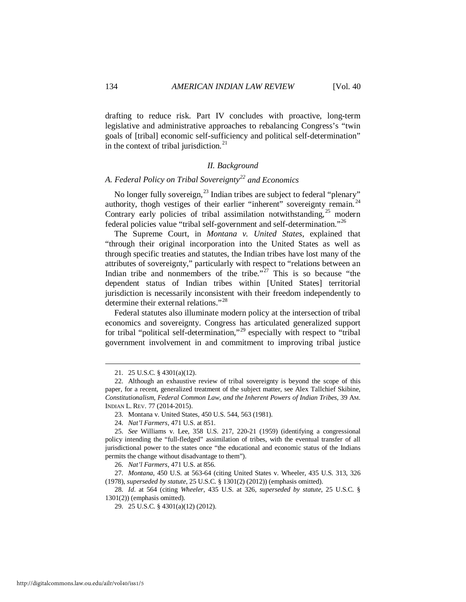drafting to reduce risk. Part IV concludes with proactive, long-term legislative and administrative approaches to rebalancing Congress's "twin goals of [tribal] economic self-sufficiency and political self-determination" in the context of tribal jurisdiction.<sup>[21](#page-4-0)</sup>

#### *II. Background*

## *A. Federal Policy on Tribal Sovereignty[22](#page-4-1) and Economics*

No longer fully sovereign,<sup>[23](#page-4-2)</sup> Indian tribes are subject to federal "plenary" authority, thogh vestiges of their earlier "inherent" sovereignty remain.<sup>[24](#page-4-3)</sup> Contrary early policies of tribal assimilation notwithstanding,  $25 \text{ modern}$  $25 \text{ modern}$ federal policies value "tribal self-government and self-determination."[26](#page-4-5)

The Supreme Court, in *Montana v. United States*, explained that "through their original incorporation into the United States as well as through specific treaties and statutes, the Indian tribes have lost many of the attributes of sovereignty," particularly with respect to "relations between an Indian tribe and nonmembers of the tribe." $27$  This is so because "the dependent status of Indian tribes within [United States] territorial jurisdiction is necessarily inconsistent with their freedom independently to determine their external relations."<sup>[28](#page-4-7)</sup>

Federal statutes also illuminate modern policy at the intersection of tribal economics and sovereignty. Congress has articulated generalized support for tribal "political self-determination,"<sup>[29](#page-4-8)</sup> especially with respect to "tribal" government involvement in and commitment to improving tribal justice

 <sup>21. 25</sup> U.S.C. § 4301(a)(12).

<span id="page-4-1"></span><span id="page-4-0"></span> <sup>22.</sup> Although an exhaustive review of tribal sovereignty is beyond the scope of this paper, for a recent, generalized treatment of the subject matter, see Alex Tallchief Skibine, *Constitutionalism, Federal Common Law, and the Inherent Powers of Indian Tribes*, 39 AM. INDIAN L. REV. 77 (2014-2015).

 <sup>23.</sup> Montana v. United States, 450 U.S. 544, 563 (1981).

 <sup>24.</sup> *Nat'l Farmers*, 471 U.S. at 851.

<span id="page-4-4"></span><span id="page-4-3"></span><span id="page-4-2"></span> <sup>25.</sup> *See* Williams v. Lee, 358 U.S. 217, 220-21 (1959) (identifying a congressional policy intending the "full-fledged" assimilation of tribes, with the eventual transfer of all jurisdictional power to the states once "the educational and economic status of the Indians permits the change without disadvantage to them").

 <sup>26.</sup> *Nat'l Farmers*, 471 U.S. at 856.

<span id="page-4-6"></span><span id="page-4-5"></span> <sup>27.</sup> *Montana*, 450 U.S. at 563-64 (citing United States v. Wheeler, 435 U.S. 313, 326 (1978), *superseded by statute*, 25 U.S.C. § 1301(2) (2012)) (emphasis omitted).

<span id="page-4-8"></span><span id="page-4-7"></span> <sup>28.</sup> *Id*. at 564 (citing *Wheeler*, 435 U.S. at 326, *superseded by statute*, 25 U.S.C. § 1301(2)) (emphasis omitted).

 <sup>29. 25</sup> U.S.C. § 4301(a)(12) (2012).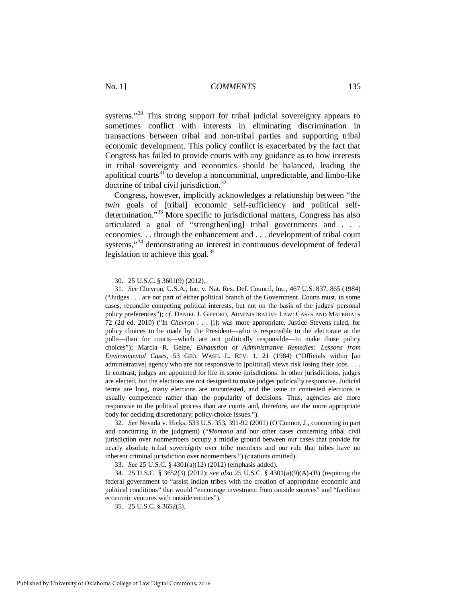systems."<sup>[30](#page-5-0)</sup> This strong support for tribal judicial sovereignty appears to sometimes conflict with interests in eliminating discrimination in transactions between tribal and non-tribal parties and supporting tribal economic development. This policy conflict is exacerbated by the fact that Congress has failed to provide courts with any guidance as to how interests in tribal sovereignty and economics should be balanced, leading the apolitical courts<sup>[31](#page-5-1)</sup> to develop a noncommittal, unpredictable, and limbo-like doctrine of tribal civil jurisdiction.<sup>[32](#page-5-2)</sup>

Congress, however, implicitly acknowledges a relationship between "the *twin* goals of [tribal] economic self-sufficiency and political self-determination."<sup>[33](#page-5-3)</sup> More specific to jurisdictional matters, Congress has also articulated a goal of "strengthen[ing] tribal governments and . . . economies. . . through the enhancement and . . . development of tribal court systems,"<sup>[34](#page-5-4)</sup> demonstrating an interest in continuous development of federal legislation to achieve this goal. $^{35}$  $^{35}$  $^{35}$ 

<span id="page-5-2"></span> 32. *See* Nevada v. Hicks, 533 U.S. 353, 391-92 (2001) (O'Connor, J., concurring in part and concurring in the judgment) ("*Montana* and our other cases concerning tribal civil jurisdiction over nonmembers occupy a middle ground between our cases that provide for nearly absolute tribal sovereignty over tribe members and our rule that tribes have no inherent criminal jurisdiction over nonmembers.") (citations omitted).

33. *See* 25 U.S.C. § 4301(a)(12) (2012) (emphasis added).

<span id="page-5-5"></span><span id="page-5-4"></span><span id="page-5-3"></span> 34. 25 U.S.C. § 3652(3) (2012); *see also* 25 U.S.C. § 4301(a)(9)(A)-(B) (requiring the federal government to "assist Indian tribes with the creation of appropriate economic and political conditions" that would "encourage investment from outside sources" and "facilitate economic ventures with outside entities").

35. 25 U.S.C. § 3652(5).

 <sup>30. 25</sup> U.S.C. § 3601(9) (2012).

<span id="page-5-1"></span><span id="page-5-0"></span> <sup>31.</sup> *See* Chevron, U.S.A., Inc. v. Nat. Res. Def. Council, Inc., 467 U.S. 837, 865 (1984) ("Judges . . . are not part of either political branch of the Government. Courts must, in some cases, reconcile competing political interests, but not on the basis of the judges' personal policy preferences"); *cf*. DANIEL J. GIFFORD, ADMINISTRATIVE LAW: CASES AND MATERIALS 72 (2d ed. 2010) ("In *Chevron* . . . [i]t was more appropriate, Justice Stevens ruled, for policy choices to be made by the President—who is responsible to the electorate at the polls—than for courts—which are not politically responsible—to make those policy choices"); Marcia R. Gelpe, *Exhaustion of Administrative Remedies: Lessons from Environmental Cases*, 53 GEO. WASH. L. REV. 1, 21 (1984) ("Officials within [an administrative] agency who are not responsive to [political] views risk losing their jobs. . . . In contrast, judges are appointed for life in some jurisdictions. In other jurisdictions, judges are elected, but the elections are not designed to make judges politically responsive. Judicial terms are long, many elections are uncontested, and the issue in contested elections is usually competence rather than the popularity of decisions. Thus, agencies are more responsive to the political process than are courts and, therefore, are the more appropriate body for deciding discretionary, policy-choice issues.").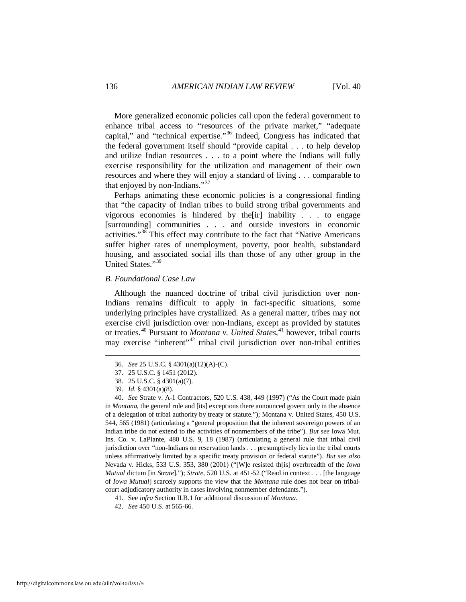More generalized economic policies call upon the federal government to enhance tribal access to "resources of the private market," "adequate capital," and "technical expertise."[36](#page-6-0) Indeed, Congress has indicated that the federal government itself should "provide capital . . . to help develop and utilize Indian resources . . . to a point where the Indians will fully exercise responsibility for the utilization and management of their own resources and where they will enjoy a standard of living . . . comparable to that enjoyed by non-Indians."<sup>[37](#page-6-1)</sup>

Perhaps animating these economic policies is a congressional finding that "the capacity of Indian tribes to build strong tribal governments and vigorous economies is hindered by the[ir] inability . . . to engage [surrounding] communities . . . and outside investors in economic activities."[38](#page-6-2) This effect may contribute to the fact that "Native Americans suffer higher rates of unemployment, poverty, poor health, substandard housing, and associated social ills than those of any other group in the United States."[39](#page-6-3)

#### *B. Foundational Case Law*

Although the nuanced doctrine of tribal civil jurisdiction over non-Indians remains difficult to apply in fact-specific situations, some underlying principles have crystallized. As a general matter, tribes may not exercise civil jurisdiction over non-Indians, except as provided by statutes or treaties.[40](#page-6-4) Pursuant to *Montana v. United States*, [41](#page-6-5) however, tribal courts may exercise "inherent"<sup>[42](#page-6-6)</sup> tribal civil jurisdiction over non-tribal entities

<span id="page-6-1"></span><span id="page-6-0"></span>-

<span id="page-6-4"></span><span id="page-6-3"></span><span id="page-6-2"></span> 40. *See* Strate v. A-1 Contractors, 520 U.S. 438, 449 (1997) ("As the Court made plain in *Montana*, the general rule and [its] exceptions there announced govern only in the absence of a delegation of tribal authority by treaty or statute."); Montana v. United States, 450 U.S. 544, 565 (1981) (articulating a "general proposition that the inherent sovereign powers of an Indian tribe do not extend to the activities of nonmembers of the tribe"). *But see* Iowa Mut. Ins. Co. v. LaPlante, 480 U.S. 9, 18 (1987) (articulating a general rule that tribal civil jurisdiction over "non-Indians on reservation lands . . . presumptively lies in the tribal courts unless affirmatively limited by a specific treaty provision or federal statute"). *But see also* Nevada v. Hicks, 533 U.S. 353, 380 (2001) ("[W]e resisted th[is] overbreadth of the *Iowa Mutual* dictum [in *Strate*]."); *Strate*, 520 U.S. at 451-52 ("Read in context . . . [the language of *Iowa Mutual*] scarcely supports the view that the *Montana* rule does not bear on tribalcourt adjudicatory authority in cases involving nonmember defendants.").

 <sup>36.</sup> *See* 25 U.S.C. § 4301(a)(12)(A)-(C).

 <sup>37. 25</sup> U.S.C. § 1451 (2012).

 <sup>38. 25</sup> U.S.C. § 4301(a)(7).

 <sup>39.</sup> *Id.* § 4301(a)(8).

<span id="page-6-5"></span> <sup>41.</sup> See *infra* Section II.B.1 for additional discussion of *Montana*.

<span id="page-6-6"></span> <sup>42.</sup> *See* 450 U.S. at 565-66.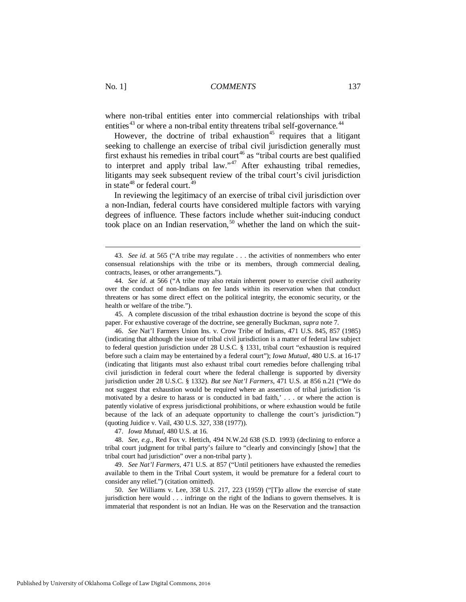where non-tribal entities enter into commercial relationships with tribal entities<sup>[43](#page-7-0)</sup> or where a non-tribal entity threatens tribal self-governance.<sup>[44](#page-7-1)</sup>

However, the doctrine of tribal exhaustion<sup>[45](#page-7-2)</sup> requires that a litigant seeking to challenge an exercise of tribal civil jurisdiction generally must first exhaust his remedies in tribal court<sup>[46](#page-7-3)</sup> as "tribal courts are best qualified to interpret and apply tribal law."<sup>[47](#page-7-4)</sup> After exhausting tribal remedies, litigants may seek subsequent review of the tribal court's civil jurisdiction in state $48$  or federal court.<sup>49</sup>

In reviewing the legitimacy of an exercise of tribal civil jurisdiction over a non-Indian, federal courts have considered multiple factors with varying degrees of influence. These factors include whether suit-inducing conduct took place on an Indian reservation,<sup>[50](#page-7-7)</sup> whether the land on which the suit-

<span id="page-7-2"></span> 45. A complete discussion of the tribal exhaustion doctrine is beyond the scope of this paper. For exhaustive coverage of the doctrine, see generally Buckman, *supra* note 7.

<span id="page-7-3"></span> 46. *See* Nat'l Farmers Union Ins. v. Crow Tribe of Indians, 471 U.S. 845, 857 (1985) (indicating that although the issue of tribal civil jurisdiction is a matter of federal law subject to federal question jurisdiction under 28 U.S.C. § 1331, tribal court "exhaustion is required before such a claim may be entertained by a federal court"); *Iowa Mutual*, 480 U.S. at 16-17 (indicating that litigants must also exhaust tribal court remedies before challenging tribal civil jurisdiction in federal court where the federal challenge is supported by diversity jurisdiction under 28 U.S.C. § 1332). *But see Nat'l Farmers*, 471 U.S. at 856 n.21 ("We do not suggest that exhaustion would be required where an assertion of tribal jurisdiction 'is motivated by a desire to harass or is conducted in bad faith,' . . . or where the action is patently violative of express jurisdictional prohibitions, or where exhaustion would be futile because of the lack of an adequate opportunity to challenge the court's jurisdiction.") (quoting Juidice v. Vail, 430 U.S. 327, 338 (1977)).

47. *Iowa Mutual*, 480 U.S. at 16.

<span id="page-7-5"></span><span id="page-7-4"></span> 48. *See*, *e.g.*, Red Fox v. Hettich, 494 N.W.2d 638 (S.D. 1993) (declining to enforce a tribal court judgment for tribal party's failure to "clearly and convincingly [show] that the tribal court had jurisdiction" over a non-tribal party ).

<span id="page-7-6"></span> 49. *See Nat'l Farmers*, 471 U.S. at 857 ("Until petitioners have exhausted the remedies available to them in the Tribal Court system, it would be premature for a federal court to consider any relief.") (citation omitted).

<span id="page-7-7"></span> 50. *See* Williams v. Lee, 358 U.S. 217, 223 (1959) ("[T]o allow the exercise of state jurisdiction here would . . . infringe on the right of the Indians to govern themselves. It is immaterial that respondent is not an Indian. He was on the Reservation and the transaction

<span id="page-7-0"></span> <sup>43.</sup> *See id.* at 565 ("A tribe may regulate . . . the activities of nonmembers who enter consensual relationships with the tribe or its members, through commercial dealing, contracts, leases, or other arrangements.").

<span id="page-7-1"></span> <sup>44.</sup> *See id*. at 566 ("A tribe may also retain inherent power to exercise civil authority over the conduct of non-Indians on fee lands within its reservation when that conduct threatens or has some direct effect on the political integrity, the economic security, or the health or welfare of the tribe.").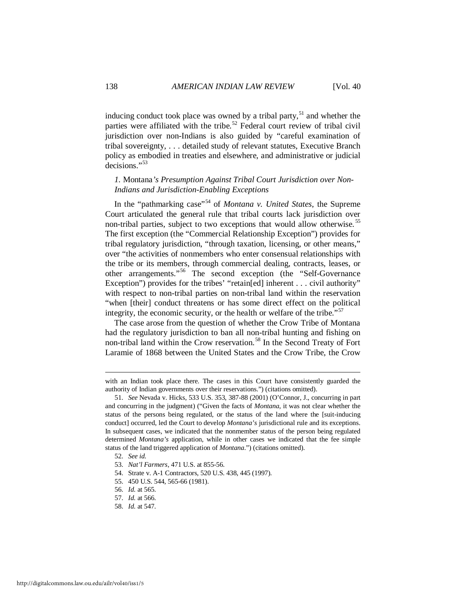inducing conduct took place was owned by a tribal party,  $51$  and whether the parties were affiliated with the tribe.<sup>[52](#page-8-1)</sup> Federal court review of tribal civil jurisdiction over non-Indians is also guided by "careful examination of tribal sovereignty, . . . detailed study of relevant statutes, Executive Branch policy as embodied in treaties and elsewhere, and administrative or judicial decisions."<sup>[53](#page-8-2)</sup>

## *1.* Montana*'s Presumption Against Tribal Court Jurisdiction over Non-Indians and Jurisdiction-Enabling Exceptions*

In the "pathmarking case"[54](#page-8-3) of *Montana v. United States*, the Supreme Court articulated the general rule that tribal courts lack jurisdiction over non-tribal parties, subject to two exceptions that would allow otherwise.<sup>[55](#page-8-4)</sup> The first exception (the "Commercial Relationship Exception") provides for tribal regulatory jurisdiction, "through taxation, licensing, or other means," over "the activities of nonmembers who enter consensual relationships with the tribe or its members, through commercial dealing, contracts, leases, or other arrangements."[56](#page-8-5) The second exception (the "Self-Governance Exception") provides for the tribes' "retain[ed] inherent . . . civil authority" with respect to non-tribal parties on non-tribal land within the reservation "when [their] conduct threatens or has some direct effect on the political integrity, the economic security, or the health or welfare of the tribe.<sup>[57](#page-8-6)</sup>

The case arose from the question of whether the Crow Tribe of Montana had the regulatory jurisdiction to ban all non-tribal hunting and fishing on non-tribal land within the Crow reservation.<sup>[58](#page-8-7)</sup> In the Second Treaty of Fort Laramie of 1868 between the United States and the Crow Tribe, the Crow

with an Indian took place there. The cases in this Court have consistently guarded the authority of Indian governments over their reservations.") (citations omitted).

<span id="page-8-0"></span> <sup>51.</sup> *See* Nevada v. Hicks, 533 U.S. 353, 387-88 (2001) (O'Connor, J., concurring in part and concurring in the judgment) ("Given the facts of *Montana*, it was not clear whether the status of the persons being regulated, or the status of the land where the [suit-inducing conduct] occurred, led the Court to develop *Montana's* jurisdictional rule and its exceptions. In subsequent cases, we indicated that the nonmember status of the person being regulated determined *Montana's* application, while in other cases we indicated that the fee simple status of the land triggered application of *Montana*.") (citations omitted).

<span id="page-8-1"></span> <sup>52.</sup> *See id.*

<span id="page-8-2"></span> <sup>53.</sup> *Nat'l Farmers*, 471 U.S. at 855-56.

<span id="page-8-3"></span> <sup>54.</sup> Strate v. A-1 Contractors, 520 U.S. 438, 445 (1997).

<span id="page-8-4"></span> <sup>55. 450</sup> U.S. 544, 565-66 (1981).

<span id="page-8-5"></span> <sup>56.</sup> *Id.* at 565.

 <sup>57.</sup> *Id.* at 566.

<span id="page-8-7"></span><span id="page-8-6"></span> <sup>58.</sup> *Id.* at 547.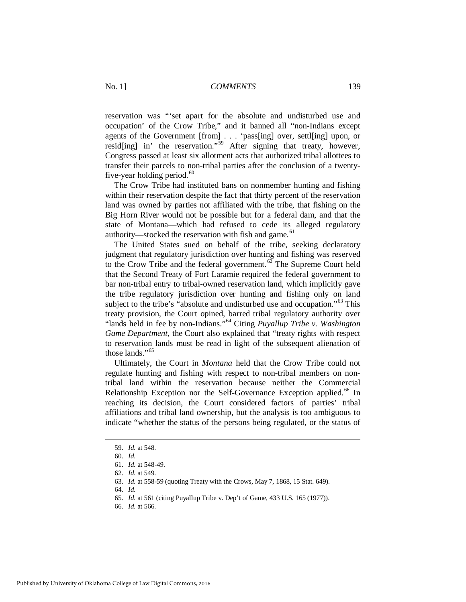reservation was "'set apart for the absolute and undisturbed use and occupation' of the Crow Tribe," and it banned all "non-Indians except agents of the Government [from] . . . 'pass[ing] over, settl[ing] upon, or resid[ing] in' the reservation."<sup>[59](#page-9-0)</sup> After signing that treaty, however, Congress passed at least six allotment acts that authorized tribal allottees to transfer their parcels to non-tribal parties after the conclusion of a twentyfive-year holding period. $60$ 

The Crow Tribe had instituted bans on nonmember hunting and fishing within their reservation despite the fact that thirty percent of the reservation land was owned by parties not affiliated with the tribe, that fishing on the Big Horn River would not be possible but for a federal dam, and that the state of Montana—which had refused to cede its alleged regulatory authority—stocked the reservation with fish and game.<sup>[61](#page-9-2)</sup>

The United States sued on behalf of the tribe, seeking declaratory judgment that regulatory jurisdiction over hunting and fishing was reserved to the Crow Tribe and the federal government.<sup> $62$ </sup> The Supreme Court held that the Second Treaty of Fort Laramie required the federal government to bar non-tribal entry to tribal-owned reservation land, which implicitly gave the tribe regulatory jurisdiction over hunting and fishing only on land subject to the tribe's "absolute and undisturbed use and occupation."<sup>[63](#page-9-4)</sup> This treaty provision, the Court opined, barred tribal regulatory authority over "lands held in fee by non-Indians."[64](#page-9-5) Citing *Puyallup Tribe v. Washington Game Department*, the Court also explained that "treaty rights with respect to reservation lands must be read in light of the subsequent alienation of those lands<sup>"[65](#page-9-6)</sup>

Ultimately, the Court in *Montana* held that the Crow Tribe could not regulate hunting and fishing with respect to non-tribal members on nontribal land within the reservation because neither the Commercial Relationship Exception nor the Self-Governance Exception applied.<sup>[66](#page-9-7)</sup> In reaching its decision, the Court considered factors of parties' tribal affiliations and tribal land ownership, but the analysis is too ambiguous to indicate "whether the status of the persons being regulated, or the status of

<span id="page-9-4"></span><span id="page-9-3"></span><span id="page-9-2"></span><span id="page-9-1"></span><span id="page-9-0"></span>-

<span id="page-9-5"></span>64. *Id.*

<span id="page-9-7"></span><span id="page-9-6"></span>66. *Id.* at 566.

 <sup>59.</sup> *Id.* at 548.

 <sup>60.</sup> *Id.*

 <sup>61.</sup> *Id.* at 548-49.

 <sup>62.</sup> *Id.* at 549.

 <sup>63.</sup> *Id.* at 558-59 (quoting Treaty with the Crows, May 7, 1868, 15 Stat. 649).

 <sup>65.</sup> *Id.* at 561 (citing Puyallup Tribe v. Dep't of Game, 433 U.S. 165 (1977)).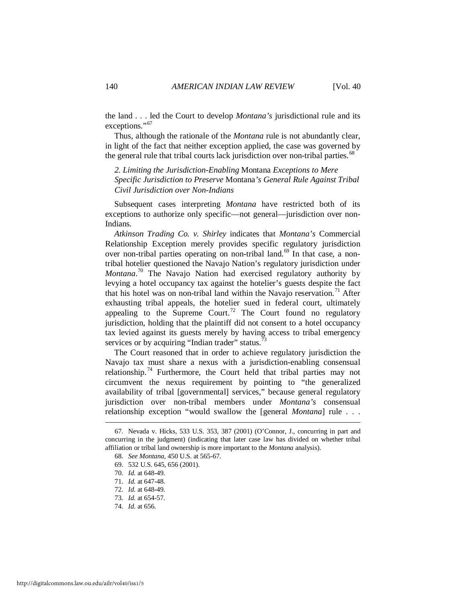the land . . . led the Court to develop *Montana's* jurisdictional rule and its exceptions."<sup>[67](#page-10-0)</sup>

Thus, although the rationale of the *Montana* rule is not abundantly clear, in light of the fact that neither exception applied, the case was governed by the general rule that tribal courts lack jurisdiction over non-tribal parties.<sup>[68](#page-10-1)</sup>

*2. Limiting the Jurisdiction-Enabling* Montana *Exceptions to Mere Specific Jurisdiction to Preserve* Montana*'s General Rule Against Tribal Civil Jurisdiction over Non-Indians* 

Subsequent cases interpreting *Montana* have restricted both of its exceptions to authorize only specific—not general—jurisdiction over non-Indians.

*Atkinson Trading Co. v. Shirley* indicates that *Montana's* Commercial Relationship Exception merely provides specific regulatory jurisdiction over non-tribal parties operating on non-tribal land.<sup>[69](#page-10-2)</sup> In that case, a nontribal hotelier questioned the Navajo Nation's regulatory jurisdiction under *Montana*. [70](#page-10-3) The Navajo Nation had exercised regulatory authority by levying a hotel occupancy tax against the hotelier's guests despite the fact that his hotel was on non-tribal land within the Navajo reservation.<sup>[71](#page-10-4)</sup> After exhausting tribal appeals, the hotelier sued in federal court, ultimately appealing to the Supreme Court.<sup>[72](#page-10-5)</sup> The Court found no regulatory jurisdiction, holding that the plaintiff did not consent to a hotel occupancy tax levied against its guests merely by having access to tribal emergency services or by acquiring "Indian trader" status.<sup>[73](#page-10-6)</sup>

The Court reasoned that in order to achieve regulatory jurisdiction the Navajo tax must share a nexus with a jurisdiction-enabling consensual relationship.<sup>[74](#page-10-7)</sup> Furthermore, the Court held that tribal parties may not circumvent the nexus requirement by pointing to "the generalized availability of tribal [governmental] services," because general regulatory jurisdiction over non-tribal members under *Montana's* consensual relationship exception "would swallow the [general *Montana*] rule . . .

<span id="page-10-3"></span><span id="page-10-2"></span><span id="page-10-1"></span><span id="page-10-0"></span> <sup>67.</sup> Nevada v. Hicks, 533 U.S. 353, 387 (2001) (O'Connor, J., concurring in part and concurring in the judgment) (indicating that later case law has divided on whether tribal affiliation or tribal land ownership is more important to the *Montana* analysis).

 <sup>68.</sup> *See Montana*, 450 U.S. at 565-67.

 <sup>69. 532</sup> U.S. 645, 656 (2001).

 <sup>70.</sup> *Id.* at 648-49.

<span id="page-10-4"></span> <sup>71.</sup> *Id.* at 647-48.

 <sup>72.</sup> *Id.* at 648-49.

<span id="page-10-5"></span> <sup>73.</sup> *Id.* at 654-57.

<span id="page-10-7"></span><span id="page-10-6"></span> <sup>74.</sup> *Id.* at 656.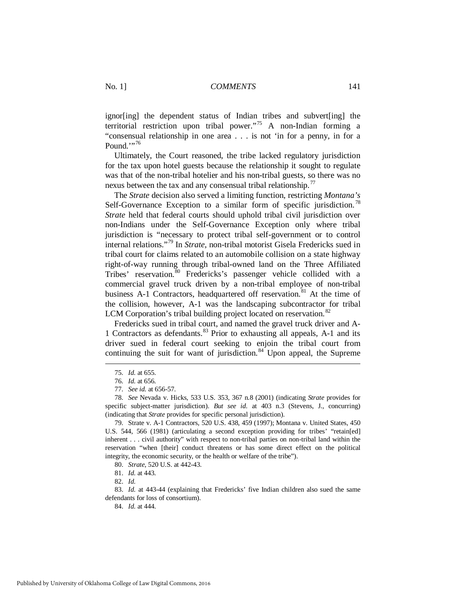ignor[ing] the dependent status of Indian tribes and subvert[ing] the territorial restriction upon tribal power."[75](#page-11-0) A non-Indian forming a "consensual relationship in one area . . . is not 'in for a penny, in for a Pound. $\cdots$ <sup>[76](#page-11-1)</sup>

Ultimately, the Court reasoned, the tribe lacked regulatory jurisdiction for the tax upon hotel guests because the relationship it sought to regulate was that of the non-tribal hotelier and his non-tribal guests, so there was no nexus between the tax and any consensual tribal relationship.<sup>[77](#page-11-2)</sup>

The *Strate* decision also served a limiting function, restricting *Montana's*  Self-Governance Exception to a similar form of specific jurisdiction.<sup>[78](#page-11-3)</sup> *Strate* held that federal courts should uphold tribal civil jurisdiction over non-Indians under the Self-Governance Exception only where tribal jurisdiction is "necessary to protect tribal self-government or to control internal relations."[79](#page-11-4) In *Strate*, non-tribal motorist Gisela Fredericks sued in tribal court for claims related to an automobile collision on a state highway right-of-way running through tribal-owned land on the Three Affiliated Tribes' reservation.<sup>[80](#page-11-5)</sup> Fredericks's passenger vehicle collided with a commercial gravel truck driven by a non-tribal employee of non-tribal business A-1 Contractors, headquartered off reservation.<sup>[81](#page-11-6)</sup> At the time of the collision, however, A-1 was the landscaping subcontractor for tribal LCM Corporation's tribal building project located on reservation.<sup>[82](#page-11-7)</sup>

Fredericks sued in tribal court, and named the gravel truck driver and A-1 Contractors as defendants.[83](#page-11-8) Prior to exhausting all appeals, A-1 and its driver sued in federal court seeking to enjoin the tribal court from continuing the suit for want of jurisdiction. $84 \times 10$  $84 \times 10$  Upon appeal, the Supreme

<span id="page-11-0"></span><u>.</u>

<span id="page-11-9"></span><span id="page-11-8"></span><span id="page-11-7"></span><span id="page-11-6"></span><span id="page-11-5"></span> 83. *Id.* at 443-44 (explaining that Fredericks' five Indian children also sued the same defendants for loss of consortium).

84. *Id.* at 444.

 <sup>75.</sup> *Id.* at 655.

 <sup>76.</sup> *Id.* at 656.

 <sup>77.</sup> *See id.* at 656-57.

<span id="page-11-3"></span><span id="page-11-2"></span><span id="page-11-1"></span> <sup>78.</sup> *See* Nevada v. Hicks, 533 U.S. 353, 367 n.8 (2001) (indicating *Strate* provides for specific subject-matter jurisdiction). *But see id.* at 403 n.3 (Stevens, J., concurring) (indicating that *Strate* provides for specific personal jurisdiction).

<span id="page-11-4"></span> <sup>79.</sup> Strate v. A-1 Contractors, 520 U.S. 438, 459 (1997); Montana v. United States, 450 U.S. 544, 566 (1981) (articulating a second exception providing for tribes' "retain[ed] inherent . . . civil authority" with respect to non-tribal parties on non-tribal land within the reservation "when [their] conduct threatens or has some direct effect on the political integrity, the economic security, or the health or welfare of the tribe").

 <sup>80.</sup> *Strate*, 520 U.S. at 442-43.

 <sup>81.</sup> *Id.* at 443.

 <sup>82.</sup> *Id.*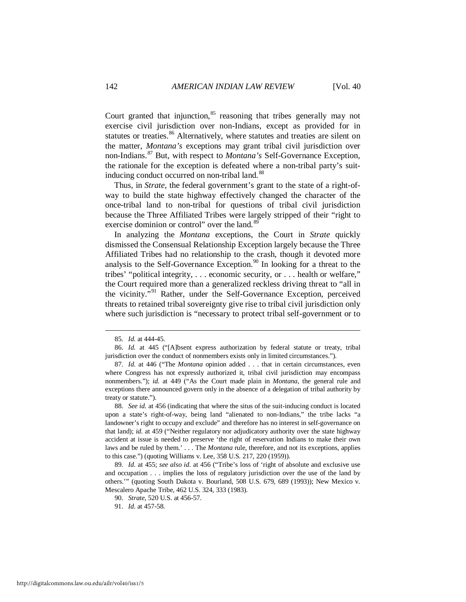Court granted that injunction,<sup>[85](#page-12-0)</sup> reasoning that tribes generally may not exercise civil jurisdiction over non-Indians, except as provided for in statutes or treaties.<sup>[86](#page-12-1)</sup> Alternatively, where statutes and treaties are silent on the matter, *Montana's* exceptions may grant tribal civil jurisdiction over non-Indians.[87](#page-12-2) But, with respect to *Montana's* Self-Governance Exception, the rationale for the exception is defeated where a non-tribal party's suit-inducing conduct occurred on non-tribal land.<sup>[88](#page-12-3)</sup>

Thus, in *Strate*, the federal government's grant to the state of a right-ofway to build the state highway effectively changed the character of the once-tribal land to non-tribal for questions of tribal civil jurisdiction because the Three Affiliated Tribes were largely stripped of their "right to exercise dominion or control" over the land.<sup>[89](#page-12-4)</sup>

In analyzing the *Montana* exceptions, the Court in *Strate* quickly dismissed the Consensual Relationship Exception largely because the Three Affiliated Tribes had no relationship to the crash, though it devoted more analysis to the Self-Governance Exception.<sup>[90](#page-12-5)</sup> In looking for a threat to the tribes' "political integrity, . . . economic security, or . . . health or welfare," the Court required more than a generalized reckless driving threat to "all in the vicinity."<sup>[91](#page-12-6)</sup> Rather, under the Self-Governance Exception, perceived threats to retained tribal sovereignty give rise to tribal civil jurisdiction only where such jurisdiction is "necessary to protect tribal self-government or to

 <sup>85.</sup> *Id.* at 444-45.

<span id="page-12-1"></span><span id="page-12-0"></span> <sup>86.</sup> *Id.* at 445 ("[A]bsent express authorization by federal statute or treaty, tribal jurisdiction over the conduct of nonmembers exists only in limited circumstances.").

<span id="page-12-2"></span> <sup>87.</sup> *Id.* at 446 ("The *Montana* opinion added . . . that in certain circumstances, even where Congress has not expressly authorized it, tribal civil jurisdiction may encompass nonmembers."); *id.* at 449 ("As the Court made plain in *Montana*, the general rule and exceptions there announced govern only in the absence of a delegation of tribal authority by treaty or statute.").

<span id="page-12-3"></span> <sup>88.</sup> *See id.* at 456 (indicating that where the situs of the suit-inducing conduct is located upon a state's right-of-way, being land "alienated to non-Indians," the tribe lacks "a landowner's right to occupy and exclude" and therefore has no interest in self-governance on that land); *id.* at 459 ("Neither regulatory nor adjudicatory authority over the state highway accident at issue is needed to preserve 'the right of reservation Indians to make their own laws and be ruled by them.' . . . The *Montana* rule, therefore, and not its exceptions, applies to this case.") (quoting Williams v. Lee, 358 U.S. 217, 220 (1959)).

<span id="page-12-6"></span><span id="page-12-5"></span><span id="page-12-4"></span> <sup>89.</sup> *Id.* at 455; *see also id.* at 456 ("Tribe's loss of 'right of absolute and exclusive use and occupation . . . implies the loss of regulatory jurisdiction over the use of the land by others.'" (quoting South Dakota v. Bourland, 508 U.S. 679, 689 (1993)); New Mexico v. Mescalero Apache Tribe, 462 U.S. 324, 333 (1983).

 <sup>90.</sup> *Strate*, 520 U.S. at 456-57.

 <sup>91.</sup> *Id.* at 457-58.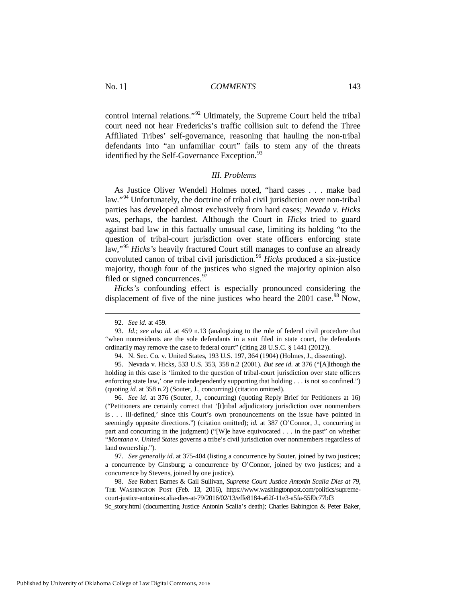control internal relations."[92](#page-13-0) Ultimately, the Supreme Court held the tribal court need not hear Fredericks's traffic collision suit to defend the Three Affiliated Tribes' self-governance, reasoning that hauling the non-tribal defendants into "an unfamiliar court" fails to stem any of the threats identified by the Self-Governance Exception.<sup>[93](#page-13-1)</sup>

#### *III. Problems*

As Justice Oliver Wendell Holmes noted, "hard cases . . . make bad law."<sup>[94](#page-13-2)</sup> Unfortunately, the doctrine of tribal civil jurisdiction over non-tribal parties has developed almost exclusively from hard cases; *Nevada v. Hicks* was, perhaps, the hardest. Although the Court in *Hicks* tried to guard against bad law in this factually unusual case, limiting its holding "to the question of tribal-court jurisdiction over state officers enforcing state law,"[95](#page-13-3) *Hicks's* heavily fractured Court still manages to confuse an already convoluted canon of tribal civil jurisdiction.<sup>[96](#page-13-4)</sup> *Hicks* produced a six-justice majority, though four of the justices who signed the majority opinion also filed or signed concurrences.<sup>[97](#page-13-5)</sup>

*Hicks's* confounding effect is especially pronounced considering the displacement of five of the nine justices who heard the  $2001$  case.<sup>[98](#page-13-6)</sup> Now,

<u>.</u>

<span id="page-13-4"></span> 96. *See id.* at 376 (Souter, J., concurring) (quoting Reply Brief for Petitioners at 16) ("Petitioners are certainly correct that '[t]ribal adjudicatory jurisdiction over nonmembers is . . . ill-defined,' since this Court's own pronouncements on the issue have pointed in seemingly opposite directions.") (citation omitted); *id.* at 387 (O'Connor, J., concurring in part and concurring in the judgment) ("[W]e have equivocated . . . in the past" on whether "*Montana v. United States* governs a tribe's civil jurisdiction over nonmembers regardless of land ownership.").

<span id="page-13-5"></span> 97. *See generally id.* at 375-404 (listing a concurrence by Souter, joined by two justices; a concurrence by Ginsburg; a concurrence by O'Connor, joined by two justices; and a concurrence by Stevens, joined by one justice).

<span id="page-13-6"></span> 98. *See* Robert Barnes & Gail Sullivan, *Supreme Court Justice Antonin Scalia Dies at 79*, THE WASHINGTON POST (Feb. 13, 2016), https://www.washingtonpost.com/politics/supremecourt-justice-antonin-scalia-dies-at-79/2016/02/13/effe8184-a62f-11e3-a5fa-55f0c77bf3 9c\_story.html (documenting Justice Antonin Scalia's death); Charles Babington & Peter Baker,

 <sup>92.</sup> *See id.* at 459.

<span id="page-13-1"></span><span id="page-13-0"></span> <sup>93.</sup> *Id.*; *see also id.* at 459 n.13 (analogizing to the rule of federal civil procedure that "when nonresidents are the sole defendants in a suit filed in state court, the defendants ordinarily may remove the case to federal court" (citing 28 U.S.C. § 1441 (2012)).

 <sup>94.</sup> N. Sec. Co. v. United States, 193 U.S. 197, 364 (1904) (Holmes, J., dissenting).

<span id="page-13-3"></span><span id="page-13-2"></span> <sup>95.</sup> Nevada v. Hicks, 533 U.S. 353, 358 n.2 (2001). *But see id.* at 376 ("[A]lthough the holding in this case is 'limited to the question of tribal-court jurisdiction over state officers enforcing state law,' one rule independently supporting that holding . . . is not so confined.") (quoting *id.* at 358 n.2) (Souter, J., concurring) (citation omitted).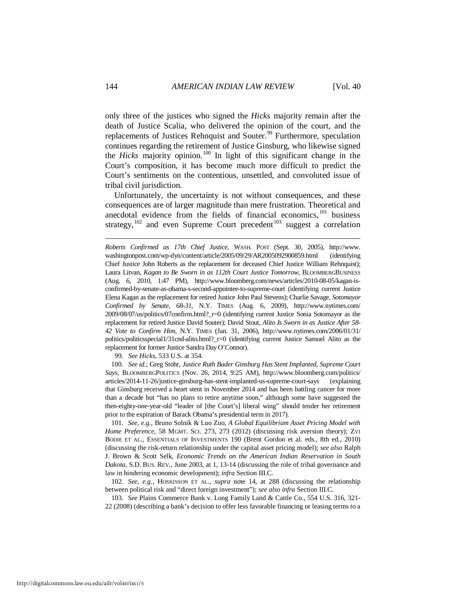only three of the justices who signed the *Hicks* majority remain after the death of Justice Scalia, who delivered the opinion of the court, and the replacements of Justices Rehnquist and Souter.<sup>[99](#page-14-0)</sup> Furthermore, speculation continues regarding the retirement of Justice Ginsburg, who likewise signed the *Hicks* majority opinion.<sup>[100](#page-14-1)</sup> In light of this significant change in the Court's composition, it has become much more difficult to predict the Court's sentiments on the contentious, unsettled, and convoluted issue of tribal civil jurisdiction.

Unfortunately, the uncertainty is not without consequences, and these consequences are of larger magnitude than mere frustration. Theoretical and anecdotal evidence from the fields of financial economics, <sup>101</sup> business strategy,<sup>[102](#page-14-3)</sup> and even Supreme Court precedent<sup>103</sup> suggest a correlation

*Roberts Confirmed as 17th Chief Justice*, WASH. POST (Sept. 30, 2005), http://www. washingtonpost.com/wp-dyn/content/article/2005/09/29/AR2005092900859.html (identifying Chief Justice John Roberts as the replacement for deceased Chief Justice William Rehnquist); Laura Litvan, *Kagan to Be Sworn in as 112th Court Justice Tomorrow*, BLOOMBERGBUSINESS (Aug. 6, 2010, 1:47 PM), http://www.bloomberg.com/news/articles/2010-08-05/kagan-isconfirmed-by-senate-as-obama-s-second-appointee-to-supreme-court (identifying current Justice Elena Kagan as the replacement for retired Justice John Paul Stevens); Charlie Savage, *Sotomayor Confirmed by Senate, 68-31*, N.Y. TIMES (Aug. 6, 2009), http://www.nytimes.com/ 2009/08/07/us/politics/07confirm.html?\_r=0 (identifying current Justice Sonia Sotomayor as the replacement for retired Justice David Souter); David Stout, *Alito Is Sworn in as Justice After 58- 42 Vote to Confirm Him*, N.Y. TIMES (Jan. 31, 2006), http://www.nytimes.com/2006/01/31/ politics/politicsspecial1/31cnd-alito.html?\_r=0 (identifying current Justice Samuel Alito as the replacement for former Justice Sandra Day O'Connor).

99. *See Hicks*, 533 U.S. at 354.

<span id="page-14-1"></span><span id="page-14-0"></span> 100. *See id.*; Greg Stohr, *Justice Ruth Bader Ginsburg Has Stent Implanted, Supreme Court Says*, BLOOMBERGPOLITICS (Nov. 26, 2014, 9:25 AM), http://www.bloomberg.com/politics/ articles/2014-11-26/justice-ginsburg-has-stent-implanted-us-supreme-court-says (explaining that Ginsburg received a heart stent in November 2014 and has been battling cancer for more than a decade but "has no plans to retire anytime soon," although some have suggested the then-eighty-one-year-old "leader of [the Court's] liberal wing" should tender her retirement prior to the expiration of Barack Obama's presidential term in 2017).

<span id="page-14-2"></span> 101. *See, e.g.,* Bruno Solnik & Luo Zuo, *A Global Equilibrium Asset Pricing Model with Home Preference*, 58 MGMT. SCI. 273, 273 (2012) (discussing risk aversion theory); ZVI BODIE ET AL., ESSENTIALS OF INVESTMENTS 190 (Brent Gordon et al. eds., 8th ed., 2010) (discussing the risk-return relationship under the capital asset pricing model); *see also* Ralph J. Brown & Scott Selk, *Economic Trends on the American Indian Reservation in South Dakota*, S.D. BUS. REV., June 2003, at 1, 13-14 (discussing the role of tribal governance and law in hindering economic development); *infra* Section III.C.

<span id="page-14-3"></span> 102. *See, e.g.,* HOSKISSON ET AL., *supra* note 14, at 288 (discussing the relationship between political risk and "direct foreign investment"); *see also infra* Section III.C.

<span id="page-14-4"></span> 103. *See* Plains Commerce Bank v. Long Family Land & Cattle Co., 554 U.S. 316, 321- 22 (2008) (describing a bank's decision to offer less favorable financing or leasing terms to a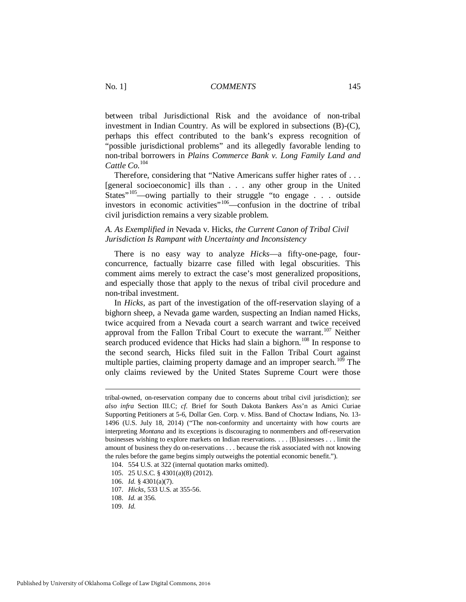between tribal Jurisdictional Risk and the avoidance of non-tribal investment in Indian Country. As will be explored in subsections (B)-(C), perhaps this effect contributed to the bank's express recognition of "possible jurisdictional problems" and its allegedly favorable lending to non-tribal borrowers in *Plains Commerce Bank v. Long Family Land and Cattle Co*. [104](#page-15-0)

Therefore, considering that "Native Americans suffer higher rates of . . . [general socioeconomic] ills than . . . any other group in the United States<sup>"[105](#page-15-1)</sup>—owing partially to their struggle "to engage . . . outside investors in economic activities"[106—](#page-15-2)confusion in the doctrine of tribal civil jurisdiction remains a very sizable problem.

## *A. As Exemplified in* Nevada v. Hicks*, the Current Canon of Tribal Civil Jurisdiction Is Rampant with Uncertainty and Inconsistency*

There is no easy way to analyze *Hicks*—a fifty-one-page, fourconcurrence, factually bizarre case filled with legal obscurities. This comment aims merely to extract the case's most generalized propositions, and especially those that apply to the nexus of tribal civil procedure and non-tribal investment.

In *Hicks*, as part of the investigation of the off-reservation slaying of a bighorn sheep, a Nevada game warden, suspecting an Indian named Hicks, twice acquired from a Nevada court a search warrant and twice received approval from the Fallon Tribal Court to execute the warrant.<sup>[107](#page-15-3)</sup> Neither search produced evidence that Hicks had slain a bighorn.<sup>[108](#page-15-4)</sup> In response to the second search, Hicks filed suit in the Fallon Tribal Court against multiple parties, claiming property damage and an improper search.<sup>[109](#page-15-5)</sup> The only claims reviewed by the United States Supreme Court were those

tribal-owned, on-reservation company due to concerns about tribal civil jurisdiction); *see also infra* Section III.C; *cf.* Brief for South Dakota Bankers Ass'n as Amici Curiae Supporting Petitioners at 5-6, Dollar Gen. Corp. v. Miss. Band of Choctaw Indians, No. 13- 1496 (U.S. July 18, 2014) ("The non-conformity and uncertainty with how courts are interpreting *Montana* and its exceptions is discouraging to nonmembers and off-reservation businesses wishing to explore markets on Indian reservations. . . . [B]usinesses . . . limit the amount of business they do on-reservations . . . because the risk associated with not knowing the rules before the game begins simply outweighs the potential economic benefit.").

<span id="page-15-0"></span> <sup>104. 554</sup> U.S. at 322 (internal quotation marks omitted).

<span id="page-15-1"></span> <sup>105. 25</sup> U.S.C. § 4301(a)(8) (2012).

<span id="page-15-2"></span> <sup>106.</sup> *Id.* § 4301(a)(7).

<span id="page-15-3"></span> <sup>107.</sup> *Hicks*, 533 U.S. at 355-56.

<span id="page-15-4"></span> <sup>108.</sup> *Id.* at 356.

<span id="page-15-5"></span> <sup>109.</sup> *Id.*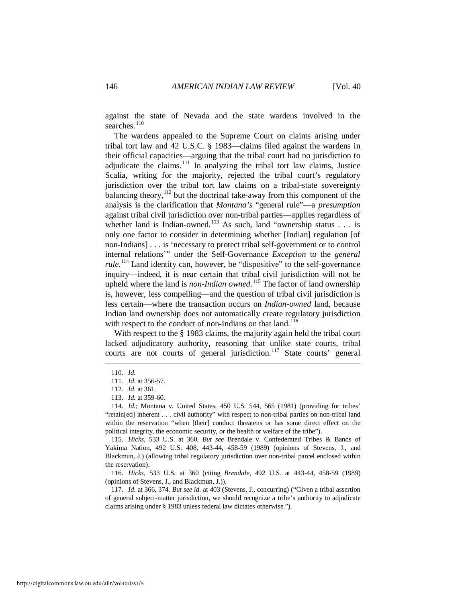against the state of Nevada and the state wardens involved in the searches.<sup>110</sup>

The wardens appealed to the Supreme Court on claims arising under tribal tort law and 42 U.S.C. § 1983—claims filed against the wardens in their official capacities—arguing that the tribal court had no jurisdiction to adjudicate the claims.<sup>[111](#page-16-1)</sup> In analyzing the tribal tort law claims, Justice Scalia, writing for the majority, rejected the tribal court's regulatory jurisdiction over the tribal tort law claims on a tribal-state sovereignty balancing theory,  $112$  but the doctrinal take-away from this component of the analysis is the clarification that *Montana's* "general rule"—a *presumption* against tribal civil jurisdiction over non-tribal parties—applies regardless of whether land is Indian-owned.<sup>[113](#page-16-3)</sup> As such, land "ownership status  $\ldots$  is only one factor to consider in determining whether [Indian] regulation [of non-Indians] . . . is 'necessary to protect tribal self-government or to control internal relations'" under the Self-Governance *Exception* to the *general*  rule.<sup>[114](#page-16-4)</sup> Land identity can, however, be "dispositive" to the self-governance inquiry—indeed, it is near certain that tribal civil jurisdiction will not be upheld where the land is *non-Indian owned*. [115](#page-16-5) The factor of land ownership is, however, less compelling—and the question of tribal civil jurisdiction is less certain—where the transaction occurs on *Indian-owned* land, because Indian land ownership does not automatically create regulatory jurisdiction with respect to the conduct of non-Indians on that  $land.<sup>116</sup>$  $land.<sup>116</sup>$  $land.<sup>116</sup>$ 

With respect to the § 1983 claims, the majority again held the tribal court lacked adjudicatory authority, reasoning that unlike state courts, tribal courts are not courts of general jurisdiction.<sup>[117](#page-16-7)</sup> State courts' general

<span id="page-16-1"></span><span id="page-16-0"></span><u>.</u>

<span id="page-16-6"></span> 116. *Hicks*, 533 U.S. at 360 (citing *Brendale*, 492 U.S. at 443-44, 458-59 (1989) (opinions of Stevens, J., and Blackmun, J.)).

<span id="page-16-7"></span> 117. *Id.* at 366, 374. *But see id.* at 403 (Stevens, J., concurring) ("Given a tribal assertion of general subject-matter jurisdiction, we should recognize a tribe's authority to adjudicate claims arising under § 1983 unless federal law dictates otherwise.").

 <sup>110.</sup> *Id.* 

 <sup>111.</sup> *Id.* at 356-57.

 <sup>112.</sup> *Id.* at 361.

 <sup>113.</sup> *Id.* at 359-60.

<span id="page-16-4"></span><span id="page-16-3"></span><span id="page-16-2"></span> <sup>114.</sup> *Id.*; Montana v. United States, 450 U.S. 544, 565 (1981) (providing for tribes' "retain[ed] inherent . . . civil authority" with respect to non-tribal parties on non-tribal land within the reservation "when [their] conduct threatens or has some direct effect on the political integrity, the economic security, or the health or welfare of the tribe").

<span id="page-16-5"></span> <sup>115.</sup> *Hicks*, 533 U.S. at 360. *But see* Brendale v. Confederated Tribes & Bands of Yakima Nation, 492 U.S. 408, 443-44, 458-59 (1989) (opinions of Stevens, J., and Blackmun, J.) (allowing tribal regulatory jurisdiction over non-tribal parcel enclosed within the reservation).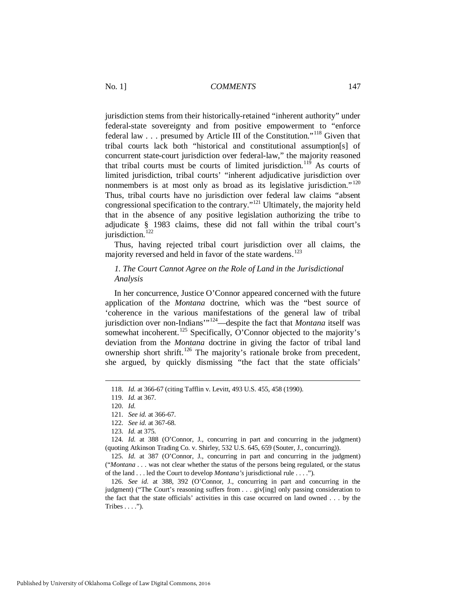jurisdiction stems from their historically-retained "inherent authority" under federal-state sovereignty and from positive empowerment to "enforce federal law . . . presumed by Article III of the Constitution."[118](#page-17-0) Given that tribal courts lack both "historical and constitutional assumption[s] of concurrent state-court jurisdiction over federal-law," the majority reasoned that tribal courts must be courts of limited jurisdiction.<sup>[119](#page-17-1)</sup> As courts of limited jurisdiction, tribal courts' "inherent adjudicative jurisdiction over nonmembers is at most only as broad as its legislative jurisdiction."<sup>[120](#page-17-2)</sup> Thus, tribal courts have no jurisdiction over federal law claims "absent congressional specification to the contrary."[121](#page-17-3) Ultimately, the majority held that in the absence of any positive legislation authorizing the tribe to adjudicate § 1983 claims, these did not fall within the tribal court's jurisdiction.<sup>[122](#page-17-4)</sup>

Thus, having rejected tribal court jurisdiction over all claims, the majority reversed and held in favor of the state wardens.<sup>[123](#page-17-5)</sup>

## *1. The Court Cannot Agree on the Role of Land in the Jurisdictional Analysis*

In her concurrence, Justice O'Connor appeared concerned with the future application of the *Montana* doctrine, which was the "best source of 'coherence in the various manifestations of the general law of tribal jurisdiction over non-Indians'"[124](#page-17-6)—despite the fact that *Montana* itself was somewhat incoherent.<sup>[125](#page-17-7)</sup> Specifically, O'Connor objected to the majority's deviation from the *Montana* doctrine in giving the factor of tribal land ownership short shrift.<sup>[126](#page-17-8)</sup> The majority's rationale broke from precedent, she argued, by quickly dismissing "the fact that the state officials'

<span id="page-17-0"></span> <sup>118.</sup> *Id.* at 366-67 (citing Tafflin v. Levitt, 493 U.S. 455, 458 (1990).

<span id="page-17-1"></span> <sup>119.</sup> *Id.* at 367.

 <sup>120.</sup> *Id.*

 <sup>121.</sup> *See id.* at 366-67.

 <sup>122.</sup> *See id.* at 367-68.

 <sup>123.</sup> *Id.* at 375.

<span id="page-17-6"></span><span id="page-17-5"></span><span id="page-17-4"></span><span id="page-17-3"></span><span id="page-17-2"></span> <sup>124.</sup> *Id.* at 388 (O'Connor, J., concurring in part and concurring in the judgment) (quoting Atkinson Trading Co. v. Shirley, 532 U.S. 645, 659 (Souter, J., concurring)).

<span id="page-17-7"></span> <sup>125.</sup> *Id.* at 387 (O'Connor, J., concurring in part and concurring in the judgment) ("*Montana* . . . was not clear whether the status of the persons being regulated, or the status of the land . . . led the Court to develop *Montana's* jurisdictional rule . . . .").

<span id="page-17-8"></span> <sup>126.</sup> *See id.* at 388, 392 (O'Connor, J., concurring in part and concurring in the judgment) ("The Court's reasoning suffers from . . . giv[ing] only passing consideration to the fact that the state officials' activities in this case occurred on land owned . . . by the Tribes  $\dots$ .").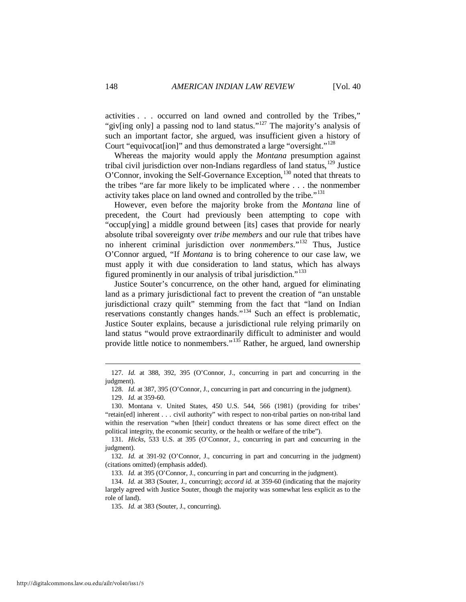activities . . . occurred on land owned and controlled by the Tribes," "giv[ing only] a passing nod to land status."<sup>[127](#page-18-0)</sup> The majority's analysis of such an important factor, she argued, was insufficient given a history of Court "equivocate lion]" and thus demonstrated a large "oversight."<sup>128</sup>

Whereas the majority would apply the *Montana* presumption against tribal civil jurisdiction over non-Indians regardless of land status, $129$  Justice O'Connor, invoking the Self-Governance Exception, <sup>[130](#page-18-3)</sup> noted that threats to the tribes "are far more likely to be implicated where . . . the nonmember activity takes place on land owned and controlled by the tribe."<sup>[131](#page-18-4)</sup>

However, even before the majority broke from the *Montana* line of precedent, the Court had previously been attempting to cope with "occup[ying] a middle ground between [its] cases that provide for nearly absolute tribal sovereignty over *tribe members* and our rule that tribes have no inherent criminal jurisdiction over *nonmembers*."[132](#page-18-5) Thus, Justice O'Connor argued, "If *Montana* is to bring coherence to our case law, we must apply it with due consideration to land status, which has always figured prominently in our analysis of tribal jurisdiction."<sup>[133](#page-18-6)</sup>

Justice Souter's concurrence, on the other hand, argued for eliminating land as a primary jurisdictional fact to prevent the creation of "an unstable jurisdictional crazy quilt" stemming from the fact that "land on Indian reservations constantly changes hands."[134](#page-18-7) Such an effect is problematic, Justice Souter explains, because a jurisdictional rule relying primarily on land status "would prove extraordinarily difficult to administer and would provide little notice to nonmembers."<sup>[135](#page-18-8)</sup> Rather, he argued, land ownership

<span id="page-18-1"></span><span id="page-18-0"></span> <sup>127.</sup> *Id.* at 388, 392, 395 (O'Connor, J., concurring in part and concurring in the judgment).

 <sup>128.</sup> *Id.* at 387, 395 (O'Connor, J., concurring in part and concurring in the judgment).

 <sup>129.</sup> *Id.* at 359-60.

<span id="page-18-3"></span><span id="page-18-2"></span> <sup>130.</sup> Montana v. United States, 450 U.S. 544, 566 (1981) (providing for tribes' "retain[ed] inherent . . . civil authority" with respect to non-tribal parties on non-tribal land within the reservation "when [their] conduct threatens or has some direct effect on the political integrity, the economic security, or the health or welfare of the tribe").

<span id="page-18-4"></span> <sup>131.</sup> *Hicks*, 533 U.S. at 395 (O'Connor, J., concurring in part and concurring in the judgment).

<span id="page-18-5"></span> <sup>132.</sup> *Id.* at 391-92 (O'Connor, J., concurring in part and concurring in the judgment) (citations omitted) (emphasis added).

 <sup>133.</sup> *Id.* at 395 (O'Connor, J., concurring in part and concurring in the judgment).

<span id="page-18-8"></span><span id="page-18-7"></span><span id="page-18-6"></span> <sup>134.</sup> *Id.* at 383 (Souter, J., concurring); *accord id.* at 359-60 (indicating that the majority largely agreed with Justice Souter, though the majority was somewhat less explicit as to the role of land).

 <sup>135.</sup> *Id.* at 383 (Souter, J., concurring).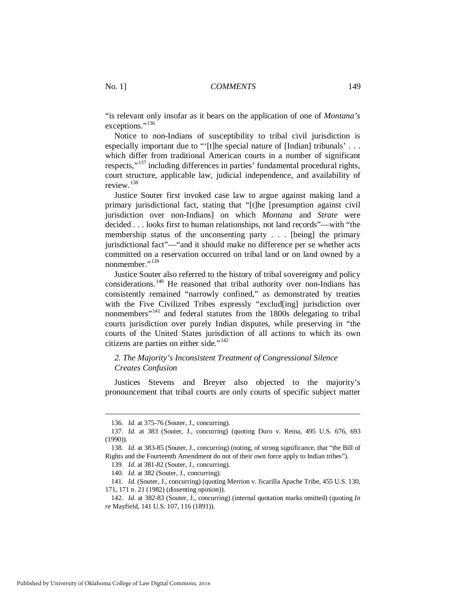"is relevant only insofar as it bears on the application of one of *Montana's*  exceptions."<sup>[136](#page-19-0)</sup>

Notice to non-Indians of susceptibility to tribal civil jurisdiction is especially important due to "'[t]he special nature of [Indian] tribunals' . . . which differ from traditional American courts in a number of significant respects,"[137](#page-19-1) including differences in parties' fundamental procedural rights, court structure, applicable law, judicial independence, and availability of review.[138](#page-19-2)

Justice Souter first invoked case law to argue against making land a primary jurisdictional fact, stating that "[t]he [presumption against civil jurisdiction over non-Indians] on which *Montana* and *Strate* were decided . . . looks first to human relationships, not land records"—with "the membership status of the unconsenting party . . . [being] the primary jurisdictional fact"—"and it should make no difference per se whether acts committed on a reservation occurred on tribal land or on land owned by a nonmember."<sup>[139](#page-19-3)</sup>

Justice Souter also referred to the history of tribal sovereignty and policy considerations.<sup>[140](#page-19-4)</sup> He reasoned that tribal authority over non-Indians has consistently remained "narrowly confined," as demonstrated by treaties with the Five Civilized Tribes expressly "exclud[ing] jurisdiction over nonmembers"[141](#page-19-5) and federal statutes from the 1800s delegating to tribal courts jurisdiction over purely Indian disputes, while preserving in "the courts of the United States jurisdiction of all actions to which its own citizens are parties on either side."[142](#page-19-6)

## *2. The Majority's Inconsistent Treatment of Congressional Silence Creates Confusion*

Justices Stevens and Breyer also objected to the majority's pronouncement that tribal courts are only courts of specific subject matter

 <sup>136.</sup> *Id.* at 375-76 (Souter, J., concurring).

<span id="page-19-1"></span><span id="page-19-0"></span> <sup>137.</sup> *Id.* at 383 (Souter, J., concurring) (quoting Duro v. Reina, 495 U.S. 676, 693 (1990)).

<span id="page-19-3"></span><span id="page-19-2"></span> <sup>138.</sup> *Id.* at 383-85 (Souter, J., concurring) (noting, of strong significance, that "the Bill of Rights and the Fourteenth Amendment do not of their own force apply to Indian tribes").

 <sup>139.</sup> *Id.* at 381-82 (Souter, J., concurring).

 <sup>140.</sup> *Id.* at 382 (Souter, J., concurring).

<span id="page-19-5"></span><span id="page-19-4"></span> <sup>141.</sup> *Id.* (Souter, J., concurring) (quoting Merrion v. Jicarilla Apache Tribe, 455 U.S. 130, 171, 171 n. 21 (1982) (dissenting opinion)).

<span id="page-19-6"></span> <sup>142.</sup> *Id.* at 382-83 (Souter, J., concurring) (internal quotation marks omitted) (quoting *In re* Mayfield, 141 U.S. 107, 116 (1891)).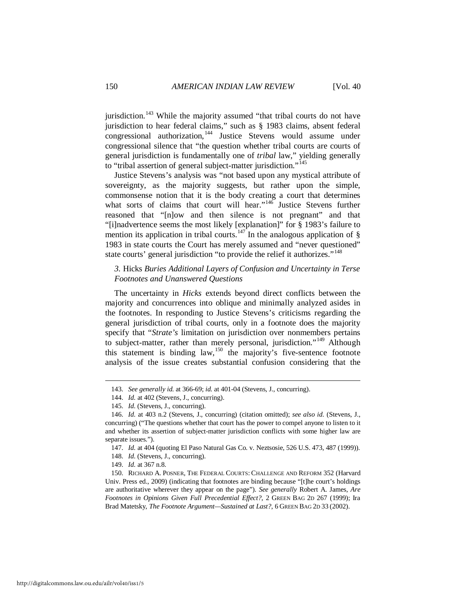jurisdiction.<sup>[143](#page-20-0)</sup> While the majority assumed "that tribal courts do not have jurisdiction to hear federal claims," such as § 1983 claims, absent federal congressional authorization,<sup>[144](#page-20-1)</sup> Justice Stevens would assume under congressional silence that "the question whether tribal courts are courts of general jurisdiction is fundamentally one of *tribal* law," yielding generally to "tribal assertion of general subject-matter jurisdiction."<sup>[145](#page-20-2)</sup>

Justice Stevens's analysis was "not based upon any mystical attribute of sovereignty, as the majority suggests, but rather upon the simple, commonsense notion that it is the body creating a court that determines what sorts of claims that court will hear."<sup>[146](#page-20-3)</sup> Justice Stevens further reasoned that "[n]ow and then silence is not pregnant" and that "[i]nadvertence seems the most likely [explanation]" for § 1983's failure to mention its application in tribal courts.<sup>[147](#page-20-4)</sup> In the analogous application of  $\S$ 1983 in state courts the Court has merely assumed and "never questioned" state courts' general jurisdiction "to provide the relief it authorizes."<sup>[148](#page-20-5)</sup>

## *3.* Hicks *Buries Additional Layers of Confusion and Uncertainty in Terse Footnotes and Unanswered Questions*

The uncertainty in *Hicks* extends beyond direct conflicts between the majority and concurrences into oblique and minimally analyzed asides in the footnotes. In responding to Justice Stevens's criticisms regarding the general jurisdiction of tribal courts, only in a footnote does the majority specify that "*Strate's* limitation on jurisdiction over nonmembers pertains to subject-matter, rather than merely personal, jurisdiction."<sup>[149](#page-20-6)</sup> Although this statement is binding law,<sup>[150](#page-20-7)</sup> the majority's five-sentence footnote analysis of the issue creates substantial confusion considering that the

 <sup>143.</sup> *See generally id.* at 366-69; *id.* at 401-04 (Stevens, J., concurring).

 <sup>144.</sup> *Id.* at 402 (Stevens, J., concurring).

 <sup>145.</sup> *Id.* (Stevens, J., concurring).

<span id="page-20-3"></span><span id="page-20-2"></span><span id="page-20-1"></span><span id="page-20-0"></span> <sup>146.</sup> *Id.* at 403 n.2 (Stevens, J., concurring) (citation omitted); *see also id.* (Stevens, J., concurring) ("The questions whether that court has the power to compel anyone to listen to it and whether its assertion of subject-matter jurisdiction conflicts with some higher law are separate issues.").

 <sup>147.</sup> *Id.* at 404 (quoting El Paso Natural Gas Co. v. Neztsosie, 526 U.S. 473, 487 (1999)).

 <sup>148.</sup> *Id.* (Stevens, J., concurring).

 <sup>149.</sup> *Id.* at 367 n.8.

<span id="page-20-7"></span><span id="page-20-6"></span><span id="page-20-5"></span><span id="page-20-4"></span> <sup>150.</sup> RICHARD A. POSNER, THE FEDERAL COURTS: CHALLENGE AND REFORM 352 (Harvard Univ. Press ed., 2009) (indicating that footnotes are binding because "[t]he court's holdings are authoritative wherever they appear on the page"). *See generally* Robert A. James, *Are Footnotes in Opinions Given Full Precedential Effect?*, 2 GREEN BAG 2D 267 (1999); Ira Brad Matetsky, *The Footnote Argument—Sustained at Last?*, 6 GREEN BAG 2D 33 (2002).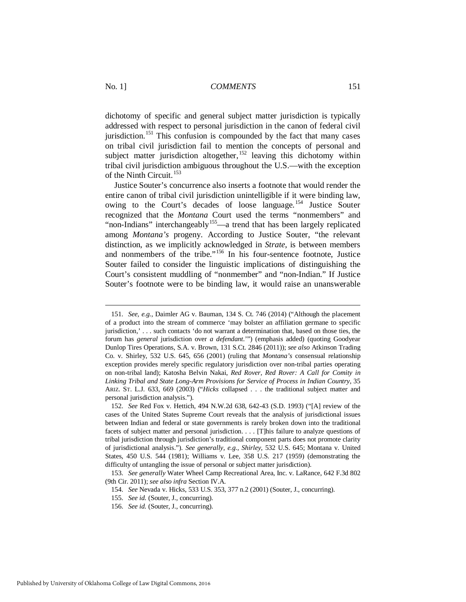dichotomy of specific and general subject matter jurisdiction is typically addressed with respect to personal jurisdiction in the canon of federal civil jurisdiction.<sup>[151](#page-21-0)</sup> This confusion is compounded by the fact that many cases on tribal civil jurisdiction fail to mention the concepts of personal and subject matter jurisdiction altogether,  $152$  leaving this dichotomy within tribal civil jurisdiction ambiguous throughout the U.S.—with the exception of the Ninth Circuit.<sup>[153](#page-21-2)</sup>

Justice Souter's concurrence also inserts a footnote that would render the entire canon of tribal civil jurisdiction unintelligible if it were binding law, owing to the Court's decades of loose language. [154](#page-21-3) Justice Souter recognized that the *Montana* Court used the terms "nonmembers" and "non-Indians" interchangeably<sup>[155](#page-21-4)</sup>—a trend that has been largely replicated among *Montana's* progeny. According to Justice Souter, "the relevant distinction, as we implicitly acknowledged in *Strate*, is between members and nonmembers of the tribe."[156](#page-21-5) In his four-sentence footnote, Justice Souter failed to consider the linguistic implications of distinguishing the Court's consistent muddling of "nonmember" and "non-Indian." If Justice Souter's footnote were to be binding law, it would raise an unanswerable

<span id="page-21-0"></span> <sup>151.</sup> *See, e.g.*, Daimler AG v. Bauman, 134 S. Ct. 746 (2014) ("Although the placement of a product into the stream of commerce 'may bolster an affiliation germane to specific jurisdiction,' . . . such contacts 'do not warrant a determination that, based on those ties, the forum has *general* jurisdiction over *a defendant*.'") (emphasis added) (quoting Goodyear Dunlop Tires Operations, S.A. v. Brown, 131 S.Ct. 2846 (2011)); *see also* Atkinson Trading Co. v. Shirley, 532 U.S. 645, 656 (2001) (ruling that *Montana's* consensual relationship exception provides merely specific regulatory jurisdiction over non-tribal parties operating on non-tribal land); Katosha Belvin Nakai, *Red Rover, Red Rover: A Call for Comity in Linking Tribal and State Long-Arm Provisions for Service of Process in Indian Country*, 35 ARIZ. ST. L.J. 633, 669 (2003) ("*Hicks* collapsed . . . the traditional subject matter and personal jurisdiction analysis.").

<span id="page-21-1"></span> <sup>152.</sup> *See* Red Fox v. Hettich, 494 N.W.2d 638, 642-43 (S.D. 1993) ("[A] review of the cases of the United States Supreme Court reveals that the analysis of jurisdictional issues between Indian and federal or state governments is rarely broken down into the traditional facets of subject matter and personal jurisdiction. . . . [T]his failure to analyze questions of tribal jurisdiction through jurisdiction's traditional component parts does not promote clarity of jurisdictional analysis."). *See generally, e.g., Shirley*, 532 U.S. 645; Montana v. United States, 450 U.S. 544 (1981); Williams v. Lee, 358 U.S. 217 (1959) (demonstrating the difficulty of untangling the issue of personal or subject matter jurisdiction).

<span id="page-21-5"></span><span id="page-21-4"></span><span id="page-21-3"></span><span id="page-21-2"></span> <sup>153.</sup> *See generally* Water Wheel Camp Recreational Area, Inc. v. LaRance, 642 F.3d 802 (9th Cir. 2011); *see also infra* Section IV.A.

 <sup>154.</sup> *See* Nevada v. Hicks, 533 U.S. 353, 377 n.2 (2001) (Souter, J., concurring).

 <sup>155.</sup> *See id.* (Souter, J., concurring).

 <sup>156.</sup> *See id.* (Souter, J., concurring).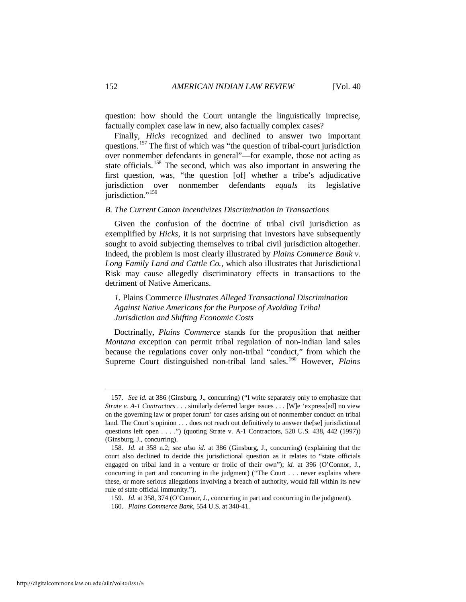question: how should the Court untangle the linguistically imprecise, factually complex case law in new, also factually complex cases?

Finally, *Hicks* recognized and declined to answer two important questions.<sup>[157](#page-22-0)</sup> The first of which was "the question of tribal-court jurisdiction over nonmember defendants in general"—for example, those not acting as state officials.<sup>[158](#page-22-1)</sup> The second, which was also important in answering the first question, was, "the question [of] whether a tribe's adjudicative jurisdiction over nonmember defendants *equals* its legislative jurisdiction."<sup>[159](#page-22-2)</sup>

#### *B. The Current Canon Incentivizes Discrimination in Transactions*

Given the confusion of the doctrine of tribal civil jurisdiction as exemplified by *Hicks*, it is not surprising that Investors have subsequently sought to avoid subjecting themselves to tribal civil jurisdiction altogether. Indeed, the problem is most clearly illustrated by *Plains Commerce Bank v. Long Family Land and Cattle Co.*, which also illustrates that Jurisdictional Risk may cause allegedly discriminatory effects in transactions to the detriment of Native Americans.

*1.* Plains Commerce *Illustrates Alleged Transactional Discrimination Against Native Americans for the Purpose of Avoiding Tribal Jurisdiction and Shifting Economic Costs*

Doctrinally, *Plains Commerce* stands for the proposition that neither *Montana* exception can permit tribal regulation of non-Indian land sales because the regulations cover only non-tribal "conduct," from which the Supreme Court distinguished non-tribal land sales.[160](#page-22-3) However, *Plains* 

<span id="page-22-0"></span> <sup>157.</sup> *See id.* at 386 (Ginsburg, J., concurring) ("I write separately only to emphasize that *Strate v. A-1 Contractors* . . . similarly deferred larger issues . . . [W]e 'express[ed] no view on the governing law or proper forum' for cases arising out of nonmember conduct on tribal land. The Court's opinion . . . does not reach out definitively to answer the[se] jurisdictional questions left open . . . .") (quoting Strate v. A-1 Contractors, 520 U.S. 438, 442 (1997)) (Ginsburg, J., concurring).

<span id="page-22-1"></span> <sup>158.</sup> *Id.* at 358 n.2; *see also id.* at 386 (Ginsburg, J., concurring) (explaining that the court also declined to decide this jurisdictional question as it relates to "state officials engaged on tribal land in a venture or frolic of their own"); *id.* at 396 (O'Connor, J., concurring in part and concurring in the judgment) ("The Court . . . never explains where these, or more serious allegations involving a breach of authority, would fall within its new rule of state official immunity.").

<span id="page-22-2"></span> <sup>159.</sup> *Id.* at 358, 374 (O'Connor, J., concurring in part and concurring in the judgment).

<span id="page-22-3"></span> <sup>160.</sup> *Plains Commerce Bank*, 554 U.S. at 340-41.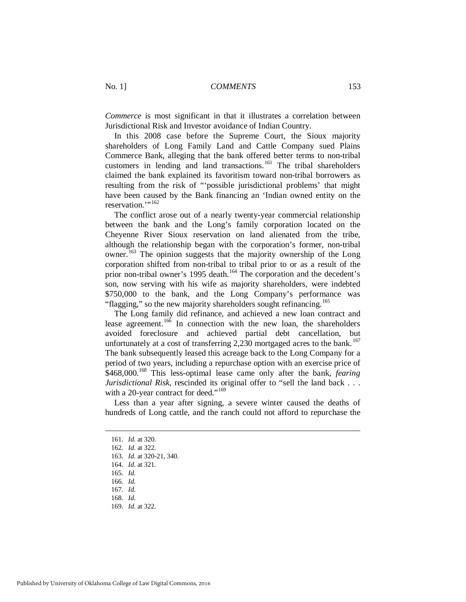*Commerce* is most significant in that it illustrates a correlation between Jurisdictional Risk and Investor avoidance of Indian Country.

In this 2008 case before the Supreme Court, the Sioux majority shareholders of Long Family Land and Cattle Company sued Plains Commerce Bank, alleging that the bank offered better terms to non-tribal customers in lending and land transactions.<sup>[161](#page-23-0)</sup> The tribal shareholders claimed the bank explained its favoritism toward non-tribal borrowers as resulting from the risk of "'possible jurisdictional problems' that might have been caused by the Bank financing an 'Indian owned entity on the reservation."<sup>[162](#page-23-1)</sup>

The conflict arose out of a nearly twenty-year commercial relationship between the bank and the Long's family corporation located on the Cheyenne River Sioux reservation on land alienated from the tribe, although the relationship began with the corporation's former, non-tribal owner.<sup>[163](#page-23-2)</sup> The opinion suggests that the majority ownership of the Long corporation shifted from non-tribal to tribal prior to or as a result of the prior non-tribal owner's 1995 death.<sup>[164](#page-23-3)</sup> The corporation and the decedent's son, now serving with his wife as majority shareholders, were indebted \$750,000 to the bank, and the Long Company's performance was "flagging," so the new majority shareholders sought refinancing.<sup>165</sup>

The Long family did refinance, and achieved a new loan contract and lease agreement.<sup>[166](#page-23-5)</sup> In connection with the new loan, the shareholders avoided foreclosure and achieved partial debt cancellation, but unfortunately at a cost of transferring 2,230 mortgaged acres to the bank.<sup>[167](#page-23-6)</sup> The bank subsequently leased this acreage back to the Long Company for a period of two years, including a repurchase option with an exercise price of \$468,000.<sup>[168](#page-23-7)</sup> This less-optimal lease came only after the bank, *fearing Jurisdictional Risk*, rescinded its original offer to "sell the land back . . . with a 20-year contract for deed."<sup>[169](#page-23-8)</sup>

<span id="page-23-0"></span>Less than a year after signing, a severe winter caused the deaths of hundreds of Long cattle, and the ranch could not afford to repurchase the

 <sup>161.</sup> *Id.* at 320.

<span id="page-23-1"></span> <sup>162.</sup> *Id.* at 322.

<span id="page-23-2"></span> <sup>163.</sup> *Id.* at 320-21, 340.

<span id="page-23-3"></span> <sup>164.</sup> *Id.* at 321.

<span id="page-23-4"></span> <sup>165.</sup> *Id.*

<span id="page-23-5"></span> <sup>166.</sup> *Id.*

<span id="page-23-6"></span> <sup>167.</sup> *Id.*

<span id="page-23-7"></span> <sup>168.</sup> *Id.* 

<span id="page-23-8"></span> <sup>169.</sup> *Id.* at 322.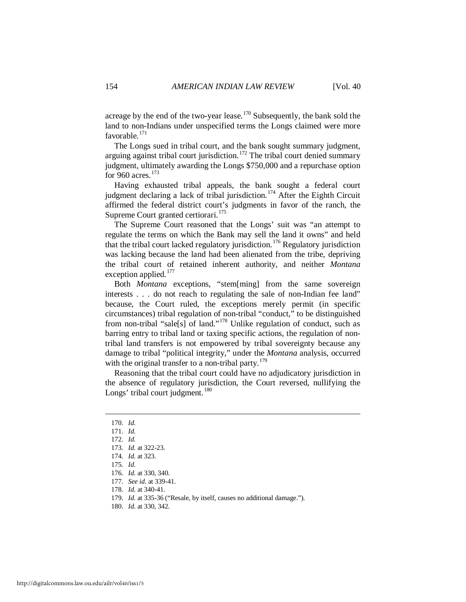acreage by the end of the two-year lease.<sup>[170](#page-24-0)</sup> Subsequently, the bank sold the land to non-Indians under unspecified terms the Longs claimed were more favorable.[171](#page-24-1)

The Longs sued in tribal court, and the bank sought summary judgment, arguing against tribal court jurisdiction.<sup>[172](#page-24-2)</sup> The tribal court denied summary judgment, ultimately awarding the Longs \$750,000 and a repurchase option for 960 acres.<sup>[173](#page-24-3)</sup>

Having exhausted tribal appeals, the bank sought a federal court judgment declaring a lack of tribal jurisdiction.<sup>[174](#page-24-4)</sup> After the Eighth Circuit affirmed the federal district court's judgments in favor of the ranch, the Supreme Court granted certiorari.<sup>[175](#page-24-5)</sup>

The Supreme Court reasoned that the Longs' suit was "an attempt to regulate the terms on which the Bank may sell the land it owns" and held that the tribal court lacked regulatory jurisdiction.<sup>[176](#page-24-6)</sup> Regulatory jurisdiction was lacking because the land had been alienated from the tribe, depriving the tribal court of retained inherent authority, and neither *Montana* exception applied.<sup>[177](#page-24-7)</sup>

Both *Montana* exceptions, "stem[ming] from the same sovereign interests . . . do not reach to regulating the sale of non-Indian fee land" because, the Court ruled, the exceptions merely permit (in specific circumstances) tribal regulation of non-tribal "conduct," to be distinguished from non-tribal "sale[s] of land."[178](#page-24-8) Unlike regulation of conduct, such as barring entry to tribal land or taxing specific actions, the regulation of nontribal land transfers is not empowered by tribal sovereignty because any damage to tribal "political integrity," under the *Montana* analysis, occurred with the original transfer to a non-tribal party.<sup>[179](#page-24-9)</sup>

Reasoning that the tribal court could have no adjudicatory jurisdiction in the absence of regulatory jurisdiction, the Court reversed, nullifying the Longs' tribal court judgment. $180$ 

 <sup>170.</sup> *Id.*

<span id="page-24-3"></span><span id="page-24-2"></span><span id="page-24-1"></span><span id="page-24-0"></span> <sup>171.</sup> *Id.* 

 <sup>172.</sup> *Id.*

 <sup>173.</sup> *Id.* at 322-23.

 <sup>174.</sup> *Id.* at 323.

<span id="page-24-6"></span><span id="page-24-5"></span><span id="page-24-4"></span> <sup>175.</sup> *Id.* 

<span id="page-24-7"></span> <sup>176.</sup> *Id.* at 330, 340.

 <sup>177.</sup> *See id.* at 339-41.

<span id="page-24-8"></span> <sup>178.</sup> *Id.* at 340-41.

<span id="page-24-10"></span><span id="page-24-9"></span> <sup>179.</sup> *Id.* at 335-36 ("Resale, by itself, causes no additional damage.").

 <sup>180.</sup> *Id.* at 330, 342.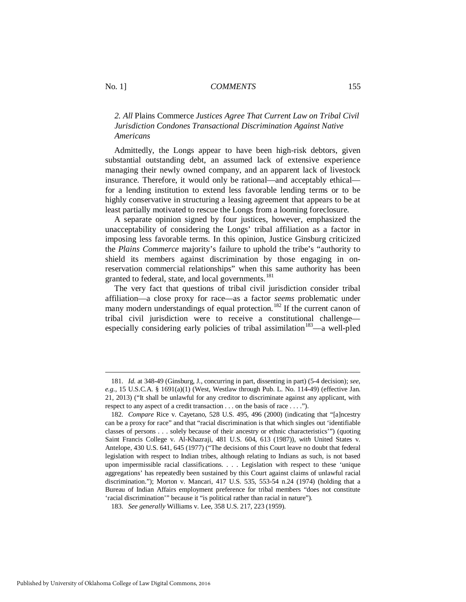## *2. All* Plains Commerce *Justices Agree That Current Law on Tribal Civil Jurisdiction Condones Transactional Discrimination Against Native Americans*

Admittedly, the Longs appear to have been high-risk debtors, given substantial outstanding debt, an assumed lack of extensive experience managing their newly owned company, and an apparent lack of livestock insurance. Therefore, it would only be rational—and acceptably ethical for a lending institution to extend less favorable lending terms or to be highly conservative in structuring a leasing agreement that appears to be at least partially motivated to rescue the Longs from a looming foreclosure.

A separate opinion signed by four justices, however, emphasized the unacceptability of considering the Longs' tribal affiliation as a factor in imposing less favorable terms. In this opinion, Justice Ginsburg criticized the *Plains Commerce* majority's failure to uphold the tribe's "authority to shield its members against discrimination by those engaging in onreservation commercial relationships" when this same authority has been granted to federal, state, and local governments.<sup>[181](#page-25-0)</sup>

The very fact that questions of tribal civil jurisdiction consider tribal affiliation—a close proxy for race—as a factor *seems* problematic under many modern understandings of equal protection.<sup>[182](#page-25-1)</sup> If the current canon of tribal civil jurisdiction were to receive a constitutional challenge— especially considering early policies of tribal assimilation<sup>[183](#page-25-2)</sup>—a well-pled

<span id="page-25-0"></span> <sup>181.</sup> *Id.* at 348-49 (Ginsburg, J., concurring in part, dissenting in part) (5-4 decision); *see*, *e.g.*, 15 U.S.C.A. § 1691(a)(1) (West, Westlaw through Pub. L. No. 114-49) (effective Jan. 21, 2013) ("It shall be unlawful for any creditor to discriminate against any applicant, with respect to any aspect of a credit transaction . . . on the basis of race . . . .").

<span id="page-25-1"></span> <sup>182.</sup> *Compare* Rice v. Cayetano, 528 U.S. 495, 496 (2000) (indicating that "[a]ncestry can be a proxy for race" and that "racial discrimination is that which singles out 'identifiable classes of persons . . . solely because of their ancestry or ethnic characteristics'") (quoting Saint Francis College v. Al-Khazraji, 481 U.S. 604, 613 (1987)), *with* United States v. Antelope, 430 U.S. 641, 645 (1977) ("The decisions of this Court leave no doubt that federal legislation with respect to Indian tribes, although relating to Indians as such, is not based upon impermissible racial classifications. . . . Legislation with respect to these 'unique aggregations' has repeatedly been sustained by this Court against claims of unlawful racial discrimination."); Morton v. Mancari, 417 U.S. 535, 553-54 n.24 (1974) (holding that a Bureau of Indian Affairs employment preference for tribal members "does not constitute 'racial discrimination'" because it "is political rather than racial in nature").

<span id="page-25-2"></span> <sup>183.</sup> *See generally* Williams v. Lee, 358 U.S. 217, 223 (1959).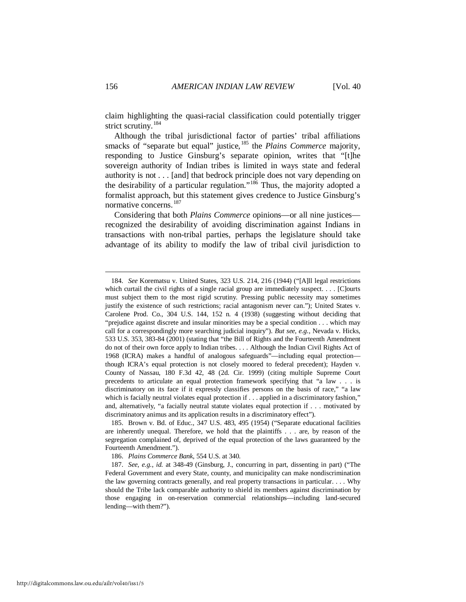claim highlighting the quasi-racial classification could potentially trigger strict scrutiny.<sup>184</sup>

Although the tribal jurisdictional factor of parties' tribal affiliations smacks of "separate but equal" justice,<sup>[185](#page-26-1)</sup> the *Plains Commerce* majority, responding to Justice Ginsburg's separate opinion, writes that "[t]he sovereign authority of Indian tribes is limited in ways state and federal authority is not . . . [and] that bedrock principle does not vary depending on the desirability of a particular regulation."[186](#page-26-2) Thus, the majority adopted a formalist approach, but this statement gives credence to Justice Ginsburg's normative concerns.[187](#page-26-3)

Considering that both *Plains Commerce* opinions—or all nine justices recognized the desirability of avoiding discrimination against Indians in transactions with non-tribal parties, perhaps the legislature should take advantage of its ability to modify the law of tribal civil jurisdiction to

<span id="page-26-1"></span> 185. Brown v. Bd. of Educ., 347 U.S. 483, 495 (1954) ("Separate educational facilities are inherently unequal. Therefore, we hold that the plaintiffs . . . are, by reason of the segregation complained of, deprived of the equal protection of the laws guaranteed by the Fourteenth Amendment.").

186. *Plains Commerce Bank*, 554 U.S. at 340.

<span id="page-26-0"></span> <sup>184.</sup> *See* Korematsu v. United States, 323 U.S. 214, 216 (1944) ("[A]ll legal restrictions which curtail the civil rights of a single racial group are immediately suspect. . . . [C]ourts must subject them to the most rigid scrutiny. Pressing public necessity may sometimes justify the existence of such restrictions; racial antagonism never can."); United States v. Carolene Prod. Co., 304 U.S. 144, 152 n. 4 (1938) (suggesting without deciding that "prejudice against discrete and insular minorities may be a special condition . . . which may call for a correspondingly more searching judicial inquiry"). *But see*, *e.g.*, Nevada v. Hicks, 533 U.S. 353, 383-84 (2001) (stating that "the Bill of Rights and the Fourteenth Amendment do not of their own force apply to Indian tribes. . . . Although the Indian Civil Rights Act of 1968 (ICRA) makes a handful of analogous safeguards"—including equal protection though ICRA's equal protection is not closely moored to federal precedent); Hayden v. County of Nassau, 180 F.3d 42, 48 (2d. Cir. 1999) (citing multiple Supreme Court precedents to articulate an equal protection framework specifying that "a law . . . is discriminatory on its face if it expressly classifies persons on the basis of race," "a law which is facially neutral violates equal protection if . . . applied in a discriminatory fashion," and, alternatively, "a facially neutral statute violates equal protection if . . . motivated by discriminatory animus and its application results in a discriminatory effect").

<span id="page-26-3"></span><span id="page-26-2"></span> <sup>187.</sup> *See*, *e.g.*, *id.* at 348-49 (Ginsburg, J., concurring in part, dissenting in part) ("The Federal Government and every State, county, and municipality can make nondiscrimination the law governing contracts generally, and real property transactions in particular. . . . Why should the Tribe lack comparable authority to shield its members against discrimination by those engaging in on-reservation commercial relationships—including land-secured lending—with them?").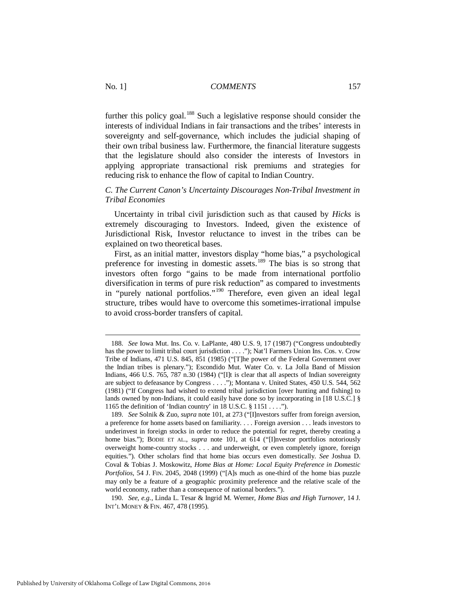further this policy goal.<sup>[188](#page-27-0)</sup> Such a legislative response should consider the interests of individual Indians in fair transactions and the tribes' interests in sovereignty and self-governance, which includes the judicial shaping of their own tribal business law. Furthermore, the financial literature suggests that the legislature should also consider the interests of Investors in applying appropriate transactional risk premiums and strategies for reducing risk to enhance the flow of capital to Indian Country.

#### *C. The Current Canon's Uncertainty Discourages Non-Tribal Investment in Tribal Economies*

Uncertainty in tribal civil jurisdiction such as that caused by *Hicks* is extremely discouraging to Investors. Indeed, given the existence of Jurisdictional Risk, Investor reluctance to invest in the tribes can be explained on two theoretical bases.

First, as an initial matter, investors display "home bias," a psychological preference for investing in domestic assets.[189](#page-27-1) The bias is so strong that investors often forgo "gains to be made from international portfolio diversification in terms of pure risk reduction" as compared to investments in "purely national portfolios."[190](#page-27-2) Therefore, even given an ideal legal structure, tribes would have to overcome this sometimes-irrational impulse to avoid cross-border transfers of capital.

<span id="page-27-0"></span> <sup>188.</sup> *See* Iowa Mut. Ins. Co. v. LaPlante, 480 U.S. 9, 17 (1987) ("Congress undoubtedly has the power to limit tribal court jurisdiction . . . ."); Nat'l Farmers Union Ins. Cos. v. Crow Tribe of Indians, 471 U.S. 845, 851 (1985) ("[T]he power of the Federal Government over the Indian tribes is plenary."); Escondido Mut. Water Co. v. La Jolla Band of Mission Indians, 466 U.S. 765, 787 n.30 (1984) ("Ilt is clear that all aspects of Indian sovereignty are subject to defeasance by Congress . . . ."); Montana v. United States, 450 U.S. 544, 562 (1981) ("If Congress had wished to extend tribal jurisdiction [over hunting and fishing] to lands owned by non-Indians, it could easily have done so by incorporating in [18 U.S.C.] § 1165 the definition of 'Indian country' in 18 U.S.C. § 1151 . . . .").

<span id="page-27-1"></span> <sup>189.</sup> *See* Solnik & Zuo, *supra* note 101, at 273 ("[I]nvestors suffer from foreign aversion, a preference for home assets based on familiarity. . . . Foreign aversion . . . leads investors to underinvest in foreign stocks in order to reduce the potential for regret, thereby creating a home bias."); BODIE ET AL., *supra* note 101, at 614 ("[I]nvestor portfolios notoriously overweight home-country stocks . . . and underweight, or even completely ignore, foreign equities."). Other scholars find that home bias occurs even domestically. *See* Joshua D. Coval & Tobias J. Moskowitz, *Home Bias at Home: Local Equity Preference in Domestic Portfolios*, 54 J. FIN. 2045, 2048 (1999) ("[A]s much as one-third of the home bias puzzle may only be a feature of a geographic proximity preference and the relative scale of the world economy, rather than a consequence of national borders.").

<span id="page-27-2"></span> <sup>190.</sup> *See, e.g.*, Linda L. Tesar & Ingrid M. Werner, *Home Bias and High Turnover*, 14 J. INT'L MONEY & FIN. 467, 478 (1995).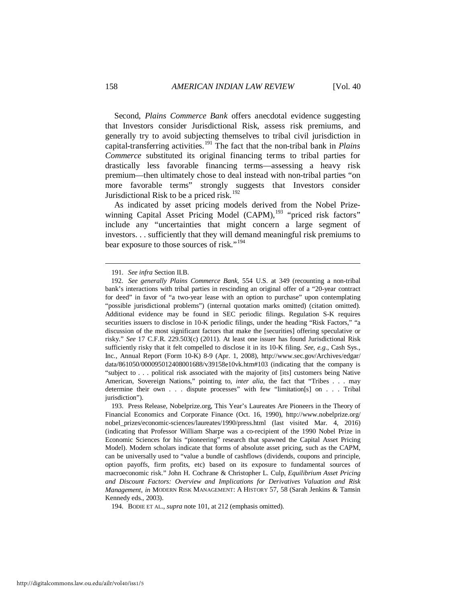Second, *Plains Commerce Bank* offers anecdotal evidence suggesting that Investors consider Jurisdictional Risk, assess risk premiums, and generally try to avoid subjecting themselves to tribal civil jurisdiction in capital-transferring activities. [191](#page-28-0) The fact that the non-tribal bank in *Plains Commerce* substituted its original financing terms to tribal parties for drastically less favorable financing terms—assessing a heavy risk premium—then ultimately chose to deal instead with non-tribal parties "on more favorable terms" strongly suggests that Investors consider Jurisdictional Risk to be a priced risk.<sup>[192](#page-28-1)</sup>

As indicated by asset pricing models derived from the Nobel Prize-winning Capital Asset Pricing Model (CAPM),<sup>[193](#page-28-2)</sup> "priced risk factors" include any "uncertainties that might concern a large segment of investors. . . sufficiently that they will demand meaningful risk premiums to bear exposure to those sources of risk."<sup>[194](#page-28-3)</sup>

<span id="page-28-3"></span>194. BODIE ET AL., *supra* note 101, at 212 (emphasis omitted).

 <sup>191.</sup> *See infra* Section II.B.

<span id="page-28-1"></span><span id="page-28-0"></span> <sup>192.</sup> *See generally Plains Commerce Bank*, 554 U.S. at 349 (recounting a non-tribal bank's interactions with tribal parties in rescinding an original offer of a "20-year contract for deed" in favor of "a two-year lease with an option to purchase" upon contemplating "possible jurisdictional problems") (internal quotation marks omitted) (citation omitted). Additional evidence may be found in SEC periodic filings. Regulation S-K requires securities issuers to disclose in 10-K periodic filings, under the heading "Risk Factors," "a discussion of the most significant factors that make the [securities] offering speculative or risky." *See* 17 C.F.R. 229.503(c) (2011). At least one issuer has found Jurisdictional Risk sufficiently risky that it felt compelled to disclose it in its 10-K filing. *See, e.g.*, Cash Sys., Inc., Annual Report (Form 10-K) 8-9 (Apr. 1, 2008), http://www.sec.gov/Archives/edgar/ data/861050/000095012408001688/v39158e10vk.htm#103 (indicating that the company is "subject to . . . political risk associated with the majority of [its] customers being Native American, Sovereign Nations," pointing to, *inter alia*, the fact that "Tribes . . . may determine their own . . . dispute processes" with few "limitation[s] on . . . Tribal jurisdiction").

<span id="page-28-2"></span> <sup>193.</sup> Press Release, Nobelprize.org, This Year's Laureates Are Pioneers in the Theory of Financial Economics and Corporate Finance (Oct. 16, 1990), http://www.nobelprize.org/ nobel\_prizes/economic-sciences/laureates/1990/press.html (last visited Mar. 4, 2016) (indicating that Professor William Sharpe was a co-recipient of the 1990 Nobel Prize in Economic Sciences for his "pioneering" research that spawned the Capital Asset Pricing Model). Modern scholars indicate that forms of absolute asset pricing, such as the CAPM, can be universally used to "value a bundle of cashflows (dividends, coupons and principle, option payoffs, firm profits, etc) based on its exposure to fundamental sources of macroeconomic risk." John H. Cochrane & Christopher L. Culp, *Equilibrium Asset Pricing and Discount Factors: Overview and Implications for Derivatives Valuation and Risk Management*, *in* MODERN RISK MANAGEMENT: A HISTORY 57, 58 (Sarah Jenkins & Tamsin Kennedy eds., 2003).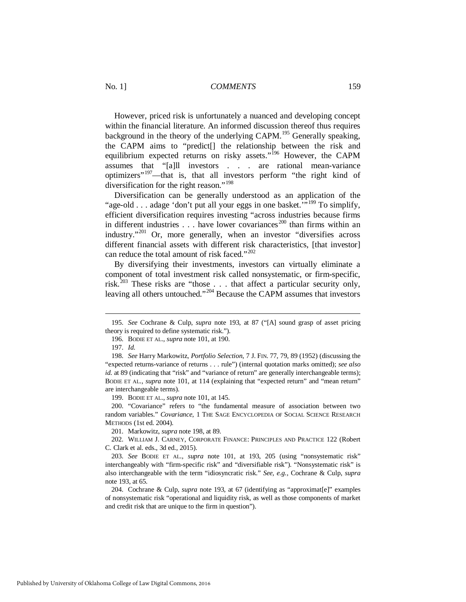However, priced risk is unfortunately a nuanced and developing concept within the financial literature. An informed discussion thereof thus requires background in the theory of the underlying CAPM.<sup>[195](#page-29-0)</sup> Generally speaking, the CAPM aims to "predict[] the relationship between the risk and equilibrium expected returns on risky assets."<sup>[196](#page-29-1)</sup> However, the CAPM assumes that "[a]ll investors . . . are rational mean-variance optimizers"[197](#page-29-2)—that is, that all investors perform "the right kind of diversification for the right reason."<sup>198</sup>

Diversification can be generally understood as an application of the "age-old . . . adage 'don't put all your eggs in one basket."<sup>[199](#page-29-4)</sup> To simplify, efficient diversification requires investing "across industries because firms in different industries  $\ldots$  have lower covariances<sup>[200](#page-29-5)</sup> than firms within an industry."<sup>[201](#page-29-6)</sup> Or, more generally, when an investor "diversifies across different financial assets with different risk characteristics, [that investor] can reduce the total amount of risk faced."<sup>202</sup>

By diversifying their investments, investors can virtually eliminate a component of total investment risk called nonsystematic, or firm-specific, risk.<sup>[203](#page-29-8)</sup> These risks are "those  $\ldots$  that affect a particular security only, leaving all others untouched."[204](#page-29-9) Because the CAPM assumes that investors

<u>.</u>

199. BODIE ET AL., *supra* note 101, at 145.

<span id="page-29-5"></span><span id="page-29-4"></span> 200. "Covariance" refers to "the fundamental measure of association between two random variables." *Covariance*, 1 THE SAGE ENCYCLOPEDIA OF SOCIAL SCIENCE RESEARCH METHODS (1st ed. 2004).

201. Markowitz, *supra* note 198, at 89.

<span id="page-29-7"></span><span id="page-29-6"></span> 202. WILLIAM J. CARNEY, CORPORATE FINANCE: PRINCIPLES AND PRACTICE 122 (Robert C. Clark et al. eds., 3d ed., 2015).

<span id="page-29-9"></span> 204. Cochrane & Culp, *supra* note 193, at 67 (identifying as "approximat[e]" examples of nonsystematic risk "operational and liquidity risk, as well as those components of market and credit risk that are unique to the firm in question").

<span id="page-29-0"></span> <sup>195.</sup> *See* Cochrane & Culp, *supra* note 193, at 87 ("[A] sound grasp of asset pricing theory is required to define systematic risk.").

 <sup>196.</sup> BODIE ET AL., *supra* note 101, at 190.

 <sup>197.</sup> *Id.*

<span id="page-29-3"></span><span id="page-29-2"></span><span id="page-29-1"></span> <sup>198.</sup> *See* Harry Markowitz, *Portfolio Selection*, 7 J. FIN. 77, 79, 89 (1952) (discussing the "expected returns-variance of returns . . . rule") (internal quotation marks omitted); *see also id.* at 89 (indicating that "risk" and "variance of return" are generally interchangeable terms); BODIE ET AL., *supra* note 101, at 114 (explaining that "expected return" and "mean return" are interchangeable terms).

<span id="page-29-8"></span> <sup>203.</sup> *See* BODIE ET AL., *supra* note 101, at 193, 205 (using "nonsystematic risk" interchangeably with "firm-specific risk" and "diversifiable risk"). "Nonsystematic risk" is also interchangeable with the term "idiosyncratic risk." *See, e.g.,* Cochrane & Culp, *supra* note 193, at 65.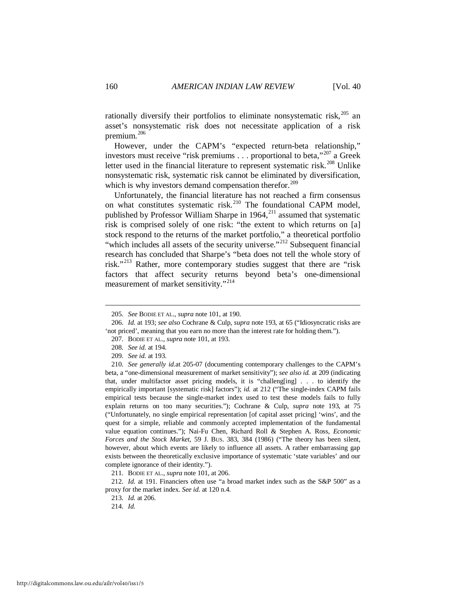rationally diversify their portfolios to eliminate nonsystematic risk, $205$  an asset's nonsystematic risk does not necessitate application of a risk premium.<sup>[206](#page-30-1)</sup>

However, under the CAPM's "expected return-beta relationship," investors must receive "risk premiums  $\ldots$  proportional to beta,"<sup>[207](#page-30-2)</sup> a Greek letter used in the financial literature to represent systematic risk.<sup>[208](#page-30-3)</sup> Unlike nonsystematic risk, systematic risk cannot be eliminated by diversification, which is why investors demand compensation therefor. $209$ 

Unfortunately, the financial literature has not reached a firm consensus on what constitutes systematic risk.<sup>[210](#page-30-5)</sup> The foundational CAPM model, published by Professor William Sharpe in 1964, $^{211}$  $^{211}$  $^{211}$  assumed that systematic risk is comprised solely of one risk: "the extent to which returns on [a] stock respond to the returns of the market portfolio," a theoretical portfolio "which includes all assets of the security universe."<sup>[212](#page-30-7)</sup> Subsequent financial research has concluded that Sharpe's "beta does not tell the whole story of risk."[213](#page-30-8) Rather, more contemporary studies suggest that there are "risk factors that affect security returns beyond beta's one-dimensional measurement of market sensitivity."<sup>[214](#page-30-9)</sup>

-

211. BODIE ET AL., *supra* note 101, at 206.

<span id="page-30-9"></span><span id="page-30-8"></span><span id="page-30-7"></span><span id="page-30-6"></span> 212. *Id.* at 191. Financiers often use "a broad market index such as the S&P 500" as a proxy for the market index. *See id.* at 120 n.4.

213. *Id.* at 206.

214. *Id.*

 <sup>205.</sup> *See* BODIE ET AL., *supra* note 101, at 190.

<span id="page-30-2"></span><span id="page-30-1"></span><span id="page-30-0"></span> <sup>206.</sup> *Id.* at 193; *see also* Cochrane & Culp, *supra* note 193, at 65 ("Idiosyncratic risks are 'not priced', meaning that you earn no more than the interest rate for holding them.").

 <sup>207.</sup> BODIE ET AL., *supra* note 101, at 193.

 <sup>208.</sup> *See id.* at 194.

 <sup>209.</sup> *See id.* at 193.

<span id="page-30-5"></span><span id="page-30-4"></span><span id="page-30-3"></span> <sup>210.</sup> *See generally id.*at 205-07 (documenting contemporary challenges to the CAPM's beta, a "one-dimensional measurement of market sensitivity"); *see also id.* at 209 (indicating that, under multifactor asset pricing models, it is "challeng[ing] . . . to identify the empirically important [systematic risk] factors"); *id.* at 212 ("The single-index CAPM fails empirical tests because the single-market index used to test these models fails to fully explain returns on too many securities."); Cochrane & Culp, *supra* note 193, at 75 ("Unfortunately, no single empirical representation [of capital asset pricing] 'wins', and the quest for a simple, reliable and commonly accepted implementation of the fundamental value equation continues."); Nai-Fu Chen, Richard Roll & Stephen A. Ross, *Economic Forces and the Stock Market*, 59 J. BUS. 383, 384 (1986) ("The theory has been silent, however, about which events are likely to influence all assets. A rather embarrassing gap exists between the theoretically exclusive importance of systematic 'state variables' and our complete ignorance of their identity.").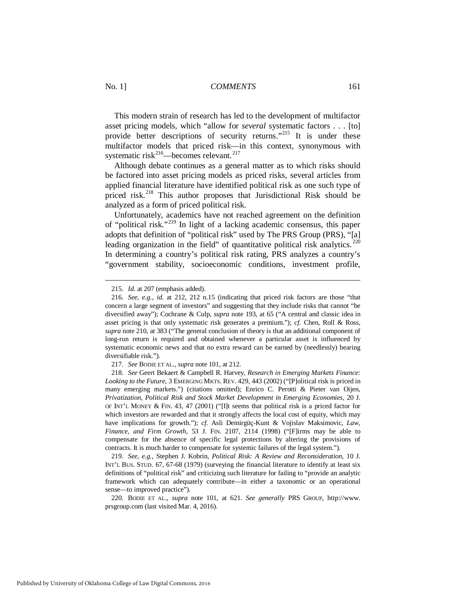This modern strain of research has led to the development of multifactor asset pricing models, which "allow for *several* systematic factors . . . [to] provide better descriptions of security returns."<sup>[215](#page-31-0)</sup> It is under these multifactor models that priced risk—in this context, synonymous with systematic risk<sup>216</sup>—becomes relevant.<sup>[217](#page-31-2)</sup>

Although debate continues as a general matter as to which risks should be factored into asset pricing models as priced risks, several articles from applied financial literature have identified political risk as one such type of priced risk.<sup>[218](#page-31-3)</sup> This author proposes that Jurisdictional Risk should be analyzed as a form of priced political risk.

Unfortunately, academics have not reached agreement on the definition of "political risk."[219](#page-31-4) In light of a lacking academic consensus, this paper adopts that definition of "political risk" used by The PRS Group (PRS), "[a] leading organization in the field" of quantitative political risk analytics.  $220$ In determining a country's political risk rating, PRS analyzes a country's "government stability, socioeconomic conditions, investment profile,

<span id="page-31-4"></span> 219. *See, e.g.*, Stephen J. Kobrin, *Political Risk: A Review and Reconsideration*, 10 J. INT'L BUS. STUD. 67, 67-68 (1979) (surveying the financial literature to identify at least six definitions of "political risk" and criticizing such literature for failing to "provide an analytic framework which can adequately contribute—in either a taxonomic or an operational sense—to improved practice").

<span id="page-31-5"></span> 220. BODIE ET AL., *supra* note 101, at 621. *See generally* PRS GROUP, http://www. prsgroup.com (last visited Mar. 4, 2016).

 <sup>215.</sup> *Id.* at 207 (emphasis added).

<span id="page-31-1"></span><span id="page-31-0"></span> <sup>216.</sup> *See, e.g.*, *id.* at 212, 212 n.15 (indicating that priced risk factors are those "that concern a large segment of investors" and suggesting that they include risks that cannot "be diversified away"); Cochrane & Culp, *supra* note 193, at 65 ("A central and classic idea in asset pricing is that only systematic risk generates a premium."); *cf.* Chen, Roll & Ross, *supra* note 210, at 383 ("The general conclusion of theory is that an additional component of long-run return is required and obtained whenever a particular asset is influenced by systematic economic news and that no extra reward can be earned by (needlessly) bearing diversifiable risk.").

 <sup>217.</sup> *See* BODIE ET AL., *supra* note 101, at 212.

<span id="page-31-3"></span><span id="page-31-2"></span> <sup>218.</sup> *See* Geert Bekaert & Campbell R. Harvey, *Research in Emerging Markets Finance: Looking to the Future*, 3 EMERGING MKTS. REV. 429, 443 (2002) ("[P]olitical risk is priced in many emerging markets.") (citations omitted); Enrico C. Perotti & Pieter van Oijen, *Privatization, Political Risk and Stock Market Development in Emerging Economies*, 20 J. OF INT'L MONEY & FIN. 43, 47 (2001) ("[I]t seems that political risk is a priced factor for which investors are rewarded and that it strongly affects the local cost of equity, which may have implications for growth."); *cf.* Asli Demirgüç-Kunt & Vojislav Maksimovic, *Law, Finance, and Firm Growth*, 53 J. FIN. 2107, 2114 (1998) ("[F]irms may be able to compensate for the absence of specific legal protections by altering the provisions of contracts. It is much harder to compensate for systemic failures of the legal system.").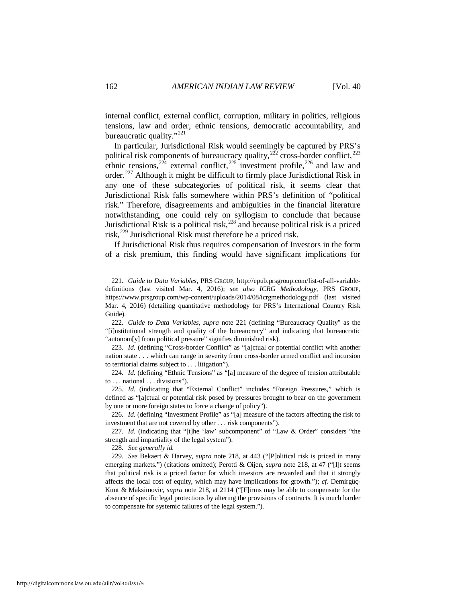internal conflict, external conflict, corruption, military in politics, religious tensions, law and order, ethnic tensions, democratic accountability, and bureaucratic quality."<sup>[221](#page-32-0)</sup>

In particular, Jurisdictional Risk would seemingly be captured by PRS's political risk components of bureaucracy quality,  $^{222}$  $^{222}$  $^{222}$  cross-border conflict,  $^{223}$  $^{223}$  $^{223}$ ethnic tensions,  $224$  external conflict,  $225$  investment profile,  $226$  and law and order.[227](#page-32-6) Although it might be difficult to firmly place Jurisdictional Risk in any one of these subcategories of political risk, it seems clear that Jurisdictional Risk falls somewhere within PRS's definition of "political risk." Therefore, disagreements and ambiguities in the financial literature notwithstanding, one could rely on syllogism to conclude that because Jurisdictional Risk is a political risk, $^{228}$  $^{228}$  $^{228}$  and because political risk is a priced risk, $^{229}$  $^{229}$  $^{229}$  Jurisdictional Risk must therefore be a priced risk.

If Jurisdictional Risk thus requires compensation of Investors in the form of a risk premium, this finding would have significant implications for

228. *See generally id.*

<span id="page-32-0"></span> <sup>221.</sup> *Guide to Data Variables*, PRS GROUP, http://epub.prsgroup.com/list-of-all-variabledefinitions (last visited Mar. 4, 2016); *see also ICRG Methodology*, PRS GROUP, https://www.prsgroup.com/wp-content/uploads/2014/08/icrgmethodology.pdf (last visited Mar. 4, 2016) (detailing quantitative methodology for PRS's International Country Risk Guide).

<span id="page-32-1"></span> <sup>222.</sup> *Guide to Data Variables*, *supra* note 221 (defining "Bureaucracy Quality" as the "[i]nstitutional strength and quality of the bureaucracy" and indicating that bureaucratic "autonom[y] from political pressure" signifies diminished risk).

<span id="page-32-2"></span> <sup>223.</sup> *Id.* (defining "Cross-border Conflict" as "[a]ctual or potential conflict with another nation state . . . which can range in severity from cross-border armed conflict and incursion to territorial claims subject to . . . litigation").

<span id="page-32-3"></span> <sup>224.</sup> *Id.* (defining "Ethnic Tensions" as "[a] measure of the degree of tension attributable to . . . national . . . divisions").

<span id="page-32-4"></span> <sup>225.</sup> *Id.* (indicating that "External Conflict" includes "Foreign Pressures," which is defined as "[a]ctual or potential risk posed by pressures brought to bear on the government by one or more foreign states to force a change of policy").

<span id="page-32-5"></span> <sup>226.</sup> *Id.* (defining "Investment Profile" as "[a] measure of the factors affecting the risk to investment that are not covered by other . . . risk components").

<span id="page-32-6"></span><sup>227.</sup> *Id.* (indicating that "[t]he 'law' subcomponent" of "Law & Order" considers "the strength and impartiality of the legal system").

<span id="page-32-8"></span><span id="page-32-7"></span> <sup>229.</sup> *See* Bekaert & Harvey, *supra* note 218, at 443 ("[P]olitical risk is priced in many emerging markets.") (citations omitted); Perotti & Oijen, *supra* note 218, at 47 ("[I]t seems that political risk is a priced factor for which investors are rewarded and that it strongly affects the local cost of equity, which may have implications for growth."); *cf.* Demirgüç-Kunt & Maksimovic, *supra* note 218, at 2114 ("[F]irms may be able to compensate for the absence of specific legal protections by altering the provisions of contracts. It is much harder to compensate for systemic failures of the legal system.").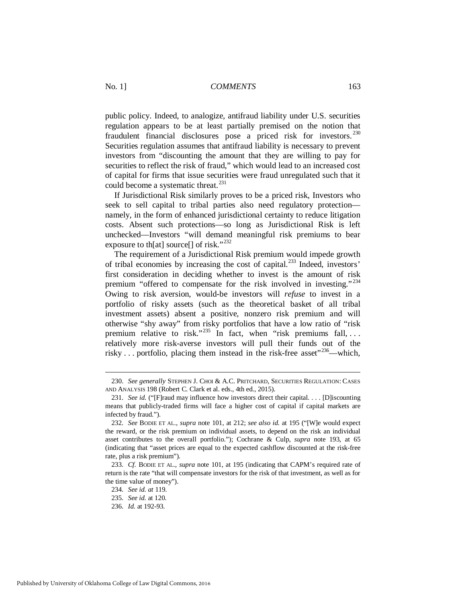public policy. Indeed, to analogize, antifraud liability under U.S. securities regulation appears to be at least partially premised on the notion that fraudulent financial disclosures pose a priced risk for investors. [230](#page-33-0) Securities regulation assumes that antifraud liability is necessary to prevent investors from "discounting the amount that they are willing to pay for securities to reflect the risk of fraud," which would lead to an increased cost of capital for firms that issue securities were fraud unregulated such that it could become a systematic threat. $^{231}$  $^{231}$  $^{231}$ 

If Jurisdictional Risk similarly proves to be a priced risk, Investors who seek to sell capital to tribal parties also need regulatory protection namely, in the form of enhanced jurisdictional certainty to reduce litigation costs. Absent such protections—so long as Jurisdictional Risk is left unchecked—Investors "will demand meaningful risk premiums to bear exposure to th[at] source[] of risk."<sup>[232](#page-33-2)</sup>

The requirement of a Jurisdictional Risk premium would impede growth of tribal economies by increasing the cost of capital. [233](#page-33-3) Indeed, investors' first consideration in deciding whether to invest is the amount of risk premium "offered to compensate for the risk involved in investing."<sup>[234](#page-33-4)</sup> Owing to risk aversion, would-be investors will *refuse* to invest in a portfolio of risky assets (such as the theoretical basket of all tribal investment assets) absent a positive, nonzero risk premium and will otherwise "shy away" from risky portfolios that have a low ratio of "risk premium relative to risk."<sup>235</sup> In fact, when "risk premiums fall, ... relatively more risk-averse investors will pull their funds out of the risky  $\ldots$  portfolio, placing them instead in the risk-free asset<sup> $236$ </sup>—which,

<span id="page-33-0"></span> <sup>230.</sup> *See generally* STEPHEN J. CHOI & A.C. PRITCHARD, SECURITIES REGULATION: CASES AND ANALYSIS 198 (Robert C. Clark et al. eds., 4th ed., 2015).

<span id="page-33-1"></span> <sup>231.</sup> *See id.* ("[F]raud may influence how investors direct their capital. . . . [D]iscounting means that publicly-traded firms will face a higher cost of capital if capital markets are infected by fraud.").

<span id="page-33-2"></span> <sup>232.</sup> *See* BODIE ET AL., *supra* note 101, at 212; *see also id.* at 195 ("[W]e would expect the reward, or the risk premium on individual assets, to depend on the risk an individual asset contributes to the overall portfolio."); Cochrane & Culp, *supra* note 193, at 65 (indicating that "asset prices are equal to the expected cashflow discounted at the risk-free rate, plus a risk premium").

<span id="page-33-5"></span><span id="page-33-4"></span><span id="page-33-3"></span> <sup>233.</sup> *Cf.* BODIE ET AL., *supra* note 101, at 195 (indicating that CAPM's required rate of return is the rate "that will compensate investors for the risk of that investment, as well as for the time value of money").

 <sup>234.</sup> *See id. at* 119.

 <sup>235.</sup> *See id.* at 120.

<span id="page-33-6"></span> <sup>236.</sup> *Id.* at 192-93.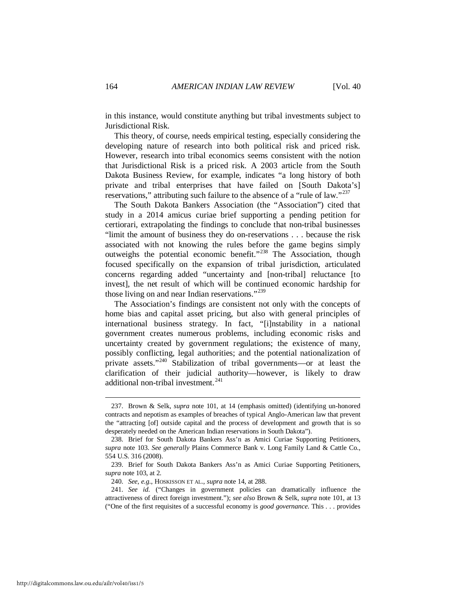in this instance, would constitute anything but tribal investments subject to Jurisdictional Risk.

This theory, of course, needs empirical testing, especially considering the developing nature of research into both political risk and priced risk. However, research into tribal economics seems consistent with the notion that Jurisdictional Risk is a priced risk. A 2003 article from the South Dakota Business Review, for example, indicates "a long history of both private and tribal enterprises that have failed on [South Dakota's] reservations," attributing such failure to the absence of a "rule of law."<sup>[237](#page-34-0)</sup>

The South Dakota Bankers Association (the "Association") cited that study in a 2014 amicus curiae brief supporting a pending petition for certiorari, extrapolating the findings to conclude that non-tribal businesses "limit the amount of business they do on-reservations . . . because the risk associated with not knowing the rules before the game begins simply outweighs the potential economic benefit."[238](#page-34-1) The Association, though focused specifically on the expansion of tribal jurisdiction, articulated concerns regarding added "uncertainty and [non-tribal] reluctance [to invest], the net result of which will be continued economic hardship for those living on and near Indian reservations."<sup>[239](#page-34-2)</sup>

The Association's findings are consistent not only with the concepts of home bias and capital asset pricing, but also with general principles of international business strategy. In fact, "[i]nstability in a national government creates numerous problems, including economic risks and uncertainty created by government regulations; the existence of many, possibly conflicting, legal authorities; and the potential nationalization of private assets."<sup>[240](#page-34-3)</sup> Stabilization of tribal governments—or at least the clarification of their judicial authority—however, is likely to draw additional non-tribal investment. $^{241}$  $^{241}$  $^{241}$ 

<span id="page-34-0"></span> <sup>237.</sup> Brown & Selk, *supra* note 101, at 14 (emphasis omitted) (identifying un-honored contracts and nepotism as examples of breaches of typical Anglo-American law that prevent the "attracting [of] outside capital and the process of development and growth that is so desperately needed on the American Indian reservations in South Dakota").

<span id="page-34-1"></span> <sup>238.</sup> Brief for South Dakota Bankers Ass'n as Amici Curiae Supporting Petitioners, *supra* note 103. *See generally* Plains Commerce Bank v. Long Family Land & Cattle Co., 554 U.S. 316 (2008).

<span id="page-34-2"></span> <sup>239.</sup> Brief for South Dakota Bankers Ass'n as Amici Curiae Supporting Petitioners, *supra* note 103, at 2.

 <sup>240.</sup> *See*, *e.g.*, HOSKISSON ET AL., *supra* note 14, at 288.

<span id="page-34-4"></span><span id="page-34-3"></span> <sup>241.</sup> *See id.* ("Changes in government policies can dramatically influence the attractiveness of direct foreign investment."); *see also* Brown & Selk, *supra* note 101, at 13 ("One of the first requisites of a successful economy is *good governance*. This . . . provides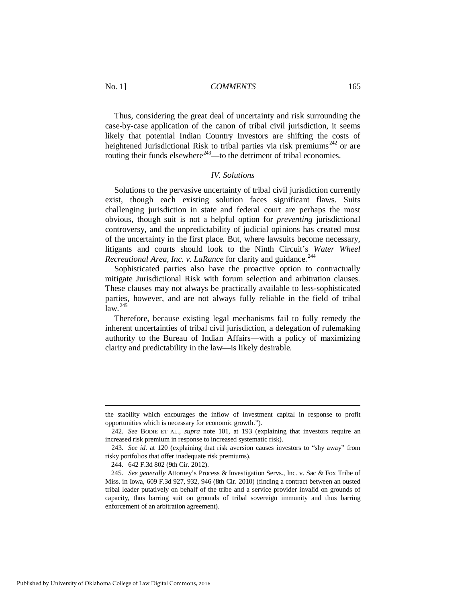Thus, considering the great deal of uncertainty and risk surrounding the case-by-case application of the canon of tribal civil jurisdiction, it seems likely that potential Indian Country Investors are shifting the costs of heightened Jurisdictional Risk to tribal parties via risk premiums<sup>[242](#page-35-0)</sup> or are routing their funds elsewhere<sup> $243$ </sup>—to the detriment of tribal economies.

## *IV. Solutions*

Solutions to the pervasive uncertainty of tribal civil jurisdiction currently exist, though each existing solution faces significant flaws. Suits challenging jurisdiction in state and federal court are perhaps the most obvious, though suit is not a helpful option for *preventing* jurisdictional controversy, and the unpredictability of judicial opinions has created most of the uncertainty in the first place. But, where lawsuits become necessary, litigants and courts should look to the Ninth Circuit's *Water Wheel Recreational Area, Inc. v. LaRance* for clarity and guidance.<sup>[244](#page-35-2)</sup>

Sophisticated parties also have the proactive option to contractually mitigate Jurisdictional Risk with forum selection and arbitration clauses. These clauses may not always be practically available to less-sophisticated parties, however, and are not always fully reliable in the field of tribal  $law.<sup>245</sup>$  $law.<sup>245</sup>$  $law.<sup>245</sup>$ 

Therefore, because existing legal mechanisms fail to fully remedy the inherent uncertainties of tribal civil jurisdiction, a delegation of rulemaking authority to the Bureau of Indian Affairs—with a policy of maximizing clarity and predictability in the law—is likely desirable.

the stability which encourages the inflow of investment capital in response to profit opportunities which is necessary for economic growth.").

<span id="page-35-0"></span> <sup>242.</sup> *See* BODIE ET AL., *supra* note 101, at 193 (explaining that investors require an increased risk premium in response to increased systematic risk).

<span id="page-35-1"></span> <sup>243.</sup> *See id.* at 120 (explaining that risk aversion causes investors to "shy away" from risky portfolios that offer inadequate risk premiums).

 <sup>244. 642</sup> F.3d 802 (9th Cir. 2012).

<span id="page-35-3"></span><span id="page-35-2"></span> <sup>245.</sup> *See generally* Attorney's Process & Investigation Servs., Inc. v. Sac & Fox Tribe of Miss. in Iowa, 609 F.3d 927, 932, 946 (8th Cir. 2010) (finding a contract between an ousted tribal leader putatively on behalf of the tribe and a service provider invalid on grounds of capacity, thus barring suit on grounds of tribal sovereign immunity and thus barring enforcement of an arbitration agreement).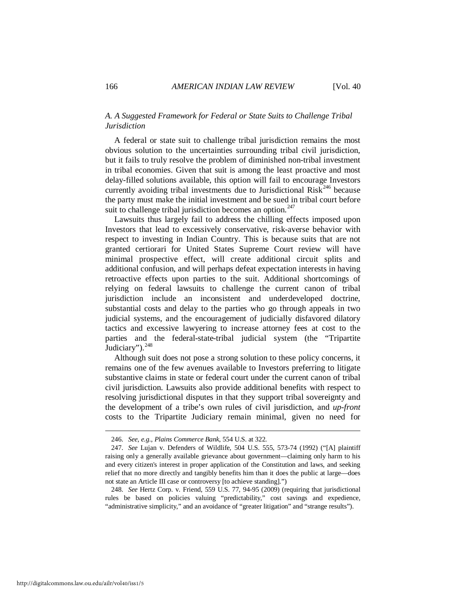## *A. A Suggested Framework for Federal or State Suits to Challenge Tribal Jurisdiction*

A federal or state suit to challenge tribal jurisdiction remains the most obvious solution to the uncertainties surrounding tribal civil jurisdiction, but it fails to truly resolve the problem of diminished non-tribal investment in tribal economies. Given that suit is among the least proactive and most delay-filled solutions available, this option will fail to encourage Investors currently avoiding tribal investments due to Jurisdictional  $Risk^{246}$  $Risk^{246}$  $Risk^{246}$  because the party must make the initial investment and be sued in tribal court before suit to challenge tribal jurisdiction becomes an option. $^{247}$ 

Lawsuits thus largely fail to address the chilling effects imposed upon Investors that lead to excessively conservative, risk-averse behavior with respect to investing in Indian Country. This is because suits that are not granted certiorari for United States Supreme Court review will have minimal prospective effect, will create additional circuit splits and additional confusion, and will perhaps defeat expectation interests in having retroactive effects upon parties to the suit. Additional shortcomings of relying on federal lawsuits to challenge the current canon of tribal jurisdiction include an inconsistent and underdeveloped doctrine, substantial costs and delay to the parties who go through appeals in two judicial systems, and the encouragement of judicially disfavored dilatory tactics and excessive lawyering to increase attorney fees at cost to the parties and the federal-state-tribal judicial system (the "Tripartite Judiciary").<sup>[248](#page-36-2)</sup>

Although suit does not pose a strong solution to these policy concerns, it remains one of the few avenues available to Investors preferring to litigate substantive claims in state or federal court under the current canon of tribal civil jurisdiction. Lawsuits also provide additional benefits with respect to resolving jurisdictional disputes in that they support tribal sovereignty and the development of a tribe's own rules of civil jurisdiction, and *up-front* costs to the Tripartite Judiciary remain minimal, given no need for

 <sup>246.</sup> *See*, *e.g.*, *Plains Commerce Bank*, 554 U.S. at 322.

<span id="page-36-1"></span><span id="page-36-0"></span> <sup>247.</sup> *See* Lujan v. Defenders of Wildlife, 504 U.S. 555, 573-74 (1992) ("[A] plaintiff raising only a generally available grievance about government—claiming only harm to his and every citizen's interest in proper application of the Constitution and laws, and seeking relief that no more directly and tangibly benefits him than it does the public at large—does not state an Article III case or controversy [to achieve standing].")

<span id="page-36-2"></span> <sup>248.</sup> *See* Hertz Corp. v. Friend, 559 U.S. 77, 94-95 (2009) (requiring that jurisdictional rules be based on policies valuing "predictability," cost savings and expedience, "administrative simplicity," and an avoidance of "greater litigation" and "strange results").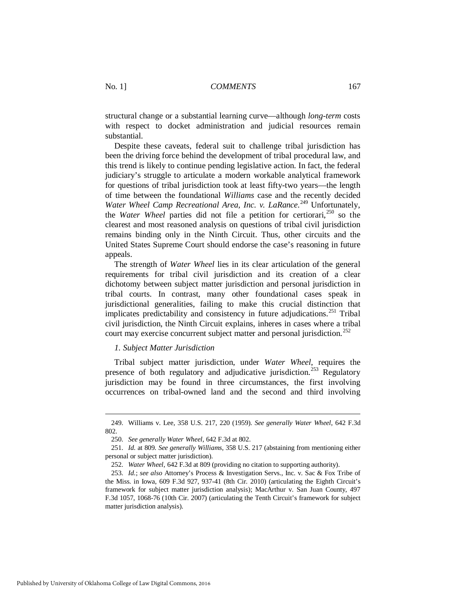structural change or a substantial learning curve—although *long-term* costs with respect to docket administration and judicial resources remain substantial.

Despite these caveats, federal suit to challenge tribal jurisdiction has been the driving force behind the development of tribal procedural law, and this trend is likely to continue pending legislative action. In fact, the federal judiciary's struggle to articulate a modern workable analytical framework for questions of tribal jurisdiction took at least fifty-two years—the length of time between the foundational *Williams* case and the recently decided Water Wheel Camp Recreational Area, Inc. v. LaRance.<sup>[249](#page-37-0)</sup> Unfortunately, the *Water Wheel* parties did not file a petition for certiorari,<sup>[250](#page-37-1)</sup> so the clearest and most reasoned analysis on questions of tribal civil jurisdiction remains binding only in the Ninth Circuit. Thus, other circuits and the United States Supreme Court should endorse the case's reasoning in future appeals.

The strength of *Water Wheel* lies in its clear articulation of the general requirements for tribal civil jurisdiction and its creation of a clear dichotomy between subject matter jurisdiction and personal jurisdiction in tribal courts. In contrast, many other foundational cases speak in jurisdictional generalities, failing to make this crucial distinction that implicates predictability and consistency in future adjudications.<sup>[251](#page-37-2)</sup> Tribal civil jurisdiction, the Ninth Circuit explains, inheres in cases where a tribal court may exercise concurrent subject matter and personal jurisdiction.<sup>252</sup>

#### *1. Subject Matter Jurisdiction*

Tribal subject matter jurisdiction, under *Water Wheel*, requires the presence of both regulatory and adjudicative jurisdiction.<sup>253</sup> Regulatory jurisdiction may be found in three circumstances, the first involving occurrences on tribal-owned land and the second and third involving

<span id="page-37-0"></span> <sup>249.</sup> Williams v. Lee, 358 U.S. 217, 220 (1959). *See generally Water Wheel*, 642 F.3d 802.

 <sup>250.</sup> *See generally Water Wheel*, 642 F.3d at 802.

<span id="page-37-2"></span><span id="page-37-1"></span> <sup>251.</sup> *Id.* at 809. *See generally Williams*, 358 U.S. 217 (abstaining from mentioning either personal or subject matter jurisdiction).

 <sup>252.</sup> *Water Wheel*, 642 F.3d at 809 (providing no citation to supporting authority).

<span id="page-37-4"></span><span id="page-37-3"></span> <sup>253.</sup> *Id.*; *see also* Attorney's Process & Investigation Servs., Inc. v. Sac & Fox Tribe of the Miss. in Iowa, 609 F.3d 927, 937-41 (8th Cir. 2010) (articulating the Eighth Circuit's framework for subject matter jurisdiction analysis); MacArthur v. San Juan County, 497 F.3d 1057, 1068-76 (10th Cir. 2007) (articulating the Tenth Circuit's framework for subject matter jurisdiction analysis).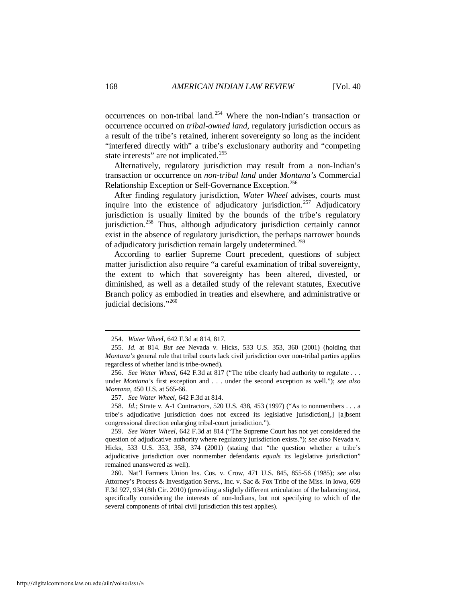occurrences on non-tribal land.[254](#page-38-0) Where the non-Indian's transaction or occurrence occurred on *tribal-owned land*, regulatory jurisdiction occurs as a result of the tribe's retained, inherent sovereignty so long as the incident "interfered directly with" a tribe's exclusionary authority and "competing state interests" are not implicated.<sup>[255](#page-38-1)</sup>

Alternatively, regulatory jurisdiction may result from a non-Indian's transaction or occurrence on *non-tribal land* under *Montana's* Commercial Relationship Exception or Self-Governance Exception.<sup>256</sup>

After finding regulatory jurisdiction, *Water Wheel* advises, courts must inquire into the existence of adjudicatory jurisdiction.<sup>[257](#page-38-3)</sup> Adjudicatory jurisdiction is usually limited by the bounds of the tribe's regulatory jurisdiction.<sup>[258](#page-38-4)</sup> Thus, although adjudicatory jurisdiction certainly cannot exist in the absence of regulatory jurisdiction, the perhaps narrower bounds of adjudicatory jurisdiction remain largely undetermined.<sup>[259](#page-38-5)</sup>

According to earlier Supreme Court precedent, questions of subject matter jurisdiction also require "a careful examination of tribal sovereignty, the extent to which that sovereignty has been altered, divested, or diminished, as well as a detailed study of the relevant statutes, Executive Branch policy as embodied in treaties and elsewhere, and administrative or judicial decisions."<sup>[260](#page-38-6)</sup>

257. *See Water Wheel*, 642 F.3d at 814.

<span id="page-38-4"></span><span id="page-38-3"></span> 258. *Id.*; Strate v. A-1 Contractors, 520 U.S. 438, 453 (1997) ("As to nonmembers . . . a tribe's adjudicative jurisdiction does not exceed its legislative jurisdiction[,] [a]bsent congressional direction enlarging tribal-court jurisdiction.").

<span id="page-38-5"></span> 259. *See Water Wheel*, 642 F.3d at 814 ("The Supreme Court has not yet considered the question of adjudicative authority where regulatory jurisdiction exists."); *see also* Nevada v. Hicks, 533 U.S. 353, 358, 374 (2001) (stating that "the question whether a tribe's adjudicative jurisdiction over nonmember defendants *equals* its legislative jurisdiction" remained unanswered as well).

<span id="page-38-6"></span> 260. Nat'l Farmers Union Ins. Cos. v. Crow, 471 U.S. 845, 855-56 (1985); *see also* Attorney's Process & Investigation Servs., Inc. v. Sac & Fox Tribe of the Miss. in Iowa, 609 F.3d 927, 934 (8th Cir. 2010) (providing a slightly different articulation of the balancing test, specifically considering the interests of non-Indians, but not specifying to which of the several components of tribal civil jurisdiction this test applies).

 <sup>254.</sup> *Water Wheel*, 642 F.3d at 814, 817.

<span id="page-38-1"></span><span id="page-38-0"></span> <sup>255.</sup> *Id.* at 814. *But see* Nevada v. Hicks, 533 U.S. 353, 360 (2001) (holding that *Montana's* general rule that tribal courts lack civil jurisdiction over non-tribal parties applies regardless of whether land is tribe-owned).

<span id="page-38-2"></span> <sup>256.</sup> *See Water Wheel*, 642 F.3d at 817 ("The tribe clearly had authority to regulate . . . under *Montana's* first exception and . . . under the second exception as well."); *see also Montana*, 450 U.S. at 565-66.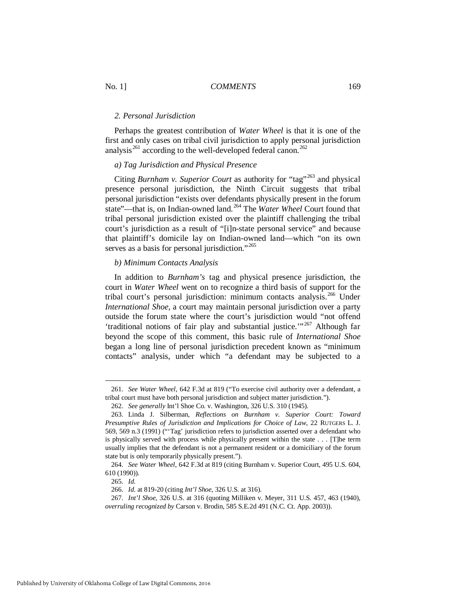#### *2. Personal Jurisdiction*

Perhaps the greatest contribution of *Water Wheel* is that it is one of the first and only cases on tribal civil jurisdiction to apply personal jurisdiction analysis<sup>[261](#page-39-0)</sup> according to the well-developed federal canon.<sup>[262](#page-39-1)</sup>

#### *a) Tag Jurisdiction and Physical Presence*

Citing *Burnham v. Superior Court* as authority for "tag"<sup>[263](#page-39-2)</sup> and physical presence personal jurisdiction, the Ninth Circuit suggests that tribal personal jurisdiction "exists over defendants physically present in the forum state"—that is, on Indian-owned land.[264](#page-39-3) The *Water Wheel* Court found that tribal personal jurisdiction existed over the plaintiff challenging the tribal court's jurisdiction as a result of "[i]n-state personal service" and because that plaintiff's domicile lay on Indian-owned land—which "on its own serves as a basis for personal jurisdiction."<sup>265</sup>

#### *b) Minimum Contacts Analysis*

In addition to *Burnham's* tag and physical presence jurisdiction, the court in *Water Wheel* went on to recognize a third basis of support for the tribal court's personal jurisdiction: minimum contacts analysis.<sup>266</sup> Under *International Shoe*, a court may maintain personal jurisdiction over a party outside the forum state where the court's jurisdiction would "not offend 'traditional notions of fair play and substantial justice.'" [267](#page-39-6) Although far beyond the scope of this comment, this basic rule of *International Shoe* began a long line of personal jurisdiction precedent known as "minimum contacts" analysis, under which "a defendant may be subjected to a

<span id="page-39-0"></span> <sup>261.</sup> *See Water Wheel*, 642 F.3d at 819 ("To exercise civil authority over a defendant, a tribal court must have both personal jurisdiction and subject matter jurisdiction.").

 <sup>262.</sup> *See generally* Int'l Shoe Co. v. Washington, 326 U.S. 310 (1945).

<span id="page-39-2"></span><span id="page-39-1"></span> <sup>263.</sup> Linda J. Silberman, *Reflections on Burnham v. Superior Court: Toward Presumptive Rules of Jurisdiction and Implications for Choice of Law*, 22 RUTGERS L. J. 569, 569 n.3 (1991) ("'Tag' jurisdiction refers to jurisdiction asserted over a defendant who is physically served with process while physically present within the state . . . [T]he term usually implies that the defendant is not a permanent resident or a domiciliary of the forum state but is only temporarily physically present.").

<span id="page-39-4"></span><span id="page-39-3"></span> <sup>264.</sup> *See Water Wheel*, 642 F.3d at 819 (citing Burnham v. Superior Court, 495 U.S. 604, 610 (1990)).

 <sup>265.</sup> *Id.*

 <sup>266.</sup> *Id.* at 819-20 (citing *Int'l Shoe*, 326 U.S. at 316).

<span id="page-39-6"></span><span id="page-39-5"></span> <sup>267.</sup> *Int'l Shoe*, 326 U.S. at 316 (quoting Milliken v. Meyer, 311 U.S. 457, 463 (1940), *overruling recognized by* Carson v. Brodin, 585 S.E.2d 491 (N.C. Ct. App. 2003)).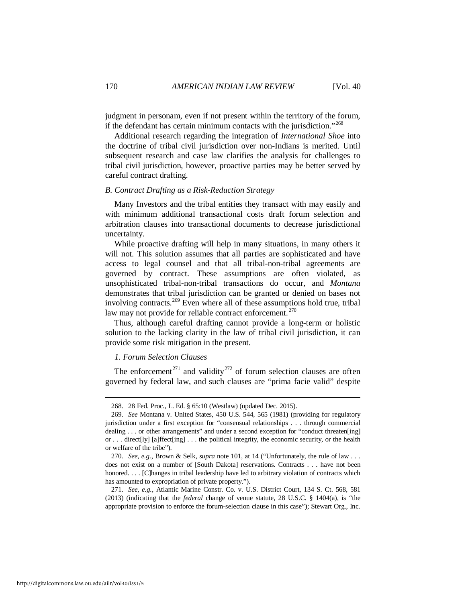judgment in personam, even if not present within the territory of the forum, if the defendant has certain minimum contacts with the jurisdiction."[268](#page-40-0)

Additional research regarding the integration of *International Shoe* into the doctrine of tribal civil jurisdiction over non-Indians is merited. Until subsequent research and case law clarifies the analysis for challenges to tribal civil jurisdiction, however, proactive parties may be better served by careful contract drafting.

#### *B. Contract Drafting as a Risk-Reduction Strategy*

Many Investors and the tribal entities they transact with may easily and with minimum additional transactional costs draft forum selection and arbitration clauses into transactional documents to decrease jurisdictional uncertainty.

While proactive drafting will help in many situations, in many others it will not. This solution assumes that all parties are sophisticated and have access to legal counsel and that all tribal-non-tribal agreements are governed by contract. These assumptions are often violated, as unsophisticated tribal-non-tribal transactions do occur, and *Montana* demonstrates that tribal jurisdiction can be granted or denied on bases not involving contracts.[269](#page-40-1) Even where all of these assumptions hold true, tribal law may not provide for reliable contract enforcement.<sup>[270](#page-40-2)</sup>

<span id="page-40-4"></span>Thus, although careful drafting cannot provide a long-term or holistic solution to the lacking clarity in the law of tribal civil jurisdiction, it can provide some risk mitigation in the present.

#### *1. Forum Selection Clauses*

<u>.</u>

The enforcement<sup>[271](#page-40-3)</sup> and validity<sup>[272](#page-40-4)</sup> of forum selection clauses are often governed by federal law, and such clauses are "prima facie valid" despite

 <sup>268. 28</sup> Fed. Proc., L. Ed. § 65:10 (Westlaw) (updated Dec. 2015).

<span id="page-40-1"></span><span id="page-40-0"></span> <sup>269.</sup> *See* Montana v. United States, 450 U.S. 544, 565 (1981) (providing for regulatory jurisdiction under a first exception for "consensual relationships . . . through commercial dealing . . . or other arrangements" and under a second exception for "conduct threaten[ing] or . . . direct[ly] [a]ffect[ing] . . . the political integrity, the economic security, or the health or welfare of the tribe").

<span id="page-40-2"></span> <sup>270.</sup> *See*, *e.g.*, Brown & Selk, *supra* note 101, at 14 ("Unfortunately, the rule of law . . . does not exist on a number of [South Dakota] reservations. Contracts . . . have not been honored. . . . [C] hanges in tribal leadership have led to arbitrary violation of contracts which has amounted to expropriation of private property.").

<span id="page-40-3"></span> <sup>271.</sup> *See*, *e.g.*, Atlantic Marine Constr. Co. v. U.S. District Court, 134 S. Ct. 568, 581 (2013) (indicating that the *federal* change of venue statute, 28 U.S.C. § 1404(a), is "the appropriate provision to enforce the forum-selection clause in this case"); Stewart Org., Inc.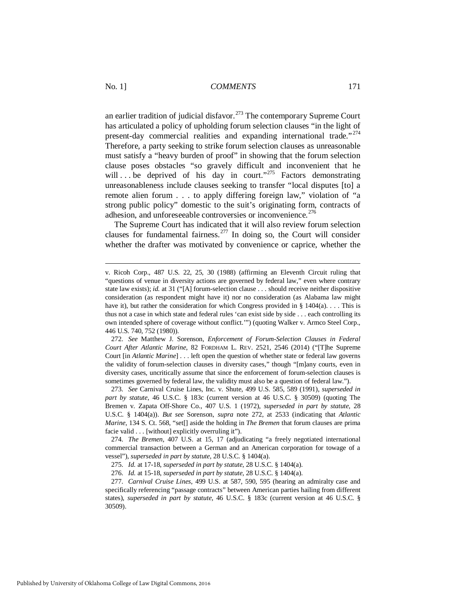an earlier tradition of judicial disfavor.<sup>[273](#page-41-0)</sup> The contemporary Supreme Court has articulated a policy of upholding forum selection clauses "in the light of present-day commercial realities and expanding international trade."<sup>[274](#page-41-1)</sup> Therefore, a party seeking to strike forum selection clauses as unreasonable must satisfy a "heavy burden of proof" in showing that the forum selection clause poses obstacles "so gravely difficult and inconvenient that he will ... be deprived of his day in court."<sup>[275](#page-41-2)</sup> Factors demonstrating unreasonableness include clauses seeking to transfer "local disputes [to] a remote alien forum . . . to apply differing foreign law," violation of "a strong public policy" domestic to the suit's originating form, contracts of adhesion, and unforeseeable controversies or inconvenience.  $276$ 

The Supreme Court has indicated that it will also review forum selection clauses for fundamental fairness.<sup>[277](#page-41-4)</sup> In doing so, the Court will consider whether the drafter was motivated by convenience or caprice, whether the

v. Ricoh Corp., 487 U.S. 22, 25, 30 (1988) (affirming an Eleventh Circuit ruling that "questions of venue in diversity actions are governed by federal law," even where contrary state law exists); *id.* at 31 ("[A] forum-selection clause . . . should receive neither dispositive consideration (as respondent might have it) nor no consideration (as Alabama law might have it), but rather the consideration for which Congress provided in  $\S 1404(a)$ .... This is thus not a case in which state and federal rules 'can exist side by side . . . each controlling its own intended sphere of coverage without conflict.'") (quoting Walker v. Armco Steel Corp., 446 U.S. 740, 752 (1980)).

 <sup>272.</sup> *See* Matthew J. Sorenson, *Enforcement of Forum-Selection Clauses in Federal Court After Atlantic Marine*, 82 FORDHAM L. REV. 2521, 2546 (2014) ("[T]he Supreme Court [in *Atlantic Marine*] . . . left open the question of whether state or federal law governs the validity of forum-selection clauses in diversity cases," though "[m]any courts, even in diversity cases, uncritically assume that since the enforcement of forum-selection clauses is sometimes governed by federal law, the validity must also be a question of federal law.").

<span id="page-41-0"></span> <sup>273.</sup> *See* Carnival Cruise Lines, Inc. v. Shute, 499 U.S. 585, 589 (1991), *superseded in part by statute*, 46 U.S.C. § 183c (current version at 46 U.S.C. § 30509) (quoting The Bremen v. Zapata Off-Shore Co., 407 U.S. 1 (1972), *superseded in part by statute*, 28 U.S.C. § 1404(a)). *But see* Sorenson, *supra* note 272, at 2533 (indicating that *Atlantic Marine*, 134 S. Ct. 568, "set[] aside the holding in *The Bremen* that forum clauses are prima facie valid . . . [without] explicitly overruling it").

<span id="page-41-1"></span> <sup>274.</sup> *The Bremen*, 407 U.S. at 15, 17 (adjudicating "a freely negotiated international commercial transaction between a German and an American corporation for towage of a vessel"), *superseded in part by statute*, 28 U.S.C. § 1404(a).

 <sup>275.</sup> *Id.* at 17-18, *superseded in part by statute*, 28 U.S.C. § 1404(a).

 <sup>276.</sup> *Id.* at 15-18, *superseded in part by statute*, 28 U.S.C. § 1404(a).

<span id="page-41-4"></span><span id="page-41-3"></span><span id="page-41-2"></span> <sup>277.</sup> *Carnival Cruise Lines*, 499 U.S. at 587, 590, 595 (hearing an admiralty case and specifically referencing "passage contracts" between American parties hailing from different states), *superseded in part by statute*, 46 U.S.C. § 183c (current version at 46 U.S.C. § 30509).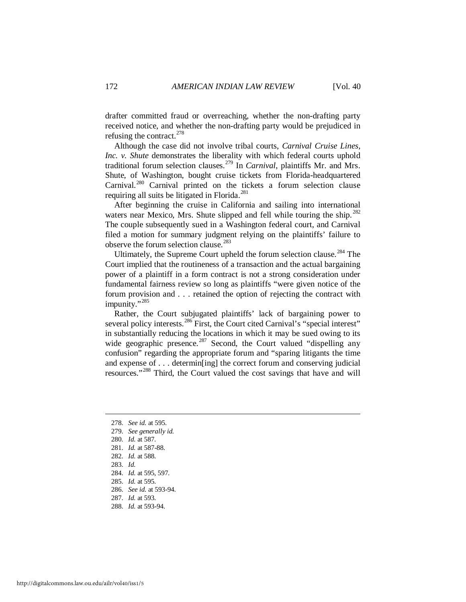drafter committed fraud or overreaching, whether the non-drafting party received notice, and whether the non-drafting party would be prejudiced in refusing the contract.  $278$ 

Although the case did not involve tribal courts, *Carnival Cruise Lines, Inc. v. Shute* demonstrates the liberality with which federal courts uphold traditional forum selection clauses.[279](#page-42-1) In *Carnival*, plaintiffs Mr. and Mrs. Shute, of Washington, bought cruise tickets from Florida-headquartered Carnival.[280](#page-42-2) Carnival printed on the tickets a forum selection clause requiring all suits be litigated in Florida.<sup>[281](#page-42-3)</sup>

After beginning the cruise in California and sailing into international waters near Mexico, Mrs. Shute slipped and fell while touring the ship.  $282$ The couple subsequently sued in a Washington federal court, and Carnival filed a motion for summary judgment relying on the plaintiffs' failure to observe the forum selection clause.<sup>[283](#page-42-5)</sup>

Ultimately, the Supreme Court upheld the forum selection clause.<sup>[284](#page-42-6)</sup> The Court implied that the routineness of a transaction and the actual bargaining power of a plaintiff in a form contract is not a strong consideration under fundamental fairness review so long as plaintiffs "were given notice of the forum provision and . . . retained the option of rejecting the contract with impunity."<sup>[285](#page-42-7)</sup>

Rather, the Court subjugated plaintiffs' lack of bargaining power to several policy interests.<sup>[286](#page-42-8)</sup> First, the Court cited Carnival's "special interest" in substantially reducing the locations in which it may be sued owing to its wide geographic presence.<sup>[287](#page-42-9)</sup> Second, the Court valued "dispelling any confusion" regarding the appropriate forum and "sparing litigants the time and expense of . . . determin[ing] the correct forum and conserving judicial resources."[288](#page-42-10) Third, the Court valued the cost savings that have and will

- <span id="page-42-0"></span>278. *See id.* at 595.
- <span id="page-42-1"></span>279. *See generally id.*
- <span id="page-42-2"></span>280. *Id.* at 587.
- <span id="page-42-3"></span>281. *Id.* at 587-88.
- <span id="page-42-4"></span>282. *Id.* at 588.
- <span id="page-42-5"></span>283. *Id.*

- <span id="page-42-6"></span>284. *Id.* at 595, 597.
- <span id="page-42-7"></span>285. *Id.* at 595.
- <span id="page-42-8"></span>286. *See id.* at 593-94.
- <span id="page-42-9"></span>287. *Id.* at 593.
- <span id="page-42-10"></span>288. *Id.* at 593-94.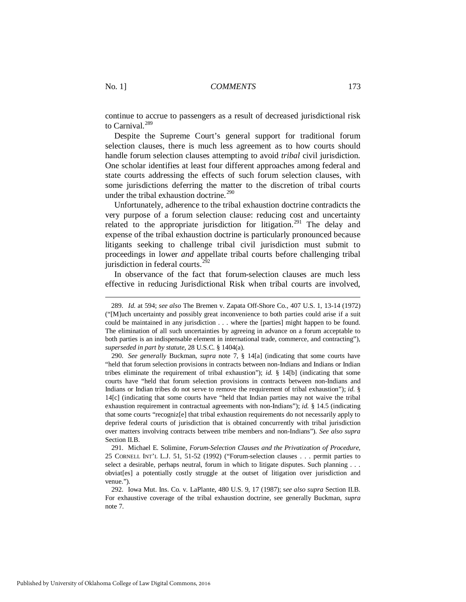continue to accrue to passengers as a result of decreased jurisdictional risk to Carnival.<sup>[289](#page-43-0)</sup>

Despite the Supreme Court's general support for traditional forum selection clauses, there is much less agreement as to how courts should handle forum selection clauses attempting to avoid *tribal* civil jurisdiction. One scholar identifies at least four different approaches among federal and state courts addressing the effects of such forum selection clauses, with some jurisdictions deferring the matter to the discretion of tribal courts under the tribal exhaustion doctrine. [290](#page-43-1) 

Unfortunately, adherence to the tribal exhaustion doctrine contradicts the very purpose of a forum selection clause: reducing cost and uncertainty related to the appropriate jurisdiction for litigation.<sup>[291](#page-43-2)</sup> The delay and expense of the tribal exhaustion doctrine is particularly pronounced because litigants seeking to challenge tribal civil jurisdiction must submit to proceedings in lower *and* appellate tribal courts before challenging tribal jurisdiction in federal courts. $2^{92}$ 

In observance of the fact that forum-selection clauses are much less effective in reducing Jurisdictional Risk when tribal courts are involved,

<span id="page-43-0"></span> <sup>289.</sup> *Id.* at 594; *see also* The Bremen v. Zapata Off-Shore Co., 407 U.S. 1, 13-14 (1972) ("[M]uch uncertainty and possibly great inconvenience to both parties could arise if a suit could be maintained in any jurisdiction . . . where the [parties] might happen to be found. The elimination of all such uncertainties by agreeing in advance on a forum acceptable to both parties is an indispensable element in international trade, commerce, and contracting"), *superseded in part by statute*, 28 U.S.C. § 1404(a).

<span id="page-43-1"></span> <sup>290.</sup> *See generally* Buckman, *supra* note 7, § 14[a] (indicating that some courts have "held that forum selection provisions in contracts between non-Indians and Indians or Indian tribes eliminate the requirement of tribal exhaustion"); *id.* § 14[b] (indicating that some courts have "held that forum selection provisions in contracts between non-Indians and Indians or Indian tribes do not serve to remove the requirement of tribal exhaustion"); *id.* § 14[c] (indicating that some courts have "held that Indian parties may not waive the tribal exhaustion requirement in contractual agreements with non-Indians"); *id.* § 14.5 (indicating that some courts "recogniz[e] that tribal exhaustion requirements do not necessarily apply to deprive federal courts of jurisdiction that is obtained concurrently with tribal jurisdiction over matters involving contracts between tribe members and non-Indians"). *See also supra* Section II.B.

<span id="page-43-2"></span> <sup>291.</sup> Michael E. Solimine, *Forum-Selection Clauses and the Privatization of Procedure*, 25 CORNELL INT'L L.J. 51, 51-52 (1992) ("Forum-selection clauses . . . permit parties to select a desirable, perhaps neutral, forum in which to litigate disputes. Such planning . . . obviat[es] a potentially costly struggle at the outset of litigation over jurisdiction and venue.").

<span id="page-43-3"></span> <sup>292.</sup> Iowa Mut. Ins. Co. v. LaPlante, 480 U.S. 9, 17 (1987); s*ee also supra* Section II.B. For exhaustive coverage of the tribal exhaustion doctrine, see generally Buckman, *supra* note 7.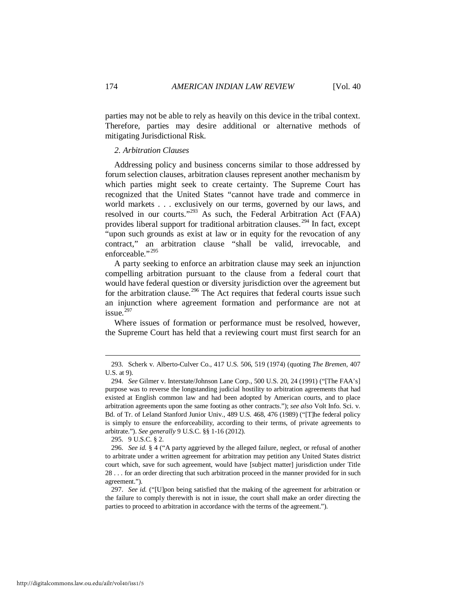parties may not be able to rely as heavily on this device in the tribal context. Therefore, parties may desire additional or alternative methods of mitigating Jurisdictional Risk.

#### *2. Arbitration Clauses*

Addressing policy and business concerns similar to those addressed by forum selection clauses, arbitration clauses represent another mechanism by which parties might seek to create certainty. The Supreme Court has recognized that the United States "cannot have trade and commerce in world markets . . . exclusively on our terms, governed by our laws, and resolved in our courts."[293](#page-44-0) As such, the Federal Arbitration Act (FAA) provides liberal support for traditional arbitration clauses.<sup>[294](#page-44-1)</sup> In fact, except "upon such grounds as exist at law or in equity for the revocation of any contract," an arbitration clause "shall be valid, irrevocable, and enforceable."<sup>295</sup>

A party seeking to enforce an arbitration clause may seek an injunction compelling arbitration pursuant to the clause from a federal court that would have federal question or diversity jurisdiction over the agreement but for the arbitration clause.<sup>[296](#page-44-3)</sup> The Act requires that federal courts issue such an injunction where agreement formation and performance are not at issue. $297$ 

Where issues of formation or performance must be resolved, however, the Supreme Court has held that a reviewing court must first search for an

295. 9 U.S.C. § 2.

<span id="page-44-0"></span> <sup>293.</sup> Scherk v. Alberto-Culver Co., 417 U.S. 506, 519 (1974) (quoting *The Bremen*, 407 U.S. at 9).

<span id="page-44-1"></span> <sup>294.</sup> *See* Gilmer v. Interstate/Johnson Lane Corp., 500 U.S. 20, 24 (1991) ("[The FAA's] purpose was to reverse the longstanding judicial hostility to arbitration agreements that had existed at English common law and had been adopted by American courts, and to place arbitration agreements upon the same footing as other contracts."); *see also* Volt Info. Sci. v. Bd. of Tr. of Leland Stanford Junior Univ., 489 U.S. 468, 476 (1989) ("[T]he federal policy is simply to ensure the enforceability, according to their terms, of private agreements to arbitrate."). *See generally* 9 U.S.C. §§ 1-16 (2012).

<span id="page-44-3"></span><span id="page-44-2"></span> <sup>296.</sup> *See id.* § 4 ("A party aggrieved by the alleged failure, neglect, or refusal of another to arbitrate under a written agreement for arbitration may petition any United States district court which, save for such agreement, would have [subject matter] jurisdiction under Title 28 . . . for an order directing that such arbitration proceed in the manner provided for in such agreement.").

<span id="page-44-4"></span> <sup>297.</sup> *See id.* ("[U]pon being satisfied that the making of the agreement for arbitration or the failure to comply therewith is not in issue, the court shall make an order directing the parties to proceed to arbitration in accordance with the terms of the agreement.").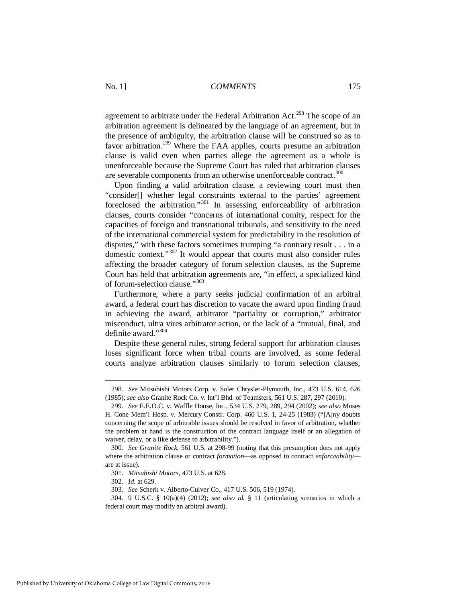agreement to arbitrate under the Federal Arbitration Act.<sup>[298](#page-45-0)</sup> The scope of an arbitration agreement is delineated by the language of an agreement, but in the presence of ambiguity, the arbitration clause will be construed so as to favor arbitration.<sup>[299](#page-45-1)</sup> Where the FAA applies, courts presume an arbitration clause is valid even when parties allege the agreement as a whole is unenforceable because the Supreme Court has ruled that arbitration clauses are severable components from an otherwise unenforceable contract.<sup>[300](#page-45-2)</sup>

Upon finding a valid arbitration clause, a reviewing court must then "consider[] whether legal constraints external to the parties' agreement foreclosed the arbitration."[301](#page-45-3) In assessing enforceability of arbitration clauses, courts consider "concerns of international comity, respect for the capacities of foreign and transnational tribunals, and sensitivity to the need of the international commercial system for predictability in the resolution of disputes," with these factors sometimes trumping "a contrary result . . . in a domestic context."[302](#page-45-4) It would appear that courts must also consider rules affecting the broader category of forum selection clauses, as the Supreme Court has held that arbitration agreements are, "in effect, a specialized kind of forum-selection clause."[303](#page-45-5)

Furthermore, where a party seeks judicial confirmation of an arbitral award, a federal court has discretion to vacate the award upon finding fraud in achieving the award, arbitrator "partiality or corruption," arbitrator misconduct, ultra vires arbitrator action, or the lack of a "mutual, final, and definite award."<sup>[304](#page-45-6)</sup>

Despite these general rules, strong federal support for arbitration clauses loses significant force when tribal courts are involved, as some federal courts analyze arbitration clauses similarly to forum selection clauses,

<span id="page-45-0"></span> <sup>298.</sup> *See* Mitsubishi Motors Corp. v. Soler Chrysler-Plymouth, Inc., 473 U.S. 614, 626 (1985); *see also* Granite Rock Co. v. Int'l Bhd. of Teamsters, 561 U.S. 287, 297 (2010).

<span id="page-45-1"></span> <sup>299.</sup> *See* E.E.O.C. v. Waffle House, Inc., 534 U.S. 279, 289, 294 (2002); *see also* Moses H. Cone Mem'l Hosp. v. Mercury Constr. Corp. 460 U.S. 1, 24-25 (1983) ("[A]ny doubts concerning the scope of arbitrable issues should be resolved in favor of arbitration, whether the problem at hand is the construction of the contract language itself or an allegation of waiver, delay, or a like defense to arbitrability.").

<span id="page-45-3"></span><span id="page-45-2"></span> <sup>300.</sup> *See Granite Rock*, 561 U.S. at 298-99 (noting that this presumption does not apply where the arbitration clause or contract *formation*—as opposed to contract *enforceability* are at issue).

 <sup>301.</sup> *Mitsubishi Motors*, 473 U.S. at 628.

 <sup>302.</sup> *Id.* at 629.

 <sup>303.</sup> *See* Scherk v. Alberto-Culver Co., 417 U.S. 506, 519 (1974).

<span id="page-45-6"></span><span id="page-45-5"></span><span id="page-45-4"></span> <sup>304. 9</sup> U.S.C. § 10(a)(4) (2012); *see also id.* § 11 (articulating scenarios in which a federal court may modify an arbitral award).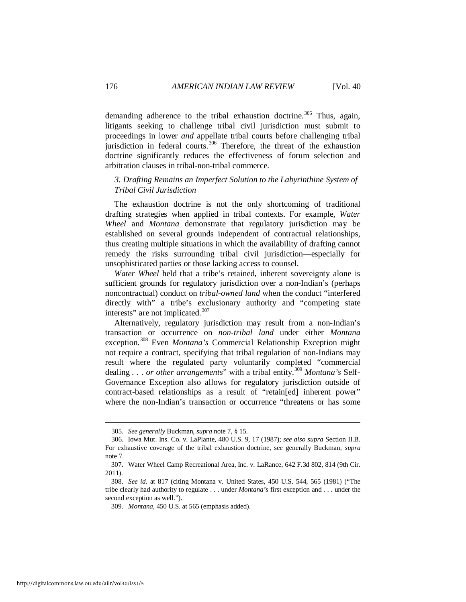demanding adherence to the tribal exhaustion doctrine.<sup>[305](#page-46-0)</sup> Thus, again, litigants seeking to challenge tribal civil jurisdiction must submit to proceedings in lower *and* appellate tribal courts before challenging tribal jurisdiction in federal courts.<sup>[306](#page-46-1)</sup> Therefore, the threat of the exhaustion doctrine significantly reduces the effectiveness of forum selection and arbitration clauses in tribal-non-tribal commerce.

## *3. Drafting Remains an Imperfect Solution to the Labyrinthine System of Tribal Civil Jurisdiction*

The exhaustion doctrine is not the only shortcoming of traditional drafting strategies when applied in tribal contexts. For example, *Water Wheel* and *Montana* demonstrate that regulatory jurisdiction may be established on several grounds independent of contractual relationships, thus creating multiple situations in which the availability of drafting cannot remedy the risks surrounding tribal civil jurisdiction—especially for unsophisticated parties or those lacking access to counsel.

*Water Wheel* held that a tribe's retained, inherent sovereignty alone is sufficient grounds for regulatory jurisdiction over a non-Indian's (perhaps noncontractual) conduct on *tribal-owned land* when the conduct "interfered directly with" a tribe's exclusionary authority and "competing state interests" are not implicated.<sup>[307](#page-46-2)</sup>

Alternatively, regulatory jurisdiction may result from a non-Indian's transaction or occurrence on *non-tribal land* under either *Montana* exception.[308](#page-46-3) Even *Montana's* Commercial Relationship Exception might not require a contract, specifying that tribal regulation of non-Indians may result where the regulated party voluntarily completed "commercial dealing . . . *or other arrangements*" with a tribal entity.[309](#page-46-4) *Montana's* Self-Governance Exception also allows for regulatory jurisdiction outside of contract-based relationships as a result of "retain[ed] inherent power" where the non-Indian's transaction or occurrence "threatens or has some

 <sup>305.</sup> *See generally* Buckman, *supra* note 7, § 15.

<span id="page-46-1"></span><span id="page-46-0"></span> <sup>306.</sup> Iowa Mut. Ins. Co. v. LaPlante, 480 U.S. 9, 17 (1987); *see also supra* Section II.B. For exhaustive coverage of the tribal exhaustion doctrine, see generally Buckman, *supra* note 7.

<span id="page-46-2"></span> <sup>307.</sup> Water Wheel Camp Recreational Area, Inc. v. LaRance, 642 F.3d 802, 814 (9th Cir. 2011).

<span id="page-46-4"></span><span id="page-46-3"></span> <sup>308.</sup> *See id.* at 817 (citing Montana v. United States, 450 U.S. 544, 565 (1981) ("The tribe clearly had authority to regulate . . . under *Montana's* first exception and . . . under the second exception as well.").

 <sup>309.</sup> *Montana*, 450 U.S. at 565 (emphasis added).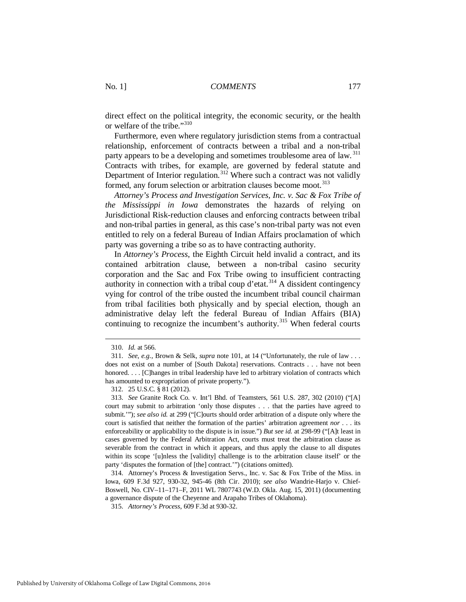direct effect on the political integrity, the economic security, or the health or welfare of the tribe."[310](#page-47-0)

Furthermore, even where regulatory jurisdiction stems from a contractual relationship, enforcement of contracts between a tribal and a non-tribal party appears to be a developing and sometimes troublesome area of law.<sup>[311](#page-47-1)</sup> Contracts with tribes, for example, are governed by federal statute and Department of Interior regulation.<sup>[312](#page-47-2)</sup> Where such a contract was not validly formed, any forum selection or arbitration clauses become moot.<sup>[313](#page-47-3)</sup>

*Attorney's Process and Investigation Services, Inc. v. Sac & Fox Tribe of the Mississippi in Iowa* demonstrates the hazards of relying on Jurisdictional Risk-reduction clauses and enforcing contracts between tribal and non-tribal parties in general, as this case's non-tribal party was not even entitled to rely on a federal Bureau of Indian Affairs proclamation of which party was governing a tribe so as to have contracting authority.

In *Attorney's Process*, the Eighth Circuit held invalid a contract, and its contained arbitration clause, between a non-tribal casino security corporation and the Sac and Fox Tribe owing to insufficient contracting authority in connection with a tribal coup d'etat.<sup>[314](#page-47-4)</sup> A dissident contingency vying for control of the tribe ousted the incumbent tribal council chairman from tribal facilities both physically and by special election, though an administrative delay left the federal Bureau of Indian Affairs (BIA) continuing to recognize the incumbent's authority.<sup>[315](#page-47-5)</sup> When federal courts

-

<span id="page-47-4"></span> 314. Attorney's Process & Investigation Servs., Inc. v. Sac & Fox Tribe of the Miss. in Iowa, 609 F.3d 927, 930-32, 945-46 (8th Cir. 2010); *see also* Wandrie-Harjo v. Chief-Boswell, No. CIV–11–171–F, 2011 WL 7807743 (W.D. Okla. Aug. 15, 2011) (documenting a governance dispute of the Cheyenne and Arapaho Tribes of Oklahoma).

 <sup>310.</sup> *Id.* at 566.

<span id="page-47-1"></span><span id="page-47-0"></span> <sup>311.</sup> *See*, *e.g.*, Brown & Selk, *supra* note 101, at 14 ("Unfortunately, the rule of law . . . does not exist on a number of [South Dakota] reservations. Contracts . . . have not been honored. . . . [C] hanges in tribal leadership have led to arbitrary violation of contracts which has amounted to expropriation of private property.").

 <sup>312. 25</sup> U.S.C. § 81 (2012).

<span id="page-47-3"></span><span id="page-47-2"></span> <sup>313.</sup> *See* Granite Rock Co. v. Int'l Bhd. of Teamsters, 561 U.S. 287, 302 (2010) ("[A] court may submit to arbitration 'only those disputes . . . that the parties have agreed to submit.'"); *see also id.* at 299 ("[C]ourts should order arbitration of a dispute only where the court is satisfied that neither the formation of the parties' arbitration agreement *nor* . . . its enforceability or applicability to the dispute is in issue.") *But see id.* at 298-99 ("[A]t least in cases governed by the Federal Arbitration Act, courts must treat the arbitration clause as severable from the contract in which it appears, and thus apply the clause to all disputes within its scope '[u]nless the [validity] challenge is to the arbitration clause itself' or the party 'disputes the formation of [the] contract.'") (citations omitted).

<span id="page-47-5"></span> <sup>315.</sup> *Attorney's Process*, 609 F.3d at 930-32.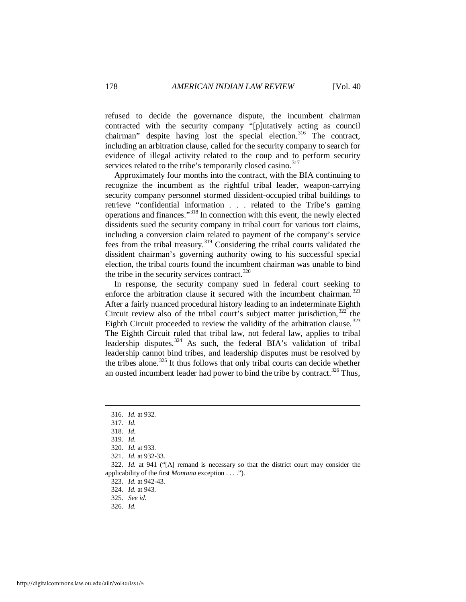refused to decide the governance dispute, the incumbent chairman contracted with the security company "[p]utatively acting as council chairman" despite having lost the special election.<sup>[316](#page-48-0)</sup> The contract, including an arbitration clause, called for the security company to search for evidence of illegal activity related to the coup and to perform security services related to the tribe's temporarily closed casino.<sup>[317](#page-48-1)</sup>

Approximately four months into the contract, with the BIA continuing to recognize the incumbent as the rightful tribal leader, weapon-carrying security company personnel stormed dissident-occupied tribal buildings to retrieve "confidential information . . . related to the Tribe's gaming operations and finances."[318](#page-48-2) In connection with this event, the newly elected dissidents sued the security company in tribal court for various tort claims, including a conversion claim related to payment of the company's service fees from the tribal treasury.[319](#page-48-3) Considering the tribal courts validated the dissident chairman's governing authority owing to his successful special election, the tribal courts found the incumbent chairman was unable to bind the tribe in the security services contract. $320$ 

In response, the security company sued in federal court seeking to enforce the arbitration clause it secured with the incumbent chairman.  $321$ After a fairly nuanced procedural history leading to an indeterminate Eighth Circuit review also of the tribal court's subject matter jurisdiction,  $322$  the Eighth Circuit proceeded to review the validity of the arbitration clause.<sup>[323](#page-48-7)</sup> The Eighth Circuit ruled that tribal law, not federal law, applies to tribal leadership disputes. $324$  As such, the federal BIA's validation of tribal leadership cannot bind tribes, and leadership disputes must be resolved by the tribes alone.<sup>[325](#page-48-9)</sup> It thus follows that only tribal courts can decide whether an ousted incumbent leader had power to bind the tribe by contract.<sup>[326](#page-48-10)</sup> Thus,

<span id="page-48-0"></span> <sup>316.</sup> *Id.* at 932.

<span id="page-48-1"></span> <sup>317.</sup> *Id.*

 <sup>318.</sup> *Id.* 

 <sup>319.</sup> *Id.* 

 <sup>320.</sup> *Id.* at 933.

 <sup>321.</sup> *Id.* at 932-33.

<span id="page-48-9"></span><span id="page-48-8"></span><span id="page-48-7"></span><span id="page-48-6"></span><span id="page-48-5"></span><span id="page-48-4"></span><span id="page-48-3"></span><span id="page-48-2"></span> <sup>322.</sup> *Id.* at 941 ("[A] remand is necessary so that the district court may consider the applicability of the first *Montana* exception . . . .").

 <sup>323.</sup> *Id.* at 942-43.

 <sup>324.</sup> *Id.* at 943.

 <sup>325.</sup> *See id.*

<span id="page-48-10"></span> <sup>326.</sup> *Id.*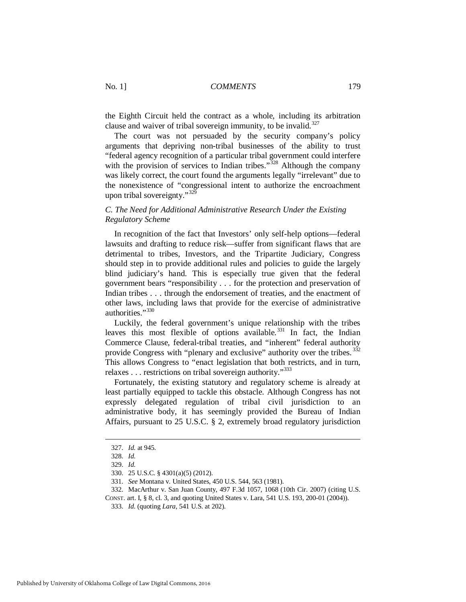the Eighth Circuit held the contract as a whole, including its arbitration clause and waiver of tribal sovereign immunity, to be invalid.<sup>327</sup>

The court was not persuaded by the security company's policy arguments that depriving non-tribal businesses of the ability to trust "federal agency recognition of a particular tribal government could interfere with the provision of services to Indian tribes."<sup>[328](#page-49-1)</sup> Although the company was likely correct, the court found the arguments legally "irrelevant" due to the nonexistence of "congressional intent to authorize the encroachment upon tribal sovereignty."[329](#page-49-2)

## *C. The Need for Additional Administrative Research Under the Existing Regulatory Scheme*

In recognition of the fact that Investors' only self-help options—federal lawsuits and drafting to reduce risk—suffer from significant flaws that are detrimental to tribes, Investors, and the Tripartite Judiciary, Congress should step in to provide additional rules and policies to guide the largely blind judiciary's hand. This is especially true given that the federal government bears "responsibility . . . for the protection and preservation of Indian tribes . . . through the endorsement of treaties, and the enactment of other laws, including laws that provide for the exercise of administrative authorities."<sup>[330](#page-49-3)</sup>

Luckily, the federal government's unique relationship with the tribes leaves this most flexible of options available.<sup>[331](#page-49-4)</sup> In fact, the Indian Commerce Clause, federal-tribal treaties, and "inherent" federal authority provide Congress with "plenary and exclusive" authority over the tribes.<sup>[332](#page-49-5)</sup> This allows Congress to "enact legislation that both restricts, and in turn, relaxes . . . restrictions on tribal sovereign authority."<sup>[333](#page-49-6)</sup>

Fortunately, the existing statutory and regulatory scheme is already at least partially equipped to tackle this obstacle. Although Congress has not expressly delegated regulation of tribal civil jurisdiction to an administrative body, it has seemingly provided the Bureau of Indian Affairs, pursuant to 25 U.S.C. § 2, extremely broad regulatory jurisdiction

<span id="page-49-0"></span> <sup>327.</sup> *Id.* at 945.

<span id="page-49-1"></span> <sup>328.</sup> *Id.* 

 <sup>329.</sup> *Id.* 

 <sup>330. 25</sup> U.S.C. § 4301(a)(5) (2012).

 <sup>331.</sup> *See* Montana v. United States, 450 U.S. 544, 563 (1981).

 <sup>332.</sup> MacArthur v. San Juan County, 497 F.3d 1057, 1068 (10th Cir. 2007) (citing U.S.

<span id="page-49-6"></span><span id="page-49-5"></span><span id="page-49-4"></span><span id="page-49-3"></span><span id="page-49-2"></span>CONST. art. I, § 8, cl. 3, and quoting United States v. Lara, 541 U.S. 193, 200-01 (2004)).

 <sup>333.</sup> *Id.* (quoting *Lara*, 541 U.S. at 202).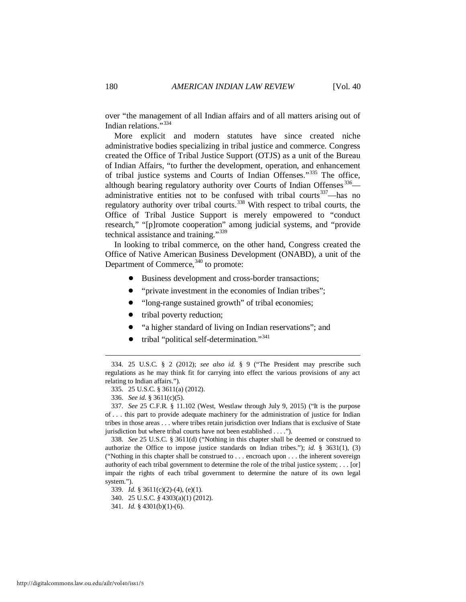over "the management of all Indian affairs and of all matters arising out of Indian relations."[334](#page-50-0)

More explicit and modern statutes have since created niche administrative bodies specializing in tribal justice and commerce. Congress created the Office of Tribal Justice Support (OTJS) as a unit of the Bureau of Indian Affairs, "to further the development, operation, and enhancement of tribal justice systems and Courts of Indian Offenses."[335](#page-50-1) The office, although bearing regulatory authority over Courts of Indian Offenses  $336$ — administrative entities not to be confused with tribal courts<sup>[337](#page-50-3)</sup>—has no regulatory authority over tribal courts.<sup>[338](#page-50-4)</sup> With respect to tribal courts, the Office of Tribal Justice Support is merely empowered to "conduct research," "[p]romote cooperation" among judicial systems, and "provide technical assistance and training."[339](#page-50-5)

In looking to tribal commerce, on the other hand, Congress created the Office of Native American Business Development (ONABD), a unit of the Department of Commerce,  $340$  to promote:

- Business development and cross-border transactions;
- "private investment in the economies of Indian tribes";
- "long-range sustained growth" of tribal economies;
- tribal poverty reduction;
- ! "a higher standard of living on Indian reservations"; and
- tribal "political self-determination."<sup>341</sup>

-

<span id="page-50-4"></span> 338. *See* 25 U.S.C. § 3611(d) ("Nothing in this chapter shall be deemed or construed to authorize the Office to impose justice standards on Indian tribes."); *id.* § 3631(1), (3) ("Nothing in this chapter shall be construed to . . . encroach upon . . . the inherent sovereign authority of each tribal government to determine the role of the tribal justice system; . . . [or] impair the rights of each tribal government to determine the nature of its own legal system.").

<span id="page-50-0"></span> <sup>334. 25</sup> U.S.C. § 2 (2012); *see also id.* § 9 ("The President may prescribe such regulations as he may think fit for carrying into effect the various provisions of any act relating to Indian affairs.").

 <sup>335. 25</sup> U.S.C. § 3611(a) (2012).

 <sup>336.</sup> *See id.* § 3611(c)(5).

<span id="page-50-3"></span><span id="page-50-2"></span><span id="page-50-1"></span> <sup>337.</sup> *See* 25 C.F.R. § 11.102 (West, Westlaw through July 9, 2015) ("It is the purpose of . . . this part to provide adequate machinery for the administration of justice for Indian tribes in those areas . . . where tribes retain jurisdiction over Indians that is exclusive of State jurisdiction but where tribal courts have not been established . . . .").

<span id="page-50-5"></span> <sup>339.</sup> *Id.* § 3611(c)(2)-(4), (e)(1).

 <sup>340. 25</sup> U.S.C. *§* 4303(a)(1) (2012).

<span id="page-50-7"></span><span id="page-50-6"></span> <sup>341.</sup> *Id.* § 4301(b)(1)-(6).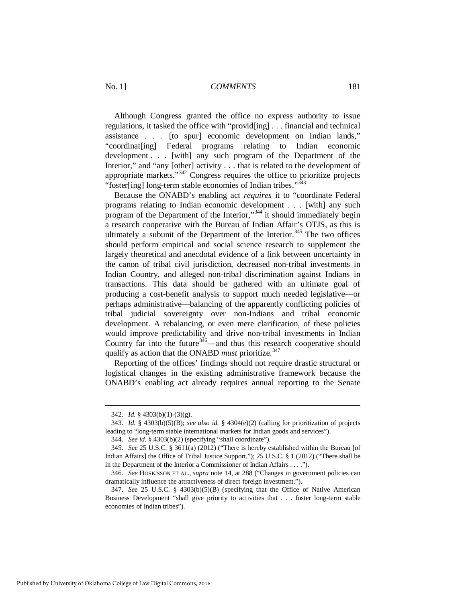Although Congress granted the office no express authority to issue regulations, it tasked the office with "provid[ing] . . . financial and technical assistance . . . [to spur] economic development on Indian lands," "coordinat[ing] Federal programs relating to Indian economic development . . . [with] any such program of the Department of the Interior," and "any [other] activity . . . that is related to the development of appropriate markets." $342$  Congress requires the office to prioritize projects "foster[ing] long-term stable economies of Indian tribes."<sup>[343](#page-51-1)</sup>

Because the ONABD's enabling act *requires* it to "coordinate Federal programs relating to Indian economic development . . . [with] any such program of the Department of the Interior,"<sup>[344](#page-51-2)</sup> it should immediately begin a research cooperative with the Bureau of Indian Affair's OTJS, as this is ultimately a subunit of the Department of the Interior.<sup>[345](#page-51-3)</sup> The two offices should perform empirical and social science research to supplement the largely theoretical and anecdotal evidence of a link between uncertainty in the canon of tribal civil jurisdiction, decreased non-tribal investments in Indian Country, and alleged non-tribal discrimination against Indians in transactions. This data should be gathered with an ultimate goal of producing a cost-benefit analysis to support much needed legislative—or perhaps administrative—balancing of the apparently conflicting policies of tribal judicial sovereignty over non-Indians and tribal economic development. A rebalancing, or even mere clarification, of these policies would improve predictability and drive non-tribal investments in Indian Country far into the future<sup>[346](#page-51-4)</sup>—and thus this research cooperative should qualify as action that the ONABD *must* prioritize.<sup>[347](#page-51-5)</sup>

Reporting of the offices' findings should not require drastic structural or logistical changes in the existing administrative framework because the ONABD's enabling act already requires annual reporting to the Senate

 <sup>342.</sup> *Id.* § 4303(b)(1)-(3)(g).

<span id="page-51-1"></span><span id="page-51-0"></span> <sup>343.</sup> *Id.* § 4303(b)(5)(B); *see also id.* § 4304(e)(2) (calling for prioritization of projects leading to "long-term stable international markets for Indian goods and services").

 <sup>344.</sup> *See id.* § 4303(b)(2) (specifying "shall coordinate").

<span id="page-51-3"></span><span id="page-51-2"></span> <sup>345.</sup> *See* 25 U.S.C. § 3611(a) (2012) ("There is hereby established within the Bureau [of Indian Affairs] the Office of Tribal Justice Support."); 25 U.S.C. § 1 (2012) ("There shall be in the Department of the Interior a Commissioner of Indian Affairs . . . .").

<span id="page-51-4"></span> <sup>346.</sup> *See* HOSKISSON ET AL., *supra* note 14, at 288 ("Changes in government policies can dramatically influence the attractiveness of direct foreign investment.").

<span id="page-51-5"></span> <sup>347.</sup> *See* 25 U.S.C. § 4303(b)(5)(B) (specifying that the Office of Native American Business Development "shall give priority to activities that . . . foster long-term stable economies of Indian tribes").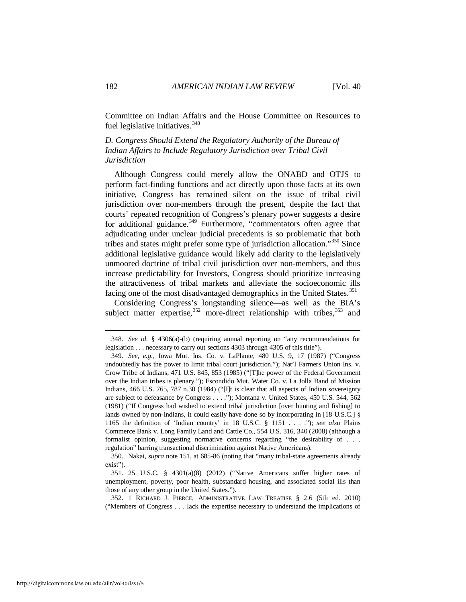Committee on Indian Affairs and the House Committee on Resources to fuel legislative initiatives.<sup>[348](#page-52-0)</sup>

*D. Congress Should Extend the Regulatory Authority of the Bureau of Indian Affairs to Include Regulatory Jurisdiction over Tribal Civil Jurisdiction*

Although Congress could merely allow the ONABD and OTJS to perform fact-finding functions and act directly upon those facts at its own initiative, Congress has remained silent on the issue of tribal civil jurisdiction over non-members through the present, despite the fact that courts' repeated recognition of Congress's plenary power suggests a desire for additional guidance.<sup>[349](#page-52-1)</sup> Furthermore, "commentators often agree that adjudicating under unclear judicial precedents is so problematic that both tribes and states might prefer some type of jurisdiction allocation."[350](#page-52-2) Since additional legislative guidance would likely add clarity to the legislatively unmoored doctrine of tribal civil jurisdiction over non-members, and thus increase predictability for Investors, Congress should prioritize increasing the attractiveness of tribal markets and alleviate the socioeconomic ills facing one of the most disadvantaged demographics in the United States.<sup>[351](#page-52-3)</sup>

Considering Congress's longstanding silence—as well as the BIA's subject matter expertise,  $352$  more-direct relationship with tribes,  $353$  and

<span id="page-52-2"></span> 350. Nakai, *supra* note 151, at 685-86 (noting that "many tribal-state agreements already exist").

<span id="page-52-3"></span> 351. 25 U.S.C. § 4301(a)(8) (2012) ("Native Americans suffer higher rates of unemployment, poverty, poor health, substandard housing, and associated social ills than those of any other group in the United States.").

<span id="page-52-4"></span> 352. 1 RICHARD J. PIERCE, ADMINISTRATIVE LAW TREATISE § 2.6 (5th ed. 2010) ("Members of Congress . . . lack the expertise necessary to understand the implications of

<span id="page-52-5"></span><span id="page-52-0"></span> <sup>348.</sup> *See id.* § 4306(a)-(b) (requiring annual reporting on "any recommendations for legislation . . . necessary to carry out sections 4303 through 4305 of this title").

<span id="page-52-1"></span> <sup>349.</sup> *See, e.g.*, Iowa Mut. Ins. Co. v. LaPlante, 480 U.S. 9, 17 (1987) ("Congress undoubtedly has the power to limit tribal court jurisdiction."); Nat'l Farmers Union Ins. v. Crow Tribe of Indians, 471 U.S. 845, 853 (1985) ("[T]he power of the Federal Government over the Indian tribes is plenary."); Escondido Mut. Water Co. v. La Jolla Band of Mission Indians, 466 U.S. 765, 787 n.30 (1984) ("IIt is clear that all aspects of Indian sovereignty are subject to defeasance by Congress . . . ."); Montana v. United States, 450 U.S. 544, 562 (1981) ("If Congress had wished to extend tribal jurisdiction [over hunting and fishing] to lands owned by non-Indians, it could easily have done so by incorporating in [18 U.S.C.] § 1165 the definition of 'Indian country' in 18 U.S.C. § 1151 . . . ."); *see also* Plains Commerce Bank v. Long Family Land and Cattle Co., 554 U.S. 316, 340 (2008) (although a formalist opinion, suggesting normative concerns regarding "the desirability of . . . regulation" barring transactional discrimination against Native Americans).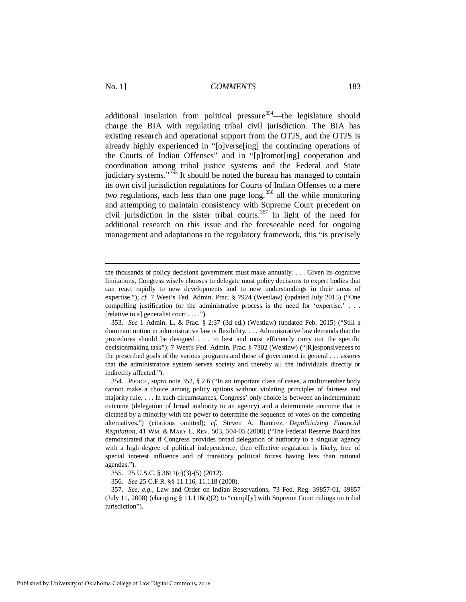additional insulation from political pressure  $354$ —the legislature should charge the BIA with regulating tribal civil jurisdiction. The BIA has existing research and operational support from the OTJS, and the OTJS is already highly experienced in "[o]verse[ing] the continuing operations of the Courts of Indian Offenses" and in "[p]romot[ing] cooperation and coordination among tribal justice systems and the Federal and State judiciary systems."<sup>[355](#page-53-1)</sup> It should be noted the bureau has managed to contain its own civil jurisdiction regulations for Courts of Indian Offenses to a mere *two* regulations, each less than one page long,<sup>[356](#page-53-2)</sup> all the while monitoring and attempting to maintain consistency with Supreme Court precedent on civil jurisdiction in the sister tribal courts.<sup>[357](#page-53-3)</sup> In light of the need for additional research on this issue and the foreseeable need for ongoing management and adaptations to the regulatory framework, this "is precisely

the thousands of policy decisions government must make annually. . . . Given its cognitive limitations, Congress wisely chooses to delegate most policy decisions to expert bodies that can react rapidly to new developments and to new understandings in their areas of expertise."); *cf.* 7 West's Fed. Admin. Prac. § 7924 (Westlaw) (updated July 2015) ("One compelling justification for the administrative process is the need for 'expertise.' . . . [relative to a] generalist court . . . .").

 <sup>353.</sup> *See* 1 Admin. L. & Prac. § 2:37 (3d ed.) (Westlaw) (updated Feb. 2015) ("Still a dominant notion in administrative law is flexibility. . . . Administrative law demands that the procedures should be designed . . . to best and most efficiently carry out the specific decisionmaking task"); 7 West's Fed. Admin. Prac. § 7302 (Westlaw) ("[R]esponsiveness to the prescribed goals of the various programs and those of government in general . . . assures that the administrative system serves society and thereby all the individuals directly or indirectly affected.").

<span id="page-53-0"></span> <sup>354.</sup> PIERCE, *supra* note 352, § 2.6 ("In an important class of cases, a multimember body cannot make a choice among policy options without violating principles of fairness and majority rule. . . . In such circumstances, Congress' only choice is between an indeterminate outcome (delegation of broad authority to an agency) and a determinate outcome that is dictated by a minority with the power to determine the sequence of votes on the competing alternatives.") (citations omitted); *cf.* Steven A. Ramirez, *Depoliticizing Financial Regulation*, 41 WM. & MARY L. REV. 503, 504-05 (2000) ("The Federal Reserve Board has demonstrated that if Congress provides broad delegation of authority to a singular agency with a high degree of political independence, then effective regulation is likely, free of special interest influence and of transitory political forces having less than rational agendas.").

 <sup>355. 25</sup> U.S.C. § 3611(c)(3)-(5) (2012).

 <sup>356.</sup> *See* 25 C.F.R. §§ 11.116, 11.118 (2008).

<span id="page-53-3"></span><span id="page-53-2"></span><span id="page-53-1"></span> <sup>357.</sup> *See, e.g.,* Law and Order on Indian Reservations, 73 Fed. Reg. 39857-01, 39857 (July 11, 2008) (changing § 11.116(a)(2) to "compl[y] with Supreme Court rulings on tribal jurisdiction").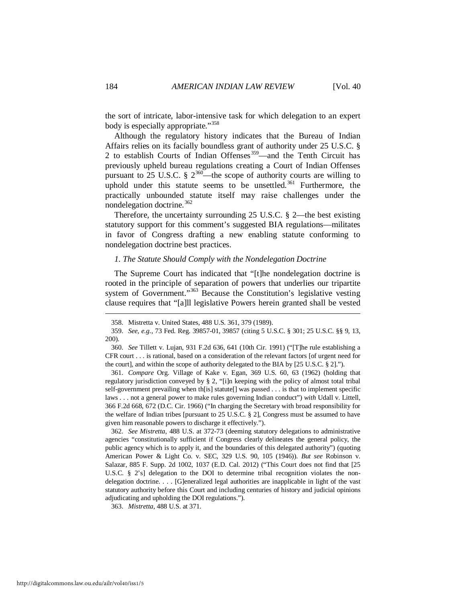the sort of intricate, labor-intensive task for which delegation to an expert body is especially appropriate."<sup>[358](#page-54-0)</sup>

Although the regulatory history indicates that the Bureau of Indian Affairs relies on its facially boundless grant of authority under 25 U.S.C. § 2 to establish Courts of Indian Offenses $359$ —and the Tenth Circuit has previously upheld bureau regulations creating a Court of Indian Offenses pursuant to 25 U.S.C. §  $2^{360}$ —the scope of authority courts are willing to uphold under this statute seems to be unsettled. $361$  Furthermore, the practically unbounded statute itself may raise challenges under the nondelegation doctrine.<sup>[362](#page-54-4)</sup>

Therefore, the uncertainty surrounding 25 U.S.C. § 2—the best existing statutory support for this comment's suggested BIA regulations—militates in favor of Congress drafting a new enabling statute conforming to nondelegation doctrine best practices.

#### *1. The Statute Should Comply with the Nondelegation Doctrine*

The Supreme Court has indicated that "[t]he nondelegation doctrine is rooted in the principle of separation of powers that underlies our tripartite system of Government."<sup>[363](#page-54-5)</sup> Because the Constitution's legislative vesting clause requires that "[a]ll legislative Powers herein granted shall be vested

<span id="page-54-3"></span> 361. *Compare* Org. Village of Kake v. Egan, 369 U.S. 60, 63 (1962) (holding that regulatory jurisdiction conveyed by § 2, "[i]n keeping with the policy of almost total tribal self-government prevailing when th[is] statute[] was passed . . . is that to implement specific laws . . . not a general power to make rules governing Indian conduct") *with* Udall v. Littell, 366 F.2d 668, 672 (D.C. Cir. 1966) ("In charging the Secretary with broad responsibility for the welfare of Indian tribes [pursuant to 25 U.S.C. § 2], Congress must be assumed to have given him reasonable powers to discharge it effectively.").

<span id="page-54-4"></span> 362. *See Mistretta*, 488 U.S. at 372-73 (deeming statutory delegations to administrative agencies "constitutionally sufficient if Congress clearly delineates the general policy, the public agency which is to apply it, and the boundaries of this delegated authority") (quoting American Power & Light Co. v. SEC, 329 U.S. 90, 105 (1946)). *But see* Robinson v. Salazar, 885 F. Supp. 2d 1002, 1037 (E.D. Cal. 2012) ("This Court does not find that [25 U.S.C. § 2's] delegation to the DOI to determine tribal recognition violates the nondelegation doctrine. . . . [G]eneralized legal authorities are inapplicable in light of the vast statutory authority before this Court and including centuries of history and judicial opinions adjudicating and upholding the DOI regulations.").

<span id="page-54-5"></span>363. *Mistretta*, 488 U.S. at 371.

 <sup>358.</sup> Mistretta v. United States, 488 U.S. 361, 379 (1989).

<span id="page-54-1"></span><span id="page-54-0"></span> <sup>359.</sup> *See*, *e.g.*, 73 Fed. Reg. 39857-01, 39857 (citing 5 U.S.C. § 301; 25 U.S.C. §§ 9, 13, 200).

<span id="page-54-2"></span> <sup>360.</sup> *See* Tillett v. Lujan, 931 F.2d 636, 641 (10th Cir. 1991) ("[T]he rule establishing a CFR court . . . is rational, based on a consideration of the relevant factors [of urgent need for the court], and within the scope of authority delegated to the BIA by [25 U.S.C. § 2].").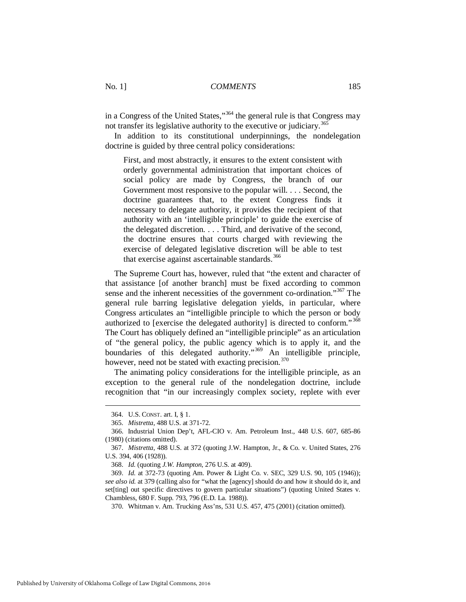in a Congress of the United States,"<sup>[364](#page-55-0)</sup> the general rule is that Congress may not transfer its legislative authority to the executive or judiciary.<sup>365</sup>

In addition to its constitutional underpinnings, the nondelegation doctrine is guided by three central policy considerations:

First, and most abstractly, it ensures to the extent consistent with orderly governmental administration that important choices of social policy are made by Congress, the branch of our Government most responsive to the popular will. . . . Second, the doctrine guarantees that, to the extent Congress finds it necessary to delegate authority, it provides the recipient of that authority with an 'intelligible principle' to guide the exercise of the delegated discretion. . . . Third, and derivative of the second, the doctrine ensures that courts charged with reviewing the exercise of delegated legislative discretion will be able to test that exercise against ascertainable standards. $366$ 

The Supreme Court has, however, ruled that "the extent and character of that assistance [of another branch] must be fixed according to common sense and the inherent necessities of the government co-ordination."<sup>[367](#page-55-3)</sup> The general rule barring legislative delegation yields, in particular, where Congress articulates an "intelligible principle to which the person or body authorized to [exercise the delegated authority] is directed to conform." [368](#page-55-4) The Court has obliquely defined an "intelligible principle" as an articulation of "the general policy, the public agency which is to apply it, and the boundaries of this delegated authority."<sup>[369](#page-55-5)</sup> An intelligible principle, however, need not be stated with exacting precision.<sup>[370](#page-55-6)</sup>

The animating policy considerations for the intelligible principle, as an exception to the general rule of the nondelegation doctrine, include recognition that "in our increasingly complex society, replete with ever

 <sup>364.</sup> U.S. CONST. art. I, § 1.

 <sup>365.</sup> *Mistretta*, 488 U.S. at 371-72.

<span id="page-55-2"></span><span id="page-55-1"></span><span id="page-55-0"></span> <sup>366.</sup> Industrial Union Dep't, AFL-CIO v. Am. Petroleum Inst., 448 U.S. 607, 685-86 (1980) (citations omitted).

<span id="page-55-3"></span> <sup>367.</sup> *Mistretta*, 488 U.S. at 372 (quoting J.W. Hampton, Jr., & Co. v. United States, 276 U.S. 394, 406 (1928)).

 <sup>368.</sup> *Id.* (quoting *J.W. Hampton*, 276 U.S. at 409).

<span id="page-55-6"></span><span id="page-55-5"></span><span id="page-55-4"></span> <sup>369.</sup> *Id.* at 372-73 (quoting Am. Power & Light Co. v. SEC, 329 U.S. 90, 105 (1946)); *see also id.* at 379 (calling also for "what the [agency] should do and how it should do it, and set[ting] out specific directives to govern particular situations") (quoting United States v. Chambless, 680 F. Supp. 793, 796 (E.D. La. 1988)).

 <sup>370.</sup> Whitman v. Am. Trucking Ass'ns, 531 U.S. 457, 475 (2001) (citation omitted).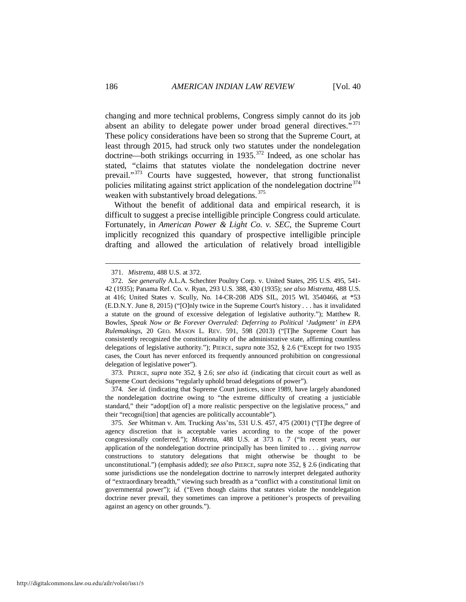changing and more technical problems, Congress simply cannot do its job absent an ability to delegate power under broad general directives."<sup>[371](#page-56-0)</sup> These policy considerations have been so strong that the Supreme Court, at least through 2015, had struck only two statutes under the nondelegation doctrine—both strikings occurring in 1935.<sup>[372](#page-56-1)</sup> Indeed, as one scholar has stated, "claims that statutes violate the nondelegation doctrine never prevail."<sup>[373](#page-56-2)</sup> Courts have suggested, however, that strong functionalist policies militating against strict application of the nondelegation doctrine $374$ weaken with substantively broad delegations.<sup>[375](#page-56-4)</sup>

Without the benefit of additional data and empirical research, it is difficult to suggest a precise intelligible principle Congress could articulate. Fortunately, in *American Power & Light Co. v. SEC*, the Supreme Court implicitly recognized this quandary of prospective intelligible principle drafting and allowed the articulation of relatively broad intelligible

<span id="page-56-2"></span> 373. PIERCE, *supra* note 352, § 2.6; *see also id.* (indicating that circuit court as well as Supreme Court decisions "regularly uphold broad delegations of power").

<span id="page-56-3"></span> 374. *See id.* (indicating that Supreme Court justices, since 1989, have largely abandoned the nondelegation doctrine owing to "the extreme difficulty of creating a justiciable standard," their "adopt[ion of] a more realistic perspective on the legislative process," and their "recogni[tion] that agencies are politically accountable").

 <sup>371.</sup> *Mistretta*, 488 U.S. at 372.

<span id="page-56-1"></span><span id="page-56-0"></span> <sup>372.</sup> *See generally* A.L.A. Schechter Poultry Corp. v. United States, 295 U.S. 495, 541- 42 (1935); Panama Ref. Co. v. Ryan, 293 U.S. 388, 430 (1935); *see also Mistretta*, 488 U.S. at 416; United States v. Scully, No. 14-CR-208 ADS SIL, 2015 WL 3540466, at \*53 (E.D.N.Y. June 8, 2015) ("[O]nly twice in the Supreme Court's history . . . has it invalidated a statute on the ground of excessive delegation of legislative authority."); Matthew R. Bowles, *Speak Now or Be Forever Overruled: Deferring to Political 'Judgment' in EPA Rulemakings*, 20 GEO. MASON L. REV. 591, 598 (2013) ("[T]he Supreme Court has consistently recognized the constitutionality of the administrative state, affirming countless delegations of legislative authority."); PIERCE, *supra* note 352, § 2.6 ("Except for two 1935 cases, the Court has never enforced its frequently announced prohibition on congressional delegation of legislative power").

<span id="page-56-4"></span> <sup>375.</sup> *See* Whitman v. Am. Trucking Ass'ns, 531 U.S. 457, 475 (2001) ("[T]he degree of agency discretion that is acceptable varies according to the scope of the power congressionally conferred."); *Mistretta*, 488 U.S. at 373 n. 7 ("In recent years, our application of the nondelegation doctrine principally has been limited to . . . giving *narrow* constructions to statutory delegations that might otherwise be thought to be unconstitutional.") (emphasis added); *see also* PIERCE, *supra* note 352, § 2.6 (indicating that some jurisdictions use the nondelegation doctrine to narrowly interpret delegated authority of "extraordinary breadth," viewing such breadth as a "conflict with a constitutional limit on governmental power"); *id.* ("Even though claims that statutes violate the nondelegation doctrine never prevail, they sometimes can improve a petitioner's prospects of prevailing against an agency on other grounds.").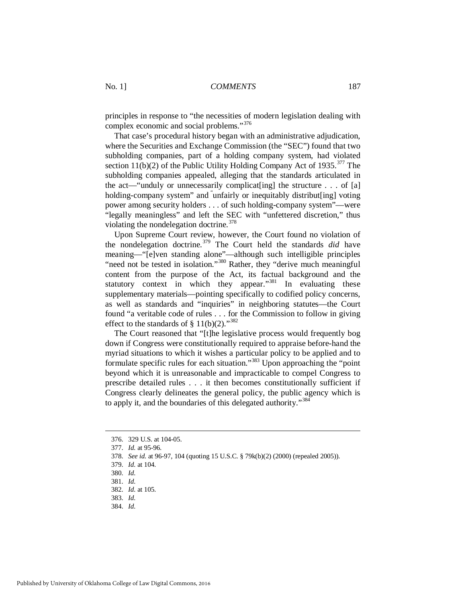principles in response to "the necessities of modern legislation dealing with complex economic and social problems."[376](#page-57-0)

That case's procedural history began with an administrative adjudication, where the Securities and Exchange Commission (the "SEC") found that two subholding companies, part of a holding company system, had violated section 11(b)(2) of the Public Utility Holding Company Act of 1935.<sup>[377](#page-57-1)</sup> The subholding companies appealed, alleging that the standards articulated in the act—"unduly or unnecessarily complicat [ing] the structure  $\ldots$  of [a] holding-company system" and "unfairly or inequitably distribut [ing] voting power among security holders . . . of such holding-company system"—were "legally meaningless" and left the SEC with "unfettered discretion," thus violating the nondelegation doctrine.<sup>[378](#page-57-2)</sup>

Upon Supreme Court review, however, the Court found no violation of the nondelegation doctrine.[379](#page-57-3) The Court held the standards *did* have meaning—"[e]ven standing alone"—although such intelligible principles "need not be tested in isolation."[380](#page-57-4) Rather, they "derive much meaningful content from the purpose of the Act, its factual background and the statutory context in which they appear."<sup>[381](#page-57-5)</sup> In evaluating these supplementary materials—pointing specifically to codified policy concerns, as well as standards and "inquiries" in neighboring statutes—the Court found "a veritable code of rules . . . for the Commission to follow in giving effect to the standards of § 11(b)(2)."<sup>382</sup>

The Court reasoned that "[t]he legislative process would frequently bog down if Congress were constitutionally required to appraise before-hand the myriad situations to which it wishes a particular policy to be applied and to formulate specific rules for each situation."[383](#page-57-7) Upon approaching the "point beyond which it is unreasonable and impracticable to compel Congress to prescribe detailed rules . . . it then becomes constitutionally sufficient if Congress clearly delineates the general policy, the public agency which is to apply it, and the boundaries of this delegated authority."[384](#page-57-8)

<span id="page-57-0"></span> <sup>376. 329</sup> U.S. at 104-05.

<span id="page-57-1"></span> <sup>377.</sup> *Id.* at 95-96.

<span id="page-57-2"></span> <sup>378.</sup> *See id.* at 96-97, 104 (quoting 15 U.S.C. § 79k(b)(2) (2000) (repealed 2005)).

<span id="page-57-4"></span><span id="page-57-3"></span> <sup>379.</sup> *Id.* at 104.

 <sup>380.</sup> *Id.*

<span id="page-57-5"></span> <sup>381.</sup> *Id.*

<span id="page-57-6"></span> <sup>382.</sup> *Id.* at 105.

 <sup>383.</sup> *Id.*

<span id="page-57-8"></span><span id="page-57-7"></span> <sup>384.</sup> *Id.*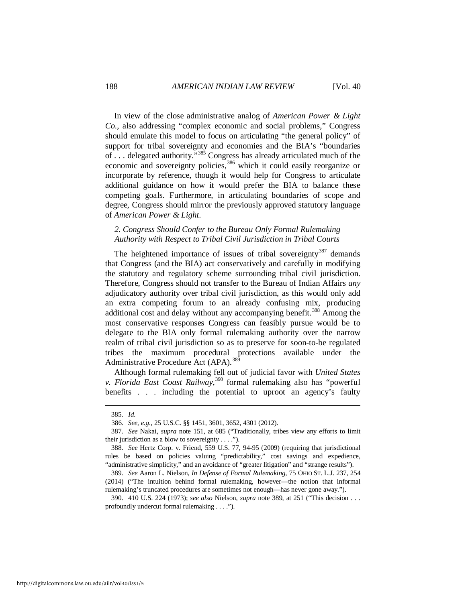In view of the close administrative analog of *American Power & Light Co.*, also addressing "complex economic and social problems," Congress should emulate this model to focus on articulating "the general policy" of support for tribal sovereignty and economies and the BIA's "boundaries of . . . delegated authority."[385](#page-58-0) Congress has already articulated much of the economic and sovereignty policies,<sup>[386](#page-58-1)</sup> which it could easily reorganize or incorporate by reference, though it would help for Congress to articulate additional guidance on how it would prefer the BIA to balance these competing goals. Furthermore, in articulating boundaries of scope and degree, Congress should mirror the previously approved statutory language of *American Power & Light*.

## *2. Congress Should Confer to the Bureau Only Formal Rulemaking Authority with Respect to Tribal Civil Jurisdiction in Tribal Courts*

The heightened importance of issues of tribal sovereignty<sup>[387](#page-58-2)</sup> demands that Congress (and the BIA) act conservatively and carefully in modifying the statutory and regulatory scheme surrounding tribal civil jurisdiction. Therefore, Congress should not transfer to the Bureau of Indian Affairs *any*  adjudicatory authority over tribal civil jurisdiction, as this would only add an extra competing forum to an already confusing mix, producing additional cost and delay without any accompanying benefit.<sup>[388](#page-58-3)</sup> Among the most conservative responses Congress can feasibly pursue would be to delegate to the BIA only formal rulemaking authority over the narrow realm of tribal civil jurisdiction so as to preserve for soon-to-be regulated tribes the maximum procedural protections available under the Administrative Procedure Act (APA).<sup>389</sup>

Although formal rulemaking fell out of judicial favor with *United States v. Florida East Coast Railway*, [390](#page-58-5) formal rulemaking also has "powerful benefits . . . including the potential to uproot an agency's faulty

 <sup>385.</sup> *Id.*

 <sup>386.</sup> *See, e.g.,* 25 U.S.C. §§ 1451, 3601, 3652, 4301 (2012).

<span id="page-58-2"></span><span id="page-58-1"></span><span id="page-58-0"></span> <sup>387.</sup> *See* Nakai, *supra* note 151, at 685 ("Traditionally, tribes view any efforts to limit their jurisdiction as a blow to sovereignty . . . .").

<span id="page-58-3"></span> <sup>388.</sup> *See* Hertz Corp. v. Friend, 559 U.S. 77, 94-95 (2009) (requiring that jurisdictional rules be based on policies valuing "predictability," cost savings and expedience, "administrative simplicity," and an avoidance of "greater litigation" and "strange results").

<span id="page-58-4"></span> <sup>389.</sup> *See* Aaron L. Nielson, *In Defense of Formal Rulemaking*, 75 OHIO ST. L.J. 237, 254 (2014) ("The intuition behind formal rulemaking, however—the notion that informal rulemaking's truncated procedures are sometimes not enough—has never gone away.").

<span id="page-58-5"></span> <sup>390. 410</sup> U.S. 224 (1973); *see also* Nielson, *supra* note 389, at 251 ("This decision . . . profoundly undercut formal rulemaking . . . .").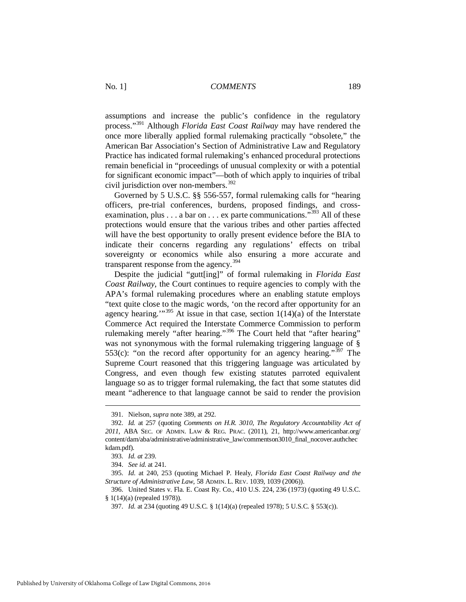assumptions and increase the public's confidence in the regulatory process."[391](#page-59-0) Although *Florida East Coast Railway* may have rendered the once more liberally applied formal rulemaking practically "obsolete," the American Bar Association's Section of Administrative Law and Regulatory Practice has indicated formal rulemaking's enhanced procedural protections remain beneficial in "proceedings of unusual complexity or with a potential for significant economic impact"—both of which apply to inquiries of tribal civil jurisdiction over non-members. $392$ 

Governed by 5 U.S.C. §§ 556-557, formal rulemaking calls for "hearing officers, pre-trial conferences, burdens, proposed findings, and crossexamination, plus  $\dots$  a bar on  $\dots$  ex parte communications.<sup>"[393](#page-59-2)</sup> All of these protections would ensure that the various tribes and other parties affected will have the best opportunity to orally present evidence before the BIA to indicate their concerns regarding any regulations' effects on tribal sovereignty or economics while also ensuring a more accurate and transparent response from the agency.<sup>[394](#page-59-3)</sup>

Despite the judicial "gutt[ing]" of formal rulemaking in *Florida East Coast Railway*, the Court continues to require agencies to comply with the APA's formal rulemaking procedures where an enabling statute employs "text quite close to the magic words, 'on the record after opportunity for an agency hearing."<sup>[395](#page-59-4)</sup> At issue in that case, section  $1(14)(a)$  of the Interstate Commerce Act required the Interstate Commerce Commission to perform rulemaking merely "after hearing."<sup>[396](#page-59-5)</sup> The Court held that "after hearing" was not synonymous with the formal rulemaking triggering language of § 553(c): "on the record after opportunity for an agency hearing."<sup>[397](#page-59-6)</sup> The Supreme Court reasoned that this triggering language was articulated by Congress, and even though few existing statutes parroted equivalent language so as to trigger formal rulemaking, the fact that some statutes did meant "adherence to that language cannot be said to render the provision

 <sup>391.</sup> Nielson, *supra* note 389, at 292.

<span id="page-59-1"></span><span id="page-59-0"></span> <sup>392.</sup> *Id.* at 257 (quoting *Comments on H.R. 3010, The Regulatory Accountability Act of 2011*, ABA SEC. OF ADMIN. LAW & REG. PRAC. (2011), 21, http://www.americanbar.org/ content/dam/aba/administrative/administrative\_law/commentson3010\_final\_nocover.authchec kdam.pdf).

 <sup>393.</sup> *Id. at* 239.

 <sup>394.</sup> *See id.* at 241.

<span id="page-59-5"></span><span id="page-59-4"></span><span id="page-59-3"></span><span id="page-59-2"></span> <sup>395.</sup> *Id.* at 240, 253 (quoting Michael P. Healy, *Florida East Coast Railway and the Structure of Administrative Law*, 58 ADMIN. L. REV. 1039, 1039 (2006)).

<span id="page-59-6"></span> <sup>396.</sup> United States v. Fla. E. Coast Ry. Co., 410 U.S. 224, 236 (1973) (quoting 49 U.S.C. § 1(14)(a) (repealed 1978)).

 <sup>397.</sup> *Id.* at 234 (quoting 49 U.S.C. § 1(14)(a) (repealed 1978); 5 U.S.C. § 553(c)).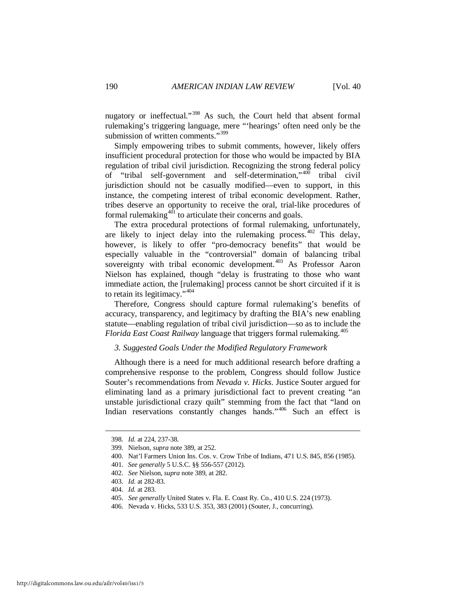nugatory or ineffectual."<sup>[398](#page-60-0)</sup> As such, the Court held that absent formal rulemaking's triggering language, mere "'hearings' often need only be the submission of written comments."<sup>[399](#page-60-1)</sup>

Simply empowering tribes to submit comments, however, likely offers insufficient procedural protection for those who would be impacted by BIA regulation of tribal civil jurisdiction. Recognizing the strong federal policy of "tribal self-government and self-determination,"<sup>[400](#page-60-2)</sup> tribal civil jurisdiction should not be casually modified—even to support, in this instance, the competing interest of tribal economic development. Rather, tribes deserve an opportunity to receive the oral, trial-like procedures of formal rulemaking<sup>[401](#page-60-3)</sup> to articulate their concerns and goals.

The extra procedural protections of formal rulemaking, unfortunately, are likely to inject delay into the rulemaking process.  $402$  This delay, however, is likely to offer "pro-democracy benefits" that would be especially valuable in the "controversial" domain of balancing tribal sovereignty with tribal economic development.<sup>[403](#page-60-5)</sup> As Professor Aaron Nielson has explained, though "delay is frustrating to those who want immediate action, the [rulemaking] process cannot be short circuited if it is to retain its legitimacy." $404$ 

Therefore, Congress should capture formal rulemaking's benefits of accuracy, transparency, and legitimacy by drafting the BIA's new enabling statute—enabling regulation of tribal civil jurisdiction—so as to include the *Florida East Coast Railway* language that triggers formal rulemaking.<sup>[405](#page-60-7)</sup>

#### *3. Suggested Goals Under the Modified Regulatory Framework*

Although there is a need for much additional research before drafting a comprehensive response to the problem, Congress should follow Justice Souter's recommendations from *Nevada v. Hicks*. Justice Souter argued for eliminating land as a primary jurisdictional fact to prevent creating "an unstable jurisdictional crazy quilt" stemming from the fact that "land on Indian reservations constantly changes hands."<sup>[406](#page-60-8)</sup> Such an effect is

<span id="page-60-0"></span> <sup>398.</sup> *Id.* at 224, 237-38.

<span id="page-60-1"></span> <sup>399.</sup> Nielson, *supra* note 389, at 252.

<span id="page-60-2"></span> <sup>400.</sup> Nat'l Farmers Union Ins. Cos. v. Crow Tribe of Indians, 471 U.S. 845, 856 (1985).

<span id="page-60-3"></span> <sup>401.</sup> *See generally* 5 U.S.C. §§ 556-557 (2012).

<span id="page-60-4"></span> <sup>402.</sup> *See* Nielson, *supra* note 389, at 282.

<span id="page-60-5"></span> <sup>403.</sup> *Id.* at 282-83.

<span id="page-60-6"></span> <sup>404.</sup> *Id.* at 283.

<span id="page-60-7"></span> <sup>405.</sup> *See generally* United States v. Fla. E. Coast Ry. Co., 410 U.S. 224 (1973).

<span id="page-60-8"></span> <sup>406.</sup> Nevada v. Hicks, 533 U.S. 353, 383 (2001) (Souter, J., concurring).